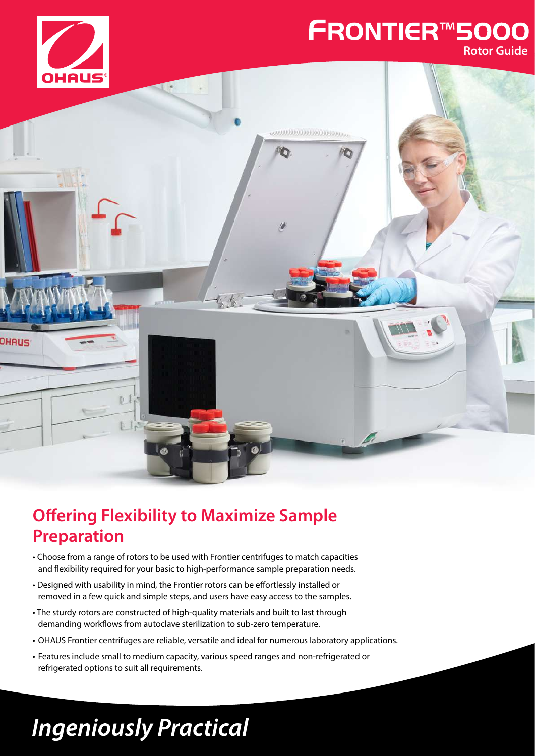

### **FRONTIER™5000 Rotor Guide**



## **Offering Flexibility to Maximize Sample Preparation**

- Choose from a range of rotors to be used with Frontier centrifuges to match capacities and flexibility required for your basic to high-performance sample preparation needs.
- Designed with usability in mind, the Frontier rotors can be effortlessly installed or removed in a few quick and simple steps, and users have easy access to the samples.
- The sturdy rotors are constructed of high-quality materials and built to last through demanding workflows from autoclave sterilization to sub-zero temperature.
- OHAUS Frontier centrifuges are reliable, versatile and ideal for numerous laboratory applications.
- Features include small to medium capacity, various speed ranges and non-refrigerated or refrigerated options to suit all requirements.

# **Ingeniously Practical**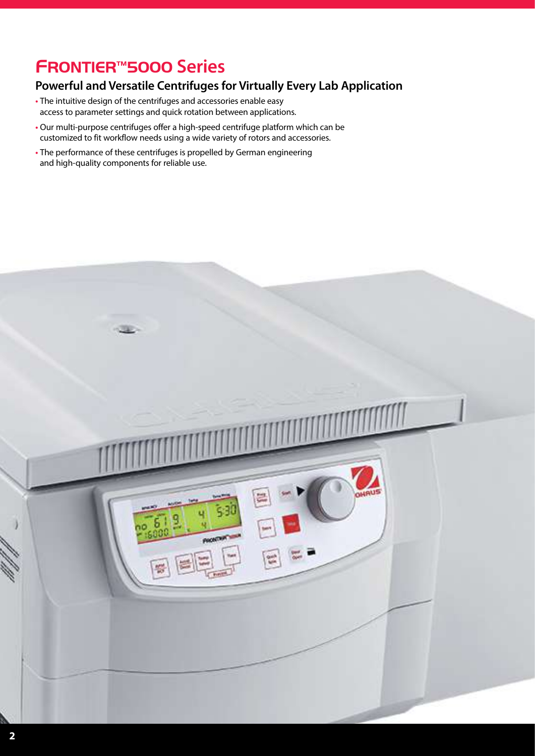## FRONTIER™5000 **Series**

#### **Powerful and Versatile Centrifuges for Virtually Every Lab Application**

- **•** The intuitive design of the centrifuges and accessories enable easy access to parameter settings and quick rotation between applications.
- **•** Our multi-purpose centrifuges offer a high-speed centrifuge platform which can be customized to fit workflow needs using a wide variety of rotors and accessories.
- **•** The performance of these centrifuges is propelled by German engineering and high-quality components for reliable use.

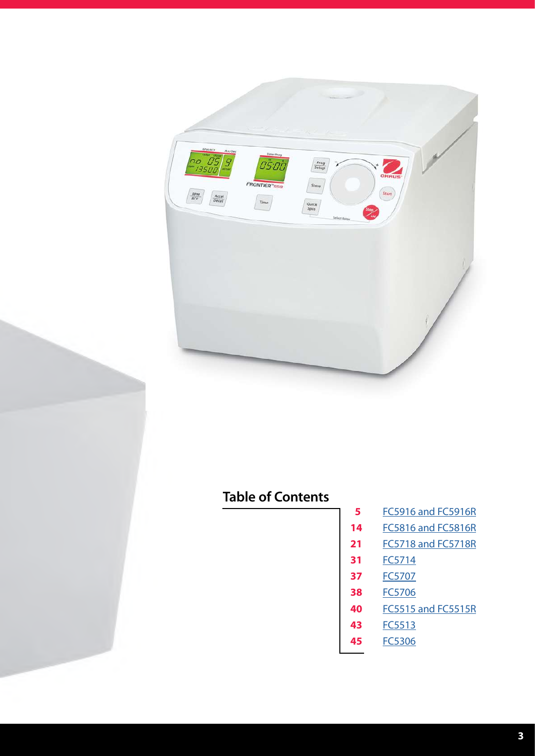

#### **Table of Contents**

- [FC5916 and FC5916R](#page-4-0)
- [FC5816 and FC5816R](#page-13-0)
- [FC5718 and FC5718R](#page-20-0)
- [FC5714](#page-30-0)
- [FC5707](#page-36-0)
- [FC5706](#page-37-0)
- [FC5515 and FC5515R](#page-39-0)
- [FC5513](#page-42-0)
- [FC5306](#page-44-0)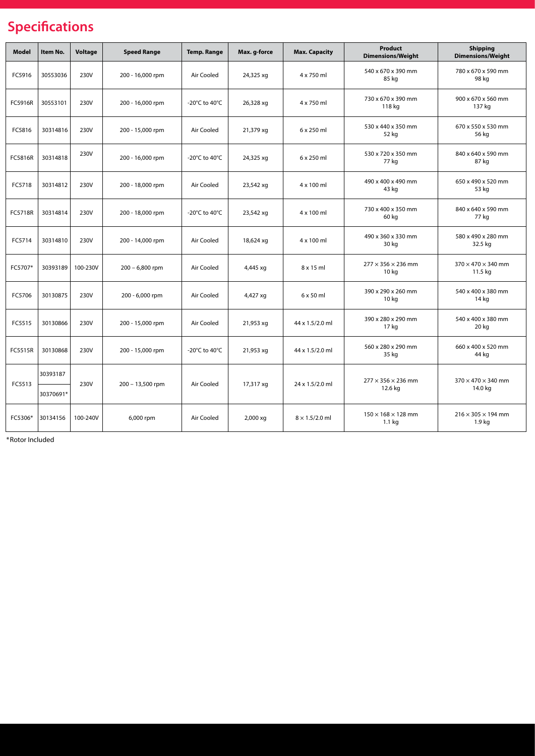#### **Specifications**

| Model   | Item No.  | <b>Voltage</b> | <b>Speed Range</b> | <b>Temp. Range</b> | Max. g-force | <b>Max. Capacity</b>  | <b>Product</b><br><b>Dimensions/Weight</b>          | <b>Shipping</b><br><b>Dimensions/Weight</b> |
|---------|-----------|----------------|--------------------|--------------------|--------------|-----------------------|-----------------------------------------------------|---------------------------------------------|
| FC5916  | 30553036  | 230V           | 200 - 16,000 rpm   | Air Cooled         | 24,325 xg    | 4 x 750 ml            | 540 x 670 x 390 mm<br>85 kg                         | 780 x 670 x 590 mm<br>98 kg                 |
| FC5916R | 30553101  | 230V           | 200 - 16,000 rpm   | -20°C to 40°C      | 26,328 xg    | 4 x 750 ml            | 730 x 670 x 390 mm<br>118 kg                        | 900 x 670 x 560 mm<br>137 kg                |
| FC5816  | 30314816  | 230V           | 200 - 15,000 rpm   | Air Cooled         | 21,379 xg    | 6 x 250 ml            | 530 x 440 x 350 mm<br>52 kg                         | 670 x 550 x 530 mm<br>56 kg                 |
| FC5816R | 30314818  | 230V           | 200 - 16,000 rpm   | -20°C to 40°C      | 24,325 xg    | 6 x 250 ml            | 530 x 720 x 350 mm<br>77 kg                         | 840 x 640 x 590 mm<br>87 kg                 |
| FC5718  | 30314812  | 230V           | 200 - 18,000 rpm   | Air Cooled         | 23,542 xg    | 4 x 100 ml            | 490 x 400 x 490 mm<br>43 kg                         | 650 x 490 x 520 mm<br>53 kg                 |
| FC5718R | 30314814  | 230V           | 200 - 18,000 rpm   | -20°C to 40°C      | 23,542 xg    | 4 x 100 ml            | 730 x 400 x 350 mm<br>60 kg                         | 840 x 640 x 590 mm<br>77 kg                 |
| FC5714  | 30314810  | 230V           | 200 - 14,000 rpm   | Air Cooled         | 18,624 xg    | 4 x 100 ml            | 490 x 360 x 330 mm<br>30 kg                         | 580 x 490 x 280 mm<br>32.5 kg               |
| FC5707* | 30393189  | 100-230V       | $200 - 6,800$ rpm  | Air Cooled         | 4,445 xg     | 8 x 15 ml             | $277 \times 356 \times 236$ mm<br>10 <sub>kg</sub>  | $370 \times 470 \times 340$ mm<br>11.5 kg   |
| FC5706  | 30130875  | 230V           | 200 - 6,000 rpm    | Air Cooled         | 4,427 xg     | $6 \times 50$ ml      | 390 x 290 x 260 mm<br>10 kg                         | 540 x 400 x 380 mm<br>14 kg                 |
| FC5515  | 30130866  | 230V           | 200 - 15,000 rpm   | Air Cooled         | 21,953 xg    | 44 x 1.5/2.0 ml       | 390 x 280 x 290 mm<br>17 kg                         | 540 x 400 x 380 mm<br>20 kg                 |
| FC5515R | 30130868  | 230V           | 200 - 15,000 rpm   | -20°C to 40°C      | 21,953 xg    | 44 x 1.5/2.0 ml       | 560 x 280 x 290 mm<br>35 kg                         | 660 x 400 x 520 mm<br>44 kg                 |
|         | 30393187  |                |                    |                    |              |                       | $277 \times 356 \times 236$ mm                      | $370 \times 470 \times 340$ mm              |
| FC5513  | 30370691* | 230V           | 200 - 13,500 rpm   | Air Cooled         | 17,317 xg    | 24 x 1.5/2.0 ml       | 12.6 kg                                             | 14.0 kg                                     |
| FC5306* | 30134156  | 100-240V       | 6,000 rpm          | Air Cooled         | 2,000 xg     | $8 \times 1.5/2.0$ ml | $150 \times 168 \times 128$ mm<br>1.1 <sub>kg</sub> | $216 \times 305 \times 194$ mm<br>1.9 kg    |

\*Rotor Included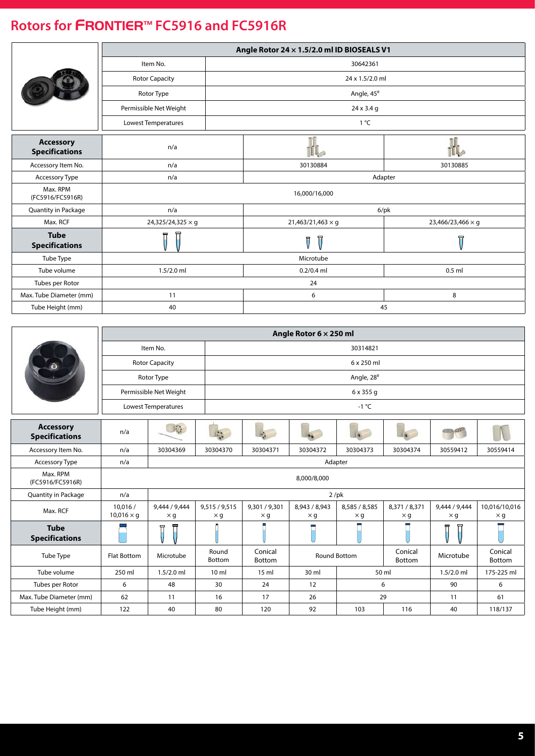<span id="page-4-0"></span>

|                                           |                        |  | Angle Rotor 24 x 1.5/2.0 ml ID BIOSEALS V1 |                   |  |  |  |
|-------------------------------------------|------------------------|--|--------------------------------------------|-------------------|--|--|--|
|                                           | Item No.               |  | 30642361                                   |                   |  |  |  |
|                                           | <b>Rotor Capacity</b>  |  | 24 x 1.5/2.0 ml                            |                   |  |  |  |
|                                           | Rotor Type             |  | Angle, 45°                                 |                   |  |  |  |
|                                           | Permissible Net Weight |  | 24 x 3.4 g                                 |                   |  |  |  |
|                                           | Lowest Temperatures    |  | $1^{\circ}C$                               |                   |  |  |  |
| <b>Accessory</b><br><b>Specifications</b> | n/a                    |  |                                            |                   |  |  |  |
| Accessory Item No.                        | n/a                    |  | 30130884                                   | 30130885          |  |  |  |
| Accessory Type                            | n/a                    |  | Adapter                                    |                   |  |  |  |
| Max. RPM<br>(FC5916/FC5916R)              |                        |  | 16,000/16,000                              |                   |  |  |  |
| Quantity in Package                       | n/a                    |  | $6$ /pk                                    |                   |  |  |  |
| Max. RCF                                  | 24,325/24,325 × g      |  | $21,463/21,463 \times g$                   | 23,466/23,466 × g |  |  |  |
| <b>Tube</b><br><b>Specifications</b>      | 듀                      |  | 日<br>$\overline{\mathsf{U}}$               | 묘                 |  |  |  |
| Tube Type                                 |                        |  | Microtube                                  |                   |  |  |  |
| Tube volume                               | $1.5/2.0$ ml           |  | $0.2/0.4$ ml<br>$0.5$ ml                   |                   |  |  |  |
| Tubes per Rotor                           |                        |  | 24                                         |                   |  |  |  |
| Max. Tube Diameter (mm)                   | 11                     |  | 6                                          | 8                 |  |  |  |
| Tube Height (mm)                          | 40                     |  | 45                                         |                   |  |  |  |

|                                           | Angle Rotor 6 x 250 ml        |                                 |                             |                             |                             |                             |                             |                             |                             |  |  |
|-------------------------------------------|-------------------------------|---------------------------------|-----------------------------|-----------------------------|-----------------------------|-----------------------------|-----------------------------|-----------------------------|-----------------------------|--|--|
|                                           |                               | Item No.                        |                             | 30314821                    |                             |                             |                             |                             |                             |  |  |
|                                           |                               | <b>Rotor Capacity</b>           |                             |                             |                             | 6 x 250 ml                  |                             |                             |                             |  |  |
|                                           |                               | Rotor Type                      |                             |                             |                             | Angle, 28°                  |                             |                             |                             |  |  |
|                                           |                               | Permissible Net Weight          |                             |                             |                             | 6 x 355 g                   |                             |                             |                             |  |  |
|                                           |                               | Lowest Temperatures             |                             |                             |                             | $-1$ °C                     |                             |                             |                             |  |  |
| <b>Accessory</b><br><b>Specifications</b> | n/a                           | $\mathbf{J}$ .                  | Li <sub>k</sub>             |                             |                             |                             |                             |                             |                             |  |  |
| Accessory Item No.                        | n/a                           | 30304369                        | 30304370                    | 30304371                    | 30304372                    | 30304373                    | 30304374                    | 30559412                    | 30559414                    |  |  |
| Accessory Type                            | n/a                           |                                 |                             |                             |                             | Adapter                     |                             |                             |                             |  |  |
| Max. RPM<br>(FC5916/FC5916R)              |                               |                                 |                             |                             | 8,000/8,000                 |                             |                             |                             |                             |  |  |
| <b>Quantity in Package</b>                | n/a                           |                                 |                             |                             |                             | $2$ /pk                     |                             |                             |                             |  |  |
| Max. RCF                                  | 10,016 /<br>$10,016 \times q$ | 9,444 / 9,444<br>$\times$ g     | 9,515 / 9,515<br>$\times$ g | 9,301 / 9,301<br>$\times$ g | 8,943 / 8,943<br>$\times$ g | 8,585 / 8,585<br>$\times$ g | 8,371 / 8,371<br>$\times$ g | 9,444 / 9,444<br>$\times$ g | 10,016/10,016<br>$\times$ g |  |  |
| <b>Tube</b><br><b>Specifications</b>      |                               | 뉴                               |                             |                             |                             |                             |                             |                             |                             |  |  |
| Tube Type                                 | Flat Bottom                   | Microtube                       | Round<br>Bottom             | Conical<br>Bottom           |                             | <b>Round Bottom</b>         | Conical<br>Bottom           | Microtube                   | Conical<br>Bottom           |  |  |
| Tube volume                               | 250 ml                        | $1.5/2.0$ ml                    | 10 <sub>m</sub>             | 15 <sub>m</sub>             | 30 ml                       |                             | 50 ml                       | $1.5/2.0$ ml                | 175-225 ml                  |  |  |
| Tubes per Rotor                           | 6                             | 48<br>30<br>24<br>12<br>6<br>90 |                             |                             |                             |                             |                             | 6                           |                             |  |  |
| Max. Tube Diameter (mm)                   | 62                            | 11                              | 16                          | 17                          | 26                          |                             | 29                          | 11                          | 61                          |  |  |
| Tube Height (mm)                          | 122                           | 40                              | 80                          | 120                         | 92                          | 103                         | 116                         | 40                          | 118/137                     |  |  |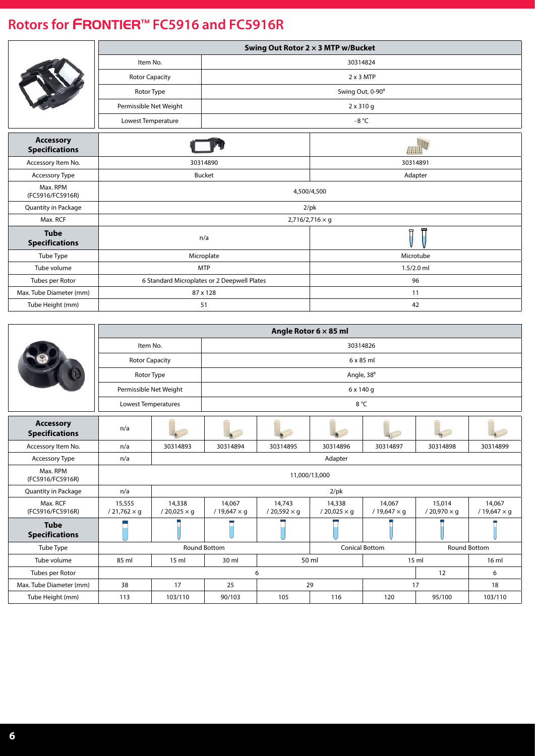|                                           | Swing Out Rotor 2 x 3 MTP w/Bucket          |               |                        |  |  |  |  |
|-------------------------------------------|---------------------------------------------|---------------|------------------------|--|--|--|--|
|                                           | Item No.                                    |               | 30314824               |  |  |  |  |
|                                           | <b>Rotor Capacity</b>                       |               | $2 \times 3$ MTP       |  |  |  |  |
|                                           | Rotor Type                                  |               | Swing Out, 0-90°       |  |  |  |  |
|                                           | Permissible Net Weight                      |               | $2 \times 310$ g       |  |  |  |  |
|                                           | Lowest Temperature                          |               | -8 $^{\circ}$ C        |  |  |  |  |
| <b>Accessory</b><br><b>Specifications</b> |                                             |               | <u>/////////</u>       |  |  |  |  |
| Accessory Item No.                        |                                             | 30314890      | 30314891               |  |  |  |  |
| Accessory Type                            |                                             | <b>Bucket</b> | Adapter                |  |  |  |  |
| Max. RPM<br>(FC5916/FC5916R)              |                                             |               | 4,500/4,500            |  |  |  |  |
| Quantity in Package                       |                                             |               | $2$ /pk                |  |  |  |  |
| Max. RCF                                  |                                             |               | $2,716/2,716 \times g$ |  |  |  |  |
| <b>Tube</b><br><b>Specifications</b>      |                                             | n/a           | 뉴                      |  |  |  |  |
| Tube Type                                 |                                             | Microplate    | Microtube              |  |  |  |  |
| Tube volume                               |                                             | <b>MTP</b>    | $1.5/2.0$ ml           |  |  |  |  |
| Tubes per Rotor                           | 6 Standard Microplates or 2 Deepwell Plates |               | 96                     |  |  |  |  |
| Max. Tube Diameter (mm)                   |                                             | 87 x 128      | 11                     |  |  |  |  |
| Tube Height (mm)                          |                                             | 51            | 42                     |  |  |  |  |

|                                           |                              |                                                                     |                              |                              | Angle Rotor $6 \times 85$ ml |                              |                              |                              |  |  |
|-------------------------------------------|------------------------------|---------------------------------------------------------------------|------------------------------|------------------------------|------------------------------|------------------------------|------------------------------|------------------------------|--|--|
|                                           | Item No.                     |                                                                     | 30314826                     |                              |                              |                              |                              |                              |  |  |
|                                           | <b>Rotor Capacity</b>        |                                                                     | $6 \times 85$ ml             |                              |                              |                              |                              |                              |  |  |
|                                           | Rotor Type                   |                                                                     |                              |                              | Angle, 38°                   |                              |                              |                              |  |  |
|                                           | Permissible Net Weight       |                                                                     |                              |                              | 6 x 140 g                    |                              |                              |                              |  |  |
|                                           | <b>Lowest Temperatures</b>   |                                                                     |                              | 8 °C                         |                              |                              |                              |                              |  |  |
| <b>Accessory</b><br><b>Specifications</b> | n/a                          |                                                                     |                              |                              |                              |                              |                              |                              |  |  |
| Accessory Item No.                        | n/a                          | 30314893                                                            | 30314894                     | 30314895                     | 30314896                     | 30314897                     | 30314898                     | 30314899                     |  |  |
| <b>Accessory Type</b>                     | n/a                          |                                                                     |                              |                              | Adapter                      |                              |                              |                              |  |  |
| Max. RPM<br>(FC5916/FC5916R)              |                              |                                                                     |                              | 11,000/13,000                |                              |                              |                              |                              |  |  |
| Quantity in Package                       | n/a                          |                                                                     |                              |                              | $2$ /pk                      |                              |                              |                              |  |  |
| Max. RCF<br>(FC5916/FC5916R)              | 15,555<br>$/21,762 \times g$ | 14,338<br>$/ 20,025 \times g$                                       | 14,067<br>$/19,647 \times g$ | 14,743<br>$/20,592 \times q$ | 14,338<br>$/20,025 \times q$ | 14,067<br>$/19,647 \times g$ | 15,014<br>$/20,970 \times q$ | 14,067<br>$/19,647 \times q$ |  |  |
| <b>Tube</b><br><b>Specifications</b>      |                              |                                                                     |                              |                              |                              |                              |                              |                              |  |  |
| Tube Type                                 |                              | <b>Conical Bottom</b><br><b>Round Bottom</b><br><b>Round Bottom</b> |                              |                              |                              |                              |                              |                              |  |  |
| Tube volume                               | 85 ml                        | 50 ml<br>15 <sub>m</sub><br>30 ml<br>15 <sub>m</sub>                |                              |                              |                              |                              | $16 \text{ ml}$              |                              |  |  |
| Tubes per Rotor                           |                              |                                                                     |                              | 6                            |                              |                              | 12                           | 6                            |  |  |
| Max. Tube Diameter (mm)                   | 38                           | 17                                                                  | 25                           | 29                           |                              |                              | 17                           | 18                           |  |  |
| Tube Height (mm)                          | 113                          | 103/110                                                             | 90/103                       | 105                          | 116                          | 120                          | 95/100                       | 103/110                      |  |  |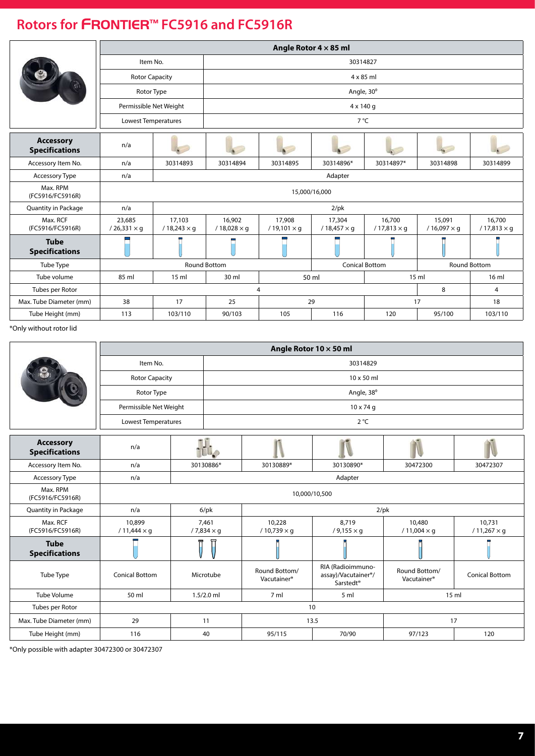|                                           |                              |                                            |                              |                              | Angle Rotor $4 \times 85$ ml |                              |                              |                              |  |  |
|-------------------------------------------|------------------------------|--------------------------------------------|------------------------------|------------------------------|------------------------------|------------------------------|------------------------------|------------------------------|--|--|
|                                           | Item No.                     |                                            | 30314827                     |                              |                              |                              |                              |                              |  |  |
|                                           | <b>Rotor Capacity</b>        |                                            |                              |                              |                              | $4 \times 85$ ml             |                              |                              |  |  |
|                                           | Rotor Type                   |                                            |                              |                              | Angle, 30°                   |                              |                              |                              |  |  |
|                                           | Permissible Net Weight       |                                            |                              |                              | 4 x 140 g                    |                              |                              |                              |  |  |
|                                           | Lowest Temperatures          |                                            |                              |                              | $7^{\circ}$ C                |                              |                              |                              |  |  |
| <b>Accessory</b><br><b>Specifications</b> | n/a                          |                                            |                              |                              |                              |                              |                              |                              |  |  |
| Accessory Item No.                        | n/a                          | 30314893                                   | 30314894                     | 30314895                     | 30314896*                    | 30314897*                    | 30314898                     | 30314899                     |  |  |
| Accessory Type                            | n/a                          | Adapter                                    |                              |                              |                              |                              |                              |                              |  |  |
| Max. RPM<br>(FC5916/FC5916R)              |                              |                                            |                              |                              | 15,000/16,000                |                              |                              |                              |  |  |
| <b>Quantity in Package</b>                | n/a                          |                                            |                              |                              | $2$ /pk                      |                              |                              |                              |  |  |
| Max. RCF<br>(FC5916/FC5916R)              | 23,685<br>$/26,331 \times q$ | 17,103<br>$/18,243 \times g$               | 16,902<br>$/18,028 \times g$ | 17,908<br>$/19,101 \times q$ | 17,304<br>$/18,457 \times g$ | 16,700<br>$/17,813 \times q$ | 15,091<br>$/16,097 \times q$ | 16,700<br>$/17,813 \times q$ |  |  |
| <b>Tube</b><br><b>Specifications</b>      |                              |                                            |                              |                              |                              |                              |                              |                              |  |  |
| Tube Type                                 |                              |                                            | Round Bottom                 |                              |                              | <b>Conical Bottom</b>        |                              | <b>Round Bottom</b>          |  |  |
| Tube volume                               | 85 ml                        | 50 ml<br>30 ml<br>15 <sub>m</sub><br>15 ml |                              |                              |                              |                              |                              | 16 <sub>m</sub>              |  |  |
| Tubes per Rotor                           |                              |                                            |                              | 4                            |                              |                              | 8                            | $\overline{4}$               |  |  |
| Max. Tube Diameter (mm)                   | 38                           | 17                                         | 25                           |                              | 29                           |                              | 17                           | 18                           |  |  |
| Tube Height (mm)                          | 113                          | 103/110                                    | 90/103                       | 105                          | 116                          | 120                          | 95/100                       | 103/110                      |  |  |

\*Only without rotor lid

|                                           |                              |                            |  | Angle Rotor 10 $\times$ 50 ml            |                                                                                |                                          |                              |  |  |
|-------------------------------------------|------------------------------|----------------------------|--|------------------------------------------|--------------------------------------------------------------------------------|------------------------------------------|------------------------------|--|--|
|                                           | Item No.                     |                            |  | 30314829                                 |                                                                                |                                          |                              |  |  |
|                                           | <b>Rotor Capacity</b>        |                            |  |                                          | 10 x 50 ml                                                                     |                                          |                              |  |  |
|                                           | Rotor Type                   |                            |  |                                          | Angle, 38°                                                                     |                                          |                              |  |  |
|                                           | Permissible Net Weight       |                            |  |                                          | $10 \times 74$ q                                                               |                                          |                              |  |  |
|                                           | Lowest Temperatures          |                            |  | $2^{\circ}C$                             |                                                                                |                                          |                              |  |  |
| <b>Accessory</b><br><b>Specifications</b> | n/a                          |                            |  |                                          |                                                                                |                                          |                              |  |  |
| Accessory Item No.                        | n/a                          | 30130886*                  |  | 30130889*                                | 30130890*                                                                      | 30472300                                 | 30472307                     |  |  |
| Accessory Type                            | n/a                          |                            |  |                                          | Adapter                                                                        |                                          |                              |  |  |
| Max. RPM<br>(FC5916/FC5916R)              | 10,000/10,500                |                            |  |                                          |                                                                                |                                          |                              |  |  |
| <b>Quantity in Package</b>                | n/a                          | $6$ /p $k$                 |  | $2$ /pk                                  |                                                                                |                                          |                              |  |  |
| Max. RCF<br>(FC5916/FC5916R)              | 10,899<br>$/11,444 \times g$ | 7,461<br>$/7,834 \times q$ |  | 10,228<br>$/10,739 \times g$             | 8,719<br>$/ 9,155 \times g$                                                    | 10,480<br>$/11,004 \times q$             | 10,731<br>$/11,267 \times g$ |  |  |
| <b>Tube</b><br><b>Specifications</b>      |                              |                            |  |                                          |                                                                                |                                          |                              |  |  |
| Tube Type                                 | <b>Conical Bottom</b>        | Microtube                  |  | Round Bottom/<br>Vacutainer <sup>®</sup> | RIA (Radioimmuno-<br>assay)/Vacutainer <sup>®</sup> /<br>Sarstedt <sup>®</sup> | Round Bottom/<br>Vacutainer <sup>®</sup> | <b>Conical Bottom</b>        |  |  |
| <b>Tube Volume</b>                        | 50 ml                        | $1.5/2.0$ ml               |  | 7 ml                                     | 5 ml<br>15 ml                                                                  |                                          |                              |  |  |
| Tubes per Rotor                           |                              |                            |  |                                          | 10                                                                             |                                          |                              |  |  |
| Max. Tube Diameter (mm)                   | 29                           | 11                         |  |                                          | 13.5                                                                           |                                          | 17                           |  |  |
| Tube Height (mm)                          | 116                          | 40                         |  | 95/115                                   | 70/90                                                                          | 97/123                                   | 120                          |  |  |

\*Only possible with adapter 30472300 or 30472307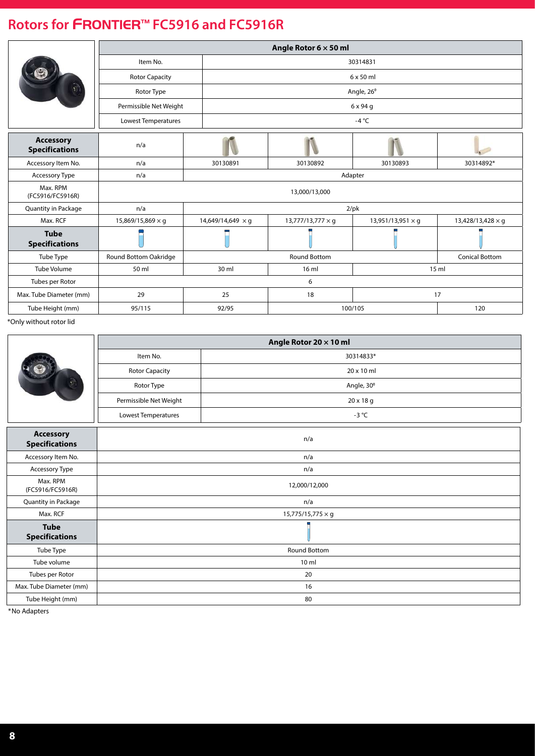|                                           |                          |                          | Angle Rotor $6 \times 50$ ml |                          |                          |  |  |
|-------------------------------------------|--------------------------|--------------------------|------------------------------|--------------------------|--------------------------|--|--|
|                                           | Item No.                 |                          | 30314831                     |                          |                          |  |  |
|                                           | <b>Rotor Capacity</b>    |                          |                              | $6 \times 50$ ml         |                          |  |  |
|                                           | Rotor Type               |                          |                              | Angle, 26°               |                          |  |  |
|                                           | Permissible Net Weight   |                          |                              | 6 x 94 g                 |                          |  |  |
|                                           | Lowest Temperatures      |                          |                              | -4 $^{\circ}$ C          |                          |  |  |
| <b>Accessory</b><br><b>Specifications</b> | n/a                      |                          |                              |                          |                          |  |  |
| Accessory Item No.                        | n/a                      | 30130891                 | 30130892                     | 30130893                 | 30314892*                |  |  |
| Accessory Type                            | n/a                      |                          | Adapter                      |                          |                          |  |  |
| Max. RPM<br>(FC5916/FC5916R)              |                          |                          | 13,000/13,000                |                          |                          |  |  |
| Quantity in Package                       | n/a                      |                          | $2$ /pk                      |                          |                          |  |  |
| Max. RCF                                  | 15,869/15,869 $\times$ q | 14,649/14,649 $\times$ q | $13,777/13,777 \times q$     | 13,951/13,951 $\times$ q | 13,428/13,428 $\times$ q |  |  |
| <b>Tube</b><br><b>Specifications</b>      |                          |                          |                              |                          |                          |  |  |
| Tube Type                                 | Round Bottom Oakridge    |                          | <b>Round Bottom</b>          |                          | <b>Conical Bottom</b>    |  |  |
| <b>Tube Volume</b>                        | 50 ml                    | 30 ml                    | 16 <sub>m</sub>              |                          | 15 <sub>m</sub>          |  |  |
| Tubes per Rotor                           |                          |                          | 6                            |                          |                          |  |  |
| Max. Tube Diameter (mm)                   | 29                       | 25                       | 18                           |                          | 17                       |  |  |
| Tube Height (mm)                          | 95/115                   | 92/95                    |                              | 100/105                  | 120                      |  |  |

\*Only without rotor lid

|                                           |                        | Angle Rotor 20 x 10 ml   |  |  |  |  |
|-------------------------------------------|------------------------|--------------------------|--|--|--|--|
|                                           | Item No.               | 30314833*                |  |  |  |  |
|                                           | <b>Rotor Capacity</b>  | 20 x 10 ml               |  |  |  |  |
|                                           | Rotor Type             | Angle, 30°               |  |  |  |  |
|                                           | Permissible Net Weight | 20 x 18 g                |  |  |  |  |
|                                           | Lowest Temperatures    | $-3$ °C                  |  |  |  |  |
| <b>Accessory</b><br><b>Specifications</b> |                        | n/a                      |  |  |  |  |
| Accessory Item No.                        | n/a                    |                          |  |  |  |  |
| Accessory Type                            | n/a                    |                          |  |  |  |  |
| Max. RPM<br>(FC5916/FC5916R)              |                        | 12,000/12,000            |  |  |  |  |
| Quantity in Package                       |                        | n/a                      |  |  |  |  |
| Max. RCF                                  |                        | $15,775/15,775 \times g$ |  |  |  |  |
| <b>Tube</b><br><b>Specifications</b>      |                        |                          |  |  |  |  |
| Tube Type                                 |                        | <b>Round Bottom</b>      |  |  |  |  |
| Tube volume                               | 10 <sub>m</sub>        |                          |  |  |  |  |
| Tubes per Rotor                           | 20                     |                          |  |  |  |  |
| Max. Tube Diameter (mm)                   |                        | 16                       |  |  |  |  |
| Tube Height (mm)                          |                        | 80                       |  |  |  |  |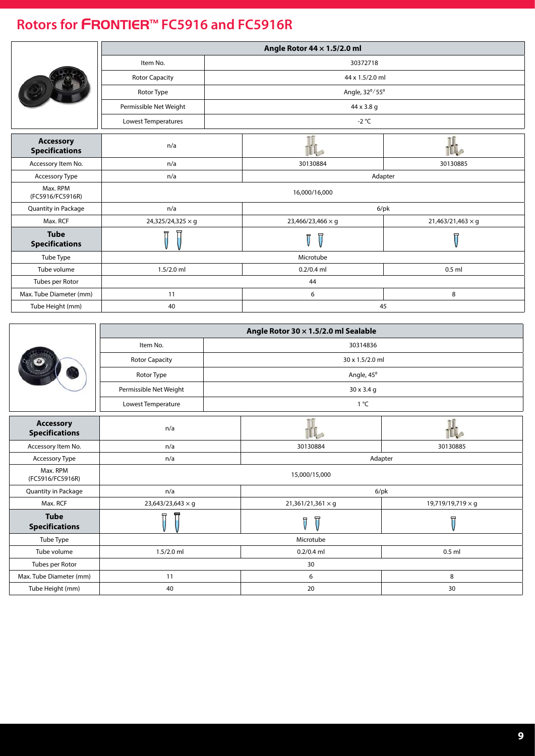|                                           |                        |  | Angle Rotor 44 x 1.5/2.0 ml |                          |  |  |  |
|-------------------------------------------|------------------------|--|-----------------------------|--------------------------|--|--|--|
|                                           | Item No.               |  | 30372718                    |                          |  |  |  |
|                                           | <b>Rotor Capacity</b>  |  | 44 x 1.5/2.0 ml             |                          |  |  |  |
|                                           | Rotor Type             |  | Angle, 32°/55°              |                          |  |  |  |
|                                           | Permissible Net Weight |  | 44 x 3.8 g                  |                          |  |  |  |
|                                           | Lowest Temperatures    |  | -2 $^{\circ}$ C             |                          |  |  |  |
| <b>Accessory</b><br><b>Specifications</b> | n/a                    |  |                             |                          |  |  |  |
| Accessory Item No.                        | n/a                    |  | 30130884                    | 30130885                 |  |  |  |
| Accessory Type                            | n/a                    |  | Adapter                     |                          |  |  |  |
| Max. RPM<br>(FC5916/FC5916R)              |                        |  | 16,000/16,000               |                          |  |  |  |
| Quantity in Package                       | n/a                    |  | $6$ /pk                     |                          |  |  |  |
| Max. RCF                                  | 24,325/24,325 × g      |  | 23,466/23,466 × g           | $21,463/21,463 \times g$ |  |  |  |
| <b>Tube</b><br><b>Specifications</b>      |                        |  | Ţ<br>Ī                      | 曱                        |  |  |  |
| Tube Type                                 |                        |  | Microtube                   |                          |  |  |  |
| Tube volume                               | $1.5/2.0$ ml           |  | $0.2/0.4$ ml<br>$0.5$ ml    |                          |  |  |  |
| Tubes per Rotor                           |                        |  | 44                          |                          |  |  |  |
| Max. Tube Diameter (mm)                   | 11                     |  | 6                           | 8                        |  |  |  |
| Tube Height (mm)                          | 40                     |  | 45                          |                          |  |  |  |

|                                           |                          |  | Angle Rotor 30 $\times$ 1.5/2.0 ml Sealable |                   |  |  |  |
|-------------------------------------------|--------------------------|--|---------------------------------------------|-------------------|--|--|--|
|                                           | Item No.                 |  | 30314836                                    |                   |  |  |  |
|                                           | <b>Rotor Capacity</b>    |  | 30 x 1.5/2.0 ml                             |                   |  |  |  |
|                                           | Rotor Type               |  | Angle, 45°                                  |                   |  |  |  |
|                                           | Permissible Net Weight   |  | 30 x 3.4 g                                  |                   |  |  |  |
|                                           | Lowest Temperature       |  | $1^{\circ}C$                                |                   |  |  |  |
| <b>Accessory</b><br><b>Specifications</b> | n/a                      |  |                                             |                   |  |  |  |
| Accessory Item No.                        | n/a                      |  | 30130884                                    | 30130885          |  |  |  |
| Accessory Type                            | n/a                      |  | Adapter                                     |                   |  |  |  |
| Max. RPM<br>(FC5916/FC5916R)              |                          |  | 15,000/15,000                               |                   |  |  |  |
| Quantity in Package                       | n/a                      |  | $6$ /pk                                     |                   |  |  |  |
| Max. RCF                                  | $23,643/23,643 \times g$ |  | $21,361/21,361 \times g$                    | 19,719/19,719 × g |  |  |  |
| <b>Tube</b><br><b>Specifications</b>      | ᡏ<br>Ħ                   |  | π<br>$\overline{0}$                         | Ţ                 |  |  |  |
| Tube Type                                 |                          |  | Microtube                                   |                   |  |  |  |
| Tube volume                               | $1.5/2.0$ ml             |  | $0.2/0.4$ ml<br>$0.5$ ml                    |                   |  |  |  |
| Tubes per Rotor                           |                          |  | 30                                          |                   |  |  |  |
| Max. Tube Diameter (mm)                   | 11                       |  | 6                                           | 8                 |  |  |  |
| Tube Height (mm)                          | 40                       |  | 20                                          | 30                |  |  |  |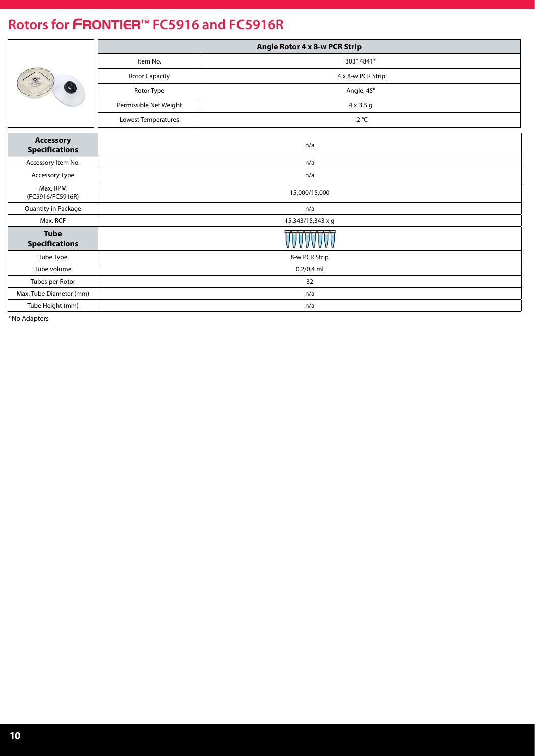|                                           |                        | Angle Rotor 4 x 8-w PCR Strip |  |  |  |  |  |
|-------------------------------------------|------------------------|-------------------------------|--|--|--|--|--|
|                                           | Item No.               | 30314841*                     |  |  |  |  |  |
| $\frac{1}{2}$                             | <b>Rotor Capacity</b>  | 4 x 8-w PCR Strip             |  |  |  |  |  |
| Ñ.                                        | Rotor Type             | Angle, 45°                    |  |  |  |  |  |
|                                           | Permissible Net Weight | $4 \times 3.5$ g              |  |  |  |  |  |
|                                           | Lowest Temperatures    | $-2$ °C                       |  |  |  |  |  |
| <b>Accessory</b><br><b>Specifications</b> |                        | n/a                           |  |  |  |  |  |
| Accessory Item No.                        | n/a                    |                               |  |  |  |  |  |
| Accessory Type                            | n/a                    |                               |  |  |  |  |  |
| Max. RPM<br>(FC5916/FC5916R)              |                        | 15,000/15,000                 |  |  |  |  |  |
| Quantity in Package                       |                        | n/a                           |  |  |  |  |  |
| Max. RCF                                  |                        | 15,343/15,343 x g             |  |  |  |  |  |
| <b>Tube</b><br><b>Specifications</b>      |                        |                               |  |  |  |  |  |
| Tube Type                                 |                        | 8-w PCR Strip                 |  |  |  |  |  |
| Tube volume                               | $0.2/0.4$ ml           |                               |  |  |  |  |  |
| Tubes per Rotor                           | 32                     |                               |  |  |  |  |  |
| Max. Tube Diameter (mm)                   |                        | n/a                           |  |  |  |  |  |
| Tube Height (mm)                          | n/a                    |                               |  |  |  |  |  |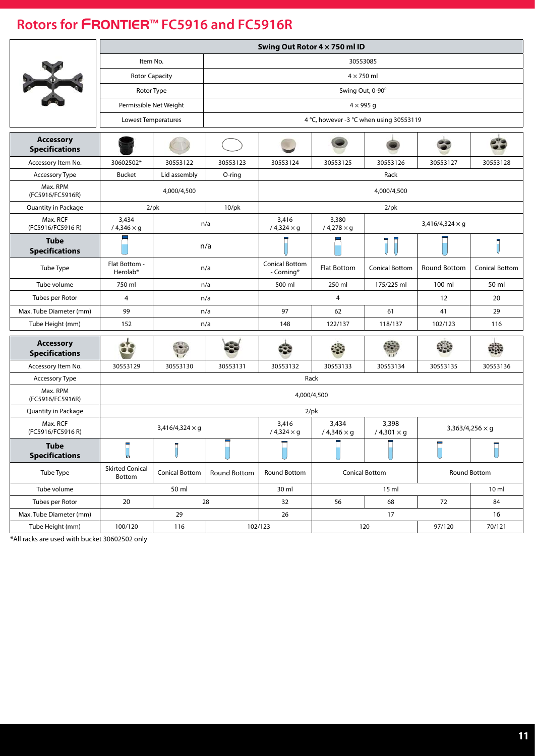|                                           | Swing Out Rotor 4 x 750 ml ID         |                        |              |                            |                            |                                         |                        |                        |  |  |  |
|-------------------------------------------|---------------------------------------|------------------------|--------------|----------------------------|----------------------------|-----------------------------------------|------------------------|------------------------|--|--|--|
|                                           | Item No.                              |                        |              |                            |                            | 30553085                                |                        |                        |  |  |  |
|                                           | <b>Rotor Capacity</b>                 |                        |              |                            | $4 \times 750$ ml          |                                         |                        |                        |  |  |  |
|                                           | Rotor Type                            |                        |              |                            |                            | Swing Out, 0-90°                        |                        |                        |  |  |  |
|                                           | Permissible Net Weight                |                        |              |                            |                            | $4 \times 995$ g                        |                        |                        |  |  |  |
|                                           | Lowest Temperatures                   |                        |              |                            |                            | 4 °C, however -3 °C when using 30553119 |                        |                        |  |  |  |
| <b>Accessory</b><br><b>Specifications</b> |                                       |                        |              |                            |                            |                                         |                        |                        |  |  |  |
| Accessory Item No.                        | 30602502*                             | 30553122               | 30553123     | 30553124                   | 30553125                   | 30553126                                | 30553127               | 30553128               |  |  |  |
| <b>Accessory Type</b>                     | <b>Bucket</b>                         | Lid assembly           | O-ring       |                            |                            | Rack                                    |                        |                        |  |  |  |
| Max. RPM<br>(FC5916/FC5916R)              |                                       | 4,000/4,500            |              |                            |                            | 4,000/4,500                             |                        |                        |  |  |  |
| Quantity in Package                       |                                       | $2$ /pk                | $10$ /pk     |                            |                            | $2$ /pk                                 |                        |                        |  |  |  |
| Max. RCF<br>(FC5916/FC5916 R)             | 3,434<br>$/4,346 \times g$            |                        | n/a          | 3,416<br>$/4,324 \times g$ | 3,380<br>$/4,278 \times g$ |                                         | $3,416/4,324 \times q$ |                        |  |  |  |
| <b>Tube</b><br><b>Specifications</b>      |                                       |                        | n/a          |                            |                            |                                         |                        |                        |  |  |  |
| Tube Type                                 | Flat Bottom -<br>Herolab <sup>®</sup> |                        | n/a          |                            | <b>Flat Bottom</b>         | <b>Conical Bottom</b>                   | Round Bottom           | <b>Conical Bottom</b>  |  |  |  |
| Tube volume                               | 750 ml                                |                        | n/a          | 500 ml                     | 250 ml                     | 175/225 ml                              | 100 ml                 | 50 ml                  |  |  |  |
| Tubes per Rotor                           | 4                                     |                        | n/a          |                            | 4                          |                                         | 12                     | 20                     |  |  |  |
| Max. Tube Diameter (mm)                   | 99                                    |                        | n/a          | 97                         | 62                         | 61                                      | 41                     | 29                     |  |  |  |
| Tube Height (mm)                          | 152                                   |                        | n/a          | 148                        | 122/137                    | 118/137                                 | 102/123                | 116                    |  |  |  |
| <b>Accessory</b><br><b>Specifications</b> |                                       | t.                     |              | æ                          |                            |                                         |                        |                        |  |  |  |
| Accessory Item No.                        | 30553129                              | 30553130               | 30553131     | 30553132                   | 30553133                   | 30553134                                | 30553135               | 30553136               |  |  |  |
| Accessory Type                            |                                       |                        |              |                            | Rack                       |                                         |                        |                        |  |  |  |
| Max. RPM<br>(FC5916/FC5916R)              |                                       |                        |              |                            | 4,000/4,500                |                                         |                        |                        |  |  |  |
| Quantity in Package                       |                                       |                        |              |                            | $2$ /pk                    |                                         |                        |                        |  |  |  |
| Max. RCF<br>(FC5916/FC5916 R)             |                                       | $3,416/4,324 \times g$ |              | 3,416<br>$/4,324 \times g$ | 3,434<br>$/4,346 \times g$ | 3,398<br>$/4,301 \times g$              |                        | $3,363/4,256 \times g$ |  |  |  |
| <b>Tube</b><br><b>Specifications</b>      |                                       |                        | ᆖ            |                            |                            |                                         |                        |                        |  |  |  |
| Tube Type                                 | <b>Skirted Conical</b><br>Bottom      | Conical Bottom         | Round Bottom | <b>Round Bottom</b>        |                            | <b>Conical Bottom</b>                   |                        | Round Bottom           |  |  |  |
| Tube volume                               |                                       | 50 ml                  |              | 30 ml                      |                            | 15 <sub>ml</sub>                        |                        | 10 <sub>m</sub>        |  |  |  |
| Tubes per Rotor                           | 20                                    |                        | 28           | 32                         | 56                         | 68                                      | 72                     | 84                     |  |  |  |
| Max. Tube Diameter (mm)                   |                                       | 29                     |              | 26                         |                            | 17                                      |                        | 16                     |  |  |  |
| Tube Height (mm)                          | 100/120                               | 116                    |              | 102/123                    |                            | 120                                     |                        | 70/121                 |  |  |  |

\*All racks are used with bucket 30602502 only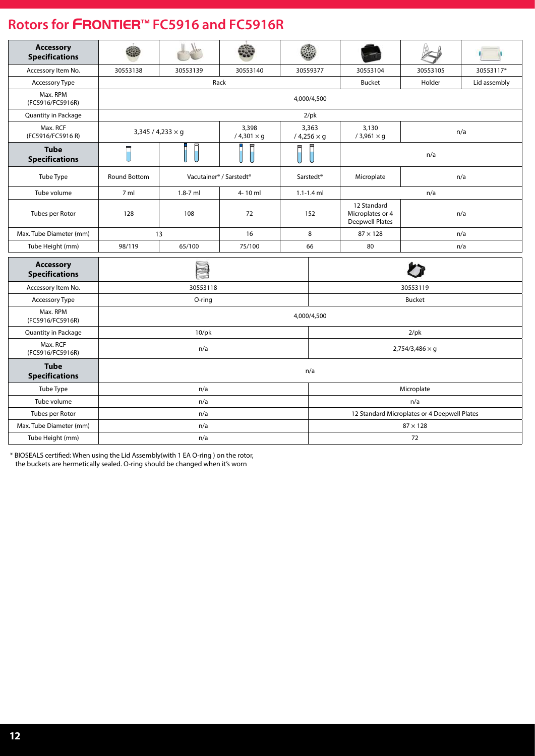| <b>Accessory</b><br><b>Specifications</b> |                |                          |                                                 |                            |                                              |                                                           |                        |              |  |  |
|-------------------------------------------|----------------|--------------------------|-------------------------------------------------|----------------------------|----------------------------------------------|-----------------------------------------------------------|------------------------|--------------|--|--|
| Accessory Item No.                        | 30553138       | 30553139                 | 30553140                                        |                            | 30559377                                     | 30553104                                                  | 30553105               | 30553117*    |  |  |
| Accessory Type                            |                |                          | Rack                                            |                            |                                              | <b>Bucket</b>                                             | Holder                 | Lid assembly |  |  |
| Max. RPM<br>(FC5916/FC5916R)              |                |                          |                                                 |                            | 4,000/4,500                                  |                                                           |                        |              |  |  |
| Quantity in Package                       |                |                          |                                                 |                            | $2$ /pk                                      |                                                           |                        |              |  |  |
| Max. RCF<br>(FC5916/FC5916 R)             |                | $3,345 / 4,233 \times g$ | 3,398<br>$/4,301 \times g$                      | 3,363<br>$/4,256 \times g$ | 3,130<br>n/a<br>$/3,961 \times g$            |                                                           |                        |              |  |  |
| <b>Tube</b><br><b>Specifications</b>      |                |                          |                                                 |                            |                                              | n/a                                                       |                        |              |  |  |
| Tube Type                                 | Round Bottom   |                          | Vacutainer <sup>®</sup> / Sarstedt <sup>®</sup> |                            | Sarstedt <sup>®</sup>                        | Microplate                                                |                        | n/a          |  |  |
| Tube volume                               | 7 <sub>m</sub> | $1.8 - 7$ ml             | 4-10 ml                                         |                            | $1.1 - 1.4$ ml                               |                                                           | n/a                    |              |  |  |
| Tubes per Rotor                           | 128            | 108                      | 72                                              |                            | 152                                          | 12 Standard<br>Microplates or 4<br><b>Deepwell Plates</b> |                        | n/a          |  |  |
| Max. Tube Diameter (mm)                   |                | 13                       | 16                                              |                            | 8                                            | $87 \times 128$                                           |                        | n/a          |  |  |
| Tube Height (mm)                          | 98/119         | 65/100                   | 75/100                                          |                            | 66                                           | 80                                                        |                        | n/a          |  |  |
| <b>Accessory</b><br><b>Specifications</b> |                |                          |                                                 |                            |                                              |                                                           |                        |              |  |  |
| Accessory Item No.                        |                | 30553118                 |                                                 |                            | 30553119                                     |                                                           |                        |              |  |  |
| Accessory Type                            |                | O-ring                   |                                                 |                            | <b>Bucket</b>                                |                                                           |                        |              |  |  |
| Max. RPM<br>(FC5916/FC5916R)              |                |                          |                                                 |                            | 4,000/4,500                                  |                                                           |                        |              |  |  |
| Quantity in Package                       |                | $10$ /pk                 |                                                 |                            |                                              |                                                           | $2$ /pk                |              |  |  |
| Max. RCF<br>(FC5916/FC5916R)              |                | n/a                      |                                                 |                            |                                              |                                                           | $2,754/3,486 \times g$ |              |  |  |
| <b>Tube</b><br><b>Specifications</b>      |                |                          |                                                 |                            | n/a                                          |                                                           |                        |              |  |  |
| Tube Type                                 |                | n/a                      |                                                 |                            |                                              |                                                           | Microplate             |              |  |  |
| Tube volume                               |                | n/a                      |                                                 |                            |                                              | n/a                                                       |                        |              |  |  |
| Tubes per Rotor                           |                | n/a                      |                                                 |                            | 12 Standard Microplates or 4 Deepwell Plates |                                                           |                        |              |  |  |
| Max. Tube Diameter (mm)                   |                | n/a                      |                                                 |                            |                                              |                                                           | $87 \times 128$        |              |  |  |
| Tube Height (mm)                          |                | n/a                      |                                                 |                            |                                              |                                                           | 72                     |              |  |  |

\* BIOSEALS certified: When using the Lid Assembly(with 1 EA O-ring ) on the rotor, the buckets are hermetically sealed. O-ring should be changed when it's worn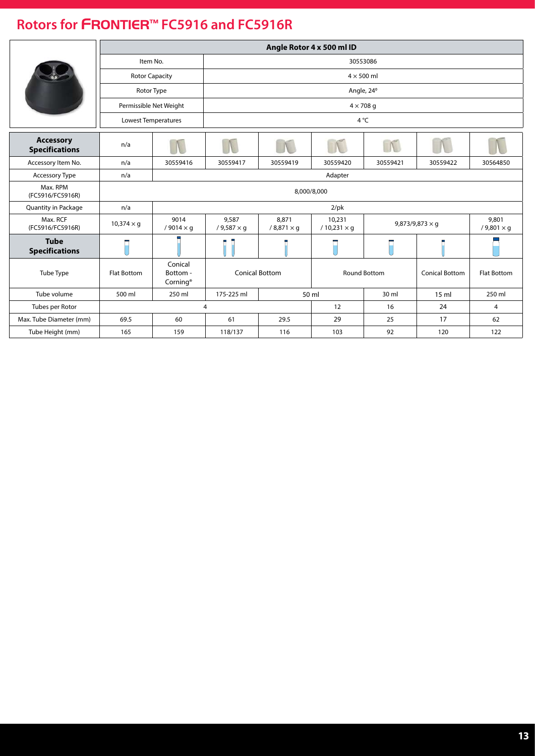|                                           |                        |                                             |                                                           |                               | Angle Rotor 4 x 500 ml ID                    |                        |                        |                             |  |  |  |  |
|-------------------------------------------|------------------------|---------------------------------------------|-----------------------------------------------------------|-------------------------------|----------------------------------------------|------------------------|------------------------|-----------------------------|--|--|--|--|
|                                           | Item No.               |                                             | 30553086                                                  |                               |                                              |                        |                        |                             |  |  |  |  |
|                                           | <b>Rotor Capacity</b>  |                                             |                                                           | $4 \times 500$ ml             |                                              |                        |                        |                             |  |  |  |  |
|                                           | Rotor Type             |                                             |                                                           |                               |                                              | Angle, 24 <sup>°</sup> |                        |                             |  |  |  |  |
|                                           | Permissible Net Weight |                                             |                                                           |                               |                                              | $4 \times 708$ q       |                        |                             |  |  |  |  |
|                                           | Lowest Temperatures    |                                             |                                                           |                               |                                              | 4°C                    |                        |                             |  |  |  |  |
|                                           |                        |                                             |                                                           |                               |                                              |                        |                        |                             |  |  |  |  |
| <b>Accessory</b><br><b>Specifications</b> | n/a                    |                                             |                                                           |                               |                                              | N                      |                        |                             |  |  |  |  |
| Accessory Item No.                        | n/a                    | 30559416                                    | 30559417                                                  | 30559419                      | 30559420                                     | 30559421               | 30559422               | 30564850                    |  |  |  |  |
| Accessory Type                            | n/a                    |                                             |                                                           |                               | Adapter                                      |                        |                        |                             |  |  |  |  |
| Max. RPM<br>(FC5916/FC5916R)              |                        |                                             |                                                           |                               | 8,000/8,000                                  |                        |                        |                             |  |  |  |  |
| Quantity in Package                       | n/a                    |                                             |                                                           |                               | $2$ /pk                                      |                        |                        |                             |  |  |  |  |
| Max. RCF<br>(FC5916/FC5916R)              | $10,374 \times g$      | 9014<br>/ 9014 $\times$ q                   | 9,587<br>$/9,587 \times q$                                | 8,871<br>$/$ 8,871 $\times$ q | 10,231<br>$/10,231 \times q$                 |                        | 9,873/9,873 $\times$ q | 9,801<br>$/ 9,801 \times g$ |  |  |  |  |
| <b>Tube</b><br><b>Specifications</b>      |                        |                                             |                                                           |                               |                                              |                        |                        |                             |  |  |  |  |
| Tube Type                                 | <b>Flat Bottom</b>     | Conical<br>Bottom -<br>Corning <sup>®</sup> |                                                           | <b>Conical Bottom</b>         | <b>Round Bottom</b><br><b>Conical Bottom</b> |                        |                        | <b>Flat Bottom</b>          |  |  |  |  |
| Tube volume                               | 500 ml                 | 250 ml                                      | 175-225 ml<br>50 ml<br>30 ml<br>$15 \text{ ml}$<br>250 ml |                               |                                              |                        |                        |                             |  |  |  |  |
| Tubes per Rotor                           |                        |                                             | $\overline{4}$                                            |                               | 12                                           | 16                     | 24                     | $\overline{4}$              |  |  |  |  |
| Max. Tube Diameter (mm)                   | 69.5                   | 60                                          | 61                                                        | 29.5                          | 29                                           | 25                     | 17                     | 62                          |  |  |  |  |
| Tube Height (mm)                          | 165                    | 159                                         | 118/137                                                   | 116                           | 103                                          | 92                     | 120                    | 122                         |  |  |  |  |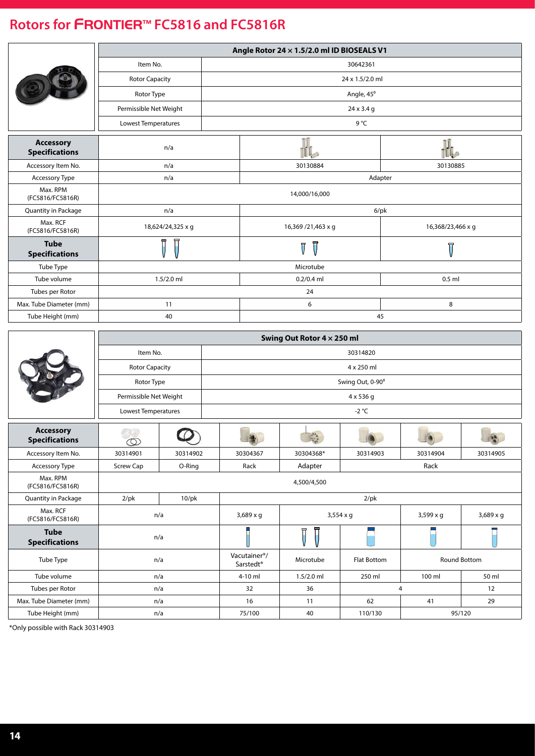<span id="page-13-0"></span>

|                                           | Angle Rotor 24 x 1.5/2.0 ml ID BIOSEALS V1 |        |                    |                   |  |  |  |  |  |  |
|-------------------------------------------|--------------------------------------------|--------|--------------------|-------------------|--|--|--|--|--|--|
|                                           | Item No.                                   |        | 30642361           |                   |  |  |  |  |  |  |
|                                           | <b>Rotor Capacity</b>                      |        | 24 x 1.5/2.0 ml    |                   |  |  |  |  |  |  |
|                                           | Rotor Type                                 |        | Angle, 45°         |                   |  |  |  |  |  |  |
|                                           | Permissible Net Weight                     |        | 24 x 3.4 g         |                   |  |  |  |  |  |  |
|                                           | <b>Lowest Temperatures</b>                 |        | 9°C                |                   |  |  |  |  |  |  |
| <b>Accessory</b><br><b>Specifications</b> | n/a                                        |        |                    |                   |  |  |  |  |  |  |
| Accessory Item No.                        | n/a                                        |        | 30130884           | 30130885          |  |  |  |  |  |  |
| Accessory Type                            | n/a                                        |        | Adapter            |                   |  |  |  |  |  |  |
| Max. RPM<br>(FC5816/FC5816R)              |                                            |        | 14,000/16,000      |                   |  |  |  |  |  |  |
| Quantity in Package                       | n/a                                        |        | $6$ /pk            |                   |  |  |  |  |  |  |
| Max. RCF<br>(FC5816/FC5816R)              | 18,624/24,325 x g                          |        | 16,369 /21,463 x g | 16,368/23,466 x q |  |  |  |  |  |  |
| <b>Tube</b><br><b>Specifications</b>      | ħ                                          |        | ਜ<br>Ţ             | 묘                 |  |  |  |  |  |  |
| Tube Type                                 |                                            |        | Microtube          |                   |  |  |  |  |  |  |
| Tube volume                               | $1.5/2.0$ ml                               |        | $0.2/0.4$ ml       | $0.5$ ml          |  |  |  |  |  |  |
| Tubes per Rotor                           |                                            | 24     |                    |                   |  |  |  |  |  |  |
| Max. Tube Diameter (mm)                   | 11                                         | 6<br>8 |                    |                   |  |  |  |  |  |  |
| Tube Height (mm)                          | 40                                         |        | 45                 |                   |  |  |  |  |  |  |

|                                           | Swing Out Rotor 4 x 250 ml |             |                  |                |                    |                     |                  |  |  |  |  |  |
|-------------------------------------------|----------------------------|-------------|------------------|----------------|--------------------|---------------------|------------------|--|--|--|--|--|
|                                           | Item No.                   |             | 30314820         |                |                    |                     |                  |  |  |  |  |  |
|                                           | <b>Rotor Capacity</b>      |             | 4 x 250 ml       |                |                    |                     |                  |  |  |  |  |  |
|                                           | Rotor Type                 |             |                  |                | Swing Out, 0-90°   |                     |                  |  |  |  |  |  |
|                                           | Permissible Net Weight     |             |                  |                | $4 \times 536$ q   |                     |                  |  |  |  |  |  |
|                                           | Lowest Temperatures        |             | $-2$ °C          |                |                    |                     |                  |  |  |  |  |  |
| <b>Accessory</b><br><b>Specifications</b> | $\infty$                   |             |                  | $\mathbb{R}^n$ |                    |                     |                  |  |  |  |  |  |
| Accessory Item No.                        | 30314901                   | 30314902    | 30304367         | 30304368*      | 30314903           | 30314904            | 30314905         |  |  |  |  |  |
| Accessory Type                            | <b>Screw Cap</b>           | O-Ring      | Rack             | Adapter        | Rack               |                     |                  |  |  |  |  |  |
| Max. RPM<br>(FC5816/FC5816R)              |                            |             | 4,500/4,500      |                |                    |                     |                  |  |  |  |  |  |
| <b>Quantity in Package</b>                | $2$ /pk                    | $10$ /p $k$ | $2$ /pk          |                |                    |                     |                  |  |  |  |  |  |
| Max. RCF<br>(FC5816/FC5816R)              | n/a                        |             | $3,689 \times q$ |                | $3,554 \times g$   | $3,599 \times q$    | $3,689 \times g$ |  |  |  |  |  |
| <b>Tube</b><br><b>Specifications</b>      | n/a                        |             |                  |                |                    |                     |                  |  |  |  |  |  |
| Tube Type                                 |                            | n/a         |                  | Microtube      | <b>Flat Bottom</b> | <b>Round Bottom</b> |                  |  |  |  |  |  |
| Tube volume                               | n/a                        |             | 4-10 ml          | $1.5/2.0$ ml   | 250 ml             | 100 ml              | 50 ml            |  |  |  |  |  |
| Tubes per Rotor                           | n/a                        |             | 32               | 36             |                    | 4                   | 12               |  |  |  |  |  |
| Max. Tube Diameter (mm)                   | n/a                        |             | 16               | 11             | 62                 | 41                  |                  |  |  |  |  |  |
| Tube Height (mm)                          | n/a                        |             | 75/100           | 40             | 110/130            |                     | 95/120           |  |  |  |  |  |

\*Only possible with Rack 30314903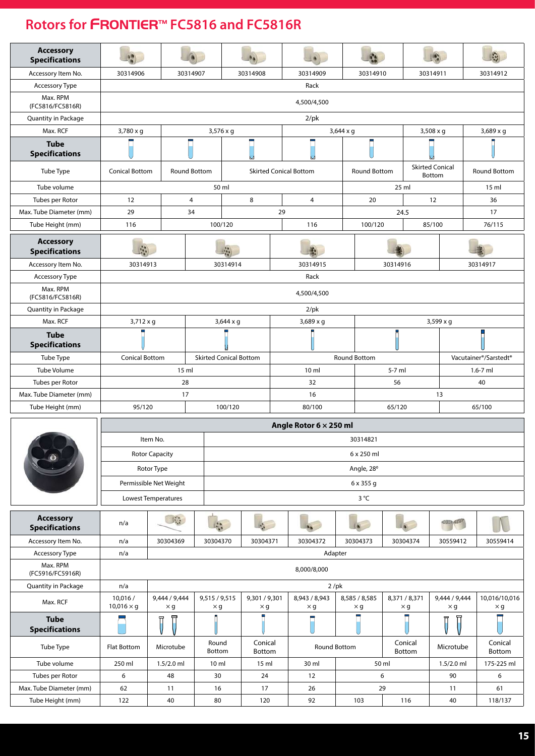| <b>Accessory</b><br><b>Specifications</b> |                              |                             |                               |                      |                             |    |                               |                     |                             |          |                     |                                  |                                                |  |
|-------------------------------------------|------------------------------|-----------------------------|-------------------------------|----------------------|-----------------------------|----|-------------------------------|---------------------|-----------------------------|----------|---------------------|----------------------------------|------------------------------------------------|--|
| Accessory Item No.                        | 30314906                     |                             | 30314907                      | 30314908<br>30314909 |                             |    |                               |                     |                             | 30314910 |                     | 30314911                         | 30314912                                       |  |
| Accessory Type                            |                              |                             |                               |                      |                             |    | Rack                          |                     |                             |          |                     |                                  |                                                |  |
| Max. RPM<br>(FC5816/FC5816R)              |                              |                             |                               |                      |                             |    | 4,500/4,500                   |                     |                             |          |                     |                                  |                                                |  |
| Quantity in Package                       |                              |                             |                               |                      |                             |    | $2$ /pk                       |                     |                             |          |                     |                                  |                                                |  |
| Max. RCF                                  | $3,780 \times g$             |                             |                               | $3,576 \times q$     |                             |    |                               | $3,644 \times g$    |                             |          |                     | $3,508 \times g$                 | $3,689 \times g$                               |  |
| <b>Tube</b><br><b>Specifications</b>      |                              |                             |                               |                      |                             |    |                               |                     |                             |          |                     |                                  |                                                |  |
| Tube Type                                 | <b>Conical Bottom</b>        |                             | Round Bottom                  |                      |                             |    | <b>Skirted Conical Bottom</b> |                     | <b>Round Bottom</b>         |          |                     | <b>Skirted Conical</b><br>Bottom | Round Bottom                                   |  |
| Tube volume                               |                              |                             |                               | 50 ml                |                             |    |                               |                     |                             | 25 ml    |                     |                                  | 15 <sub>m</sub>                                |  |
| Tubes per Rotor                           | 12                           |                             | $\overline{4}$                |                      | 8                           |    | 4                             |                     | 20                          |          |                     | 12                               | 36                                             |  |
| Max. Tube Diameter (mm)                   | 29                           |                             | 34                            |                      |                             | 29 |                               |                     |                             | 24.5     |                     |                                  | 17                                             |  |
| Tube Height (mm)                          | 116                          |                             |                               | 100/120              |                             |    | 116                           |                     | 100/120                     |          |                     | 85/100                           | 76/115                                         |  |
| <b>Accessory</b><br><b>Specifications</b> |                              |                             |                               |                      |                             |    |                               |                     |                             |          |                     |                                  |                                                |  |
| Accessory Item No.                        | 30314913                     |                             |                               | 30314914             |                             |    | 30314915                      |                     |                             | 30314916 |                     |                                  | 30314917                                       |  |
| Accessory Type                            |                              |                             |                               |                      |                             |    | Rack                          |                     |                             |          |                     |                                  |                                                |  |
| Max. RPM<br>(FC5816/FC5816R)              |                              |                             |                               |                      |                             |    | 4,500/4,500                   |                     |                             |          |                     |                                  |                                                |  |
| Quantity in Package                       |                              |                             |                               |                      |                             |    | $2$ /pk                       |                     |                             |          |                     |                                  |                                                |  |
| Max. RCF                                  | $3,712 \times g$             |                             |                               | $3,644 \times g$     |                             |    | 3,689 x g                     |                     |                             |          |                     | $3,599 \times g$                 |                                                |  |
| <b>Tube</b><br><b>Specifications</b>      |                              |                             |                               |                      |                             |    |                               |                     |                             |          |                     |                                  |                                                |  |
| Tube Type                                 | <b>Conical Bottom</b>        |                             | <b>Skirted Conical Bottom</b> |                      |                             |    |                               | <b>Round Bottom</b> |                             |          |                     |                                  | Vacutainer <sup>®</sup> /Sarstedt <sup>®</sup> |  |
| <b>Tube Volume</b>                        |                              |                             | 15 ml                         |                      |                             |    | 10 <sub>m</sub>               |                     |                             | 5-7 ml   |                     |                                  | $1.6 - 7$ ml                                   |  |
| Tubes per Rotor                           |                              |                             | 28                            |                      |                             |    | 32                            |                     |                             | 56       |                     |                                  | 40                                             |  |
| Max. Tube Diameter (mm)                   |                              | 17                          |                               |                      |                             |    | 16                            |                     |                             |          |                     | 13                               |                                                |  |
| Tube Height (mm)                          | 95/120                       |                             |                               | 100/120              |                             |    | 80/100                        |                     |                             | 65/120   |                     |                                  | 65/100                                         |  |
|                                           |                              |                             |                               |                      |                             |    | Angle Rotor 6 x 250 ml        |                     |                             |          |                     |                                  |                                                |  |
|                                           |                              | Item No.                    |                               |                      |                             |    |                               |                     | 30314821                    |          |                     |                                  |                                                |  |
|                                           |                              | <b>Rotor Capacity</b>       |                               |                      |                             |    |                               |                     | 6 x 250 ml                  |          |                     |                                  |                                                |  |
|                                           |                              | Rotor Type                  |                               |                      |                             |    |                               |                     | Angle, 28°                  |          |                     |                                  |                                                |  |
|                                           |                              | Permissible Net Weight      |                               |                      |                             |    |                               |                     | 6 x 355 g                   |          |                     |                                  |                                                |  |
|                                           |                              | Lowest Temperatures         |                               |                      |                             |    |                               |                     | $3^{\circ}C$                |          |                     |                                  |                                                |  |
| <b>Accessory</b><br><b>Specifications</b> | n/a                          | $\mathbb{R}^n$              |                               |                      |                             |    |                               |                     |                             |          |                     |                                  |                                                |  |
| Accessory Item No.                        | n/a                          | 30304369                    | 30304370                      |                      | 30304371                    |    | 30304372                      |                     | 30304373                    |          | 30304374            | 30559412                         | 30559414                                       |  |
| Accessory Type                            | n/a                          |                             |                               |                      |                             |    | Adapter                       |                     |                             |          |                     |                                  |                                                |  |
| Max. RPM<br>(FC5916/FC5916R)              |                              |                             |                               |                      |                             |    | 8,000/8,000                   |                     |                             |          |                     |                                  |                                                |  |
| Quantity in Package                       | n/a                          |                             |                               |                      |                             |    | $2$ /pk                       |                     |                             |          |                     |                                  |                                                |  |
| Max. RCF                                  | 10,016/<br>$10,016 \times g$ | 9,444 / 9,444<br>$\times$ g | 9,515 / 9,515<br>×g           |                      | 9,301 / 9,301<br>$\times$ g |    | 8,943 / 8,943<br>$\times$ g   |                     | 8,585 / 8,585<br>$\times$ g |          | 8,371 / 8,371<br>×g | 9,444 / 9,444<br>$\times$ g      | 10,016/10,016<br>$\times$ g                    |  |
| <b>Tube</b><br><b>Specifications</b>      |                              |                             |                               |                      |                             |    |                               |                     |                             |          |                     | Π                                |                                                |  |
| Tube Type                                 | Flat Bottom                  | Microtube                   | Round<br>Bottom               |                      | Conical<br>Bottom           |    | Round Bottom                  |                     |                             |          | Conical<br>Bottom   | Microtube                        | Conical<br>Bottom                              |  |
| Tube volume                               | 250 ml                       | $1.5/2.0$ ml                | 10 <sub>m</sub>               |                      | 15 ml                       |    | 30 ml                         |                     | 50 ml                       |          |                     | $1.5/2.0$ ml                     | 175-225 ml                                     |  |
| Tubes per Rotor                           | 6                            | 48                          | 30                            |                      | 24                          |    | 12                            |                     | 6                           |          |                     | 90                               | 6                                              |  |
| Max. Tube Diameter (mm)                   | 62                           | 11                          | 16                            |                      | 17                          |    | 26                            |                     | 29                          |          |                     | 11                               | 61                                             |  |
| Tube Height (mm)                          | 122                          | 40                          | 80                            |                      | 120                         |    | 92                            |                     | 103                         |          | 116                 | 40                               | 118/137                                        |  |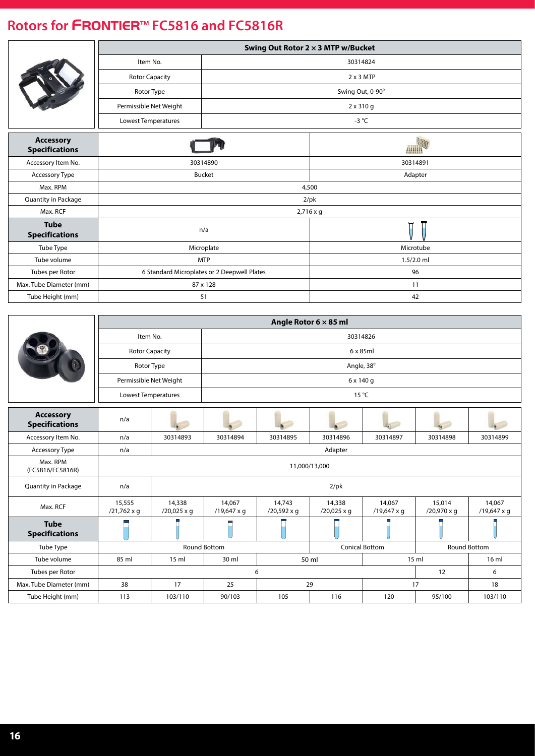|                                           |                        |                                             | Swing Out Rotor 2 x 3 MTP w/Bucket |
|-------------------------------------------|------------------------|---------------------------------------------|------------------------------------|
|                                           | Item No.               |                                             | 30314824                           |
|                                           | <b>Rotor Capacity</b>  |                                             | $2 \times 3$ MTP                   |
|                                           | Rotor Type             |                                             | Swing Out, 0-90°                   |
|                                           | Permissible Net Weight |                                             | 2 x 310 g                          |
|                                           | Lowest Temperatures    |                                             | -3 $^{\circ}$ C                    |
| <b>Accessory</b><br><b>Specifications</b> |                        |                                             |                                    |
| Accessory Item No.                        |                        | 30314890                                    | 30314891                           |
| Accessory Type                            |                        | <b>Bucket</b>                               | Adapter                            |
| Max. RPM                                  |                        |                                             | 4,500                              |
| Quantity in Package                       |                        |                                             | $2$ /pk                            |
| Max. RCF                                  |                        |                                             | 2,716 x g                          |
| <b>Tube</b><br><b>Specifications</b>      |                        | n/a                                         | 豆<br>Π                             |
| Tube Type                                 |                        | Microplate                                  | Microtube                          |
| Tube volume                               |                        | <b>MTP</b>                                  | $1.5/2.0$ ml                       |
| Tubes per Rotor                           |                        | 6 Standard Microplates or 2 Deepwell Plates | 96                                 |
| Max. Tube Diameter (mm)                   |                        | 87 x 128                                    | 11                                 |
| Tube Height (mm)                          |                        | 51                                          | 42                                 |

|                                           |                              |                                                               |                       |                              | Angle Rotor $6 \times 85$ ml |                       |                       |                              |  |  |  |
|-------------------------------------------|------------------------------|---------------------------------------------------------------|-----------------------|------------------------------|------------------------------|-----------------------|-----------------------|------------------------------|--|--|--|
|                                           | Item No.                     |                                                               | 30314826              |                              |                              |                       |                       |                              |  |  |  |
|                                           | <b>Rotor Capacity</b>        |                                                               |                       | $6 \times 85$ ml             |                              |                       |                       |                              |  |  |  |
|                                           | Rotor Type                   |                                                               |                       |                              | Angle, 38°                   |                       |                       |                              |  |  |  |
|                                           | Permissible Net Weight       |                                                               |                       |                              | 6 x 140 g                    |                       |                       |                              |  |  |  |
|                                           | Lowest Temperatures          |                                                               | 15 °C                 |                              |                              |                       |                       |                              |  |  |  |
| <b>Accessory</b><br><b>Specifications</b> | n/a                          |                                                               |                       |                              |                              |                       |                       |                              |  |  |  |
| Accessory Item No.                        | n/a                          | 30314893                                                      | 30314894              | 30314895                     | 30314896                     | 30314897              | 30314898              | 30314899                     |  |  |  |
| <b>Accessory Type</b>                     | n/a                          |                                                               | Adapter               |                              |                              |                       |                       |                              |  |  |  |
| Max. RPM<br>(FC5816/FC5816R)              |                              |                                                               |                       |                              | 11,000/13,000                |                       |                       |                              |  |  |  |
| Quantity in Package                       | n/a                          |                                                               |                       |                              | $2$ /pk                      |                       |                       |                              |  |  |  |
| Max. RCF                                  | 15,555<br>$/21,762 \times q$ | 14,338<br>$/20,025 \times q$                                  | 14,067<br>/19,647 x q | 14,743<br>$/20,592 \times q$ | 14,338<br>$/20,025 \times q$ | 14,067<br>/19,647 x q | 15,014<br>/20,970 x q | 14,067<br>$/19,647 \times q$ |  |  |  |
| <b>Tube</b><br><b>Specifications</b>      |                              |                                                               |                       |                              |                              |                       |                       |                              |  |  |  |
| Tube Type                                 |                              |                                                               | Round Bottom          |                              |                              | <b>Conical Bottom</b> |                       | Round Bottom                 |  |  |  |
| Tube volume                               | 85 ml                        | 15 <sub>m</sub><br>15 <sub>m</sub><br>30 ml<br>50 ml<br>16 ml |                       |                              |                              |                       |                       |                              |  |  |  |
| Tubes per Rotor                           |                              | 6<br>12<br>6                                                  |                       |                              |                              |                       |                       |                              |  |  |  |
| Max. Tube Diameter (mm)                   | 38                           | 17                                                            | 25                    |                              | 29                           |                       | 17                    | 18                           |  |  |  |
| Tube Height (mm)                          | 113                          | 103/110                                                       | 90/103                | 105                          | 116                          | 120                   | 95/100                | 103/110                      |  |  |  |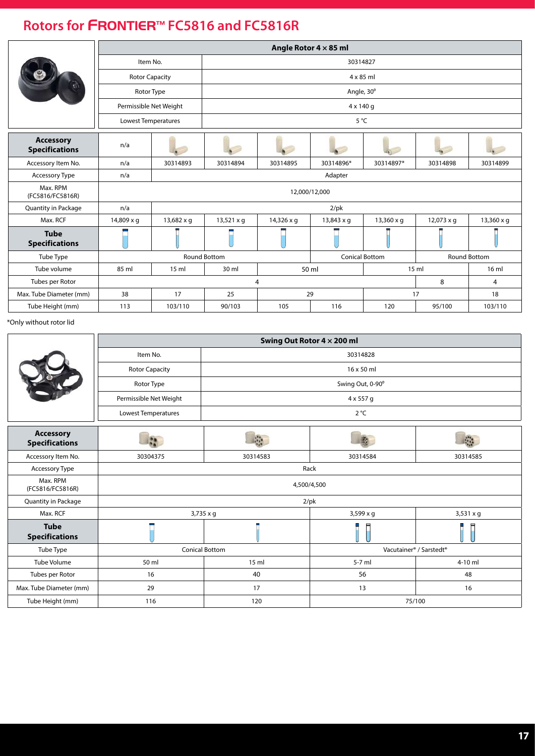|                                           |                       |                                                     |                     |                   | Angle Rotor $4 \times 85$ ml |                       |                   |                     |  |  |  |  |
|-------------------------------------------|-----------------------|-----------------------------------------------------|---------------------|-------------------|------------------------------|-----------------------|-------------------|---------------------|--|--|--|--|
|                                           | Item No.              |                                                     |                     | 30314827          |                              |                       |                   |                     |  |  |  |  |
|                                           | <b>Rotor Capacity</b> |                                                     | $4 \times 85$ ml    |                   |                              |                       |                   |                     |  |  |  |  |
|                                           | Rotor Type            |                                                     | Angle, 30°          |                   |                              |                       |                   |                     |  |  |  |  |
|                                           |                       | Permissible Net Weight                              |                     |                   | $4 \times 140$ q             |                       |                   |                     |  |  |  |  |
|                                           | Lowest Temperatures   |                                                     | 5°C                 |                   |                              |                       |                   |                     |  |  |  |  |
| <b>Accessory</b><br><b>Specifications</b> | n/a                   |                                                     |                     |                   |                              |                       |                   |                     |  |  |  |  |
| Accessory Item No.                        | n/a                   | 30314893                                            | 30314894            | 30314895          | 30314896*                    | 30314897*             | 30314898          | 30314899            |  |  |  |  |
| Accessory Type                            | n/a                   |                                                     |                     |                   | Adapter                      |                       |                   |                     |  |  |  |  |
| Max. RPM<br>(FC5816/FC5816R)              |                       |                                                     |                     |                   | 12,000/12,000                |                       |                   |                     |  |  |  |  |
| Quantity in Package                       | n/a                   |                                                     |                     |                   | $2$ /pk                      |                       |                   |                     |  |  |  |  |
| Max. RCF                                  | $14,809 \times q$     | 13,682 x q                                          | $13,521 \times q$   | $14,326 \times q$ | $13,843 \times q$            | $13,360 \times q$     | $12,073 \times q$ | $13,360 \times q$   |  |  |  |  |
| <b>Tube</b><br><b>Specifications</b>      |                       |                                                     |                     |                   |                              |                       |                   |                     |  |  |  |  |
| Tube Type                                 |                       |                                                     | <b>Round Bottom</b> |                   |                              | <b>Conical Bottom</b> |                   | <b>Round Bottom</b> |  |  |  |  |
| Tube volume                               | 85 ml                 | 50 ml<br>16 ml<br>30 ml<br>15 <sub>m</sub><br>15 ml |                     |                   |                              |                       |                   |                     |  |  |  |  |
| Tubes per Rotor                           |                       |                                                     |                     | 4                 |                              |                       | 8                 | 4                   |  |  |  |  |
| Max. Tube Diameter (mm)                   | 38                    | 17                                                  | 25                  |                   | 29                           |                       | 17                | 18                  |  |  |  |  |
| Tube Height (mm)                          | 113                   | 103/110                                             | 90/103              | 105               | 116                          | 120                   | 95/100            | 103/110             |  |  |  |  |

\*Only without rotor lid

|                                           | Swing Out Rotor 4 × 200 ml |                       |                                                 |           |  |  |  |  |  |  |
|-------------------------------------------|----------------------------|-----------------------|-------------------------------------------------|-----------|--|--|--|--|--|--|
|                                           | Item No.                   |                       | 30314828                                        |           |  |  |  |  |  |  |
|                                           | <b>Rotor Capacity</b>      | 16 x 50 ml            |                                                 |           |  |  |  |  |  |  |
|                                           | Rotor Type                 |                       | Swing Out, 0-90°                                |           |  |  |  |  |  |  |
|                                           | Permissible Net Weight     |                       | 4 x 557 g                                       |           |  |  |  |  |  |  |
|                                           | Lowest Temperatures        |                       | $2^{\circ}C$                                    |           |  |  |  |  |  |  |
| <b>Accessory</b><br><b>Specifications</b> |                            |                       |                                                 |           |  |  |  |  |  |  |
| Accessory Item No.                        | 30304375                   | 30314583              | 30314584                                        | 30314585  |  |  |  |  |  |  |
| Accessory Type                            |                            |                       | Rack                                            |           |  |  |  |  |  |  |
| Max. RPM<br>(FC5816/FC5816R)              |                            |                       | 4,500/4,500                                     |           |  |  |  |  |  |  |
| Quantity in Package                       |                            |                       | $2$ /pk                                         |           |  |  |  |  |  |  |
| Max. RCF                                  |                            | $3,735 \times g$      | $3,599 \times g$                                | 3,531 x g |  |  |  |  |  |  |
| <b>Tube</b><br><b>Specifications</b>      |                            |                       |                                                 |           |  |  |  |  |  |  |
| Tube Type                                 |                            | <b>Conical Bottom</b> | Vacutainer <sup>®</sup> / Sarstedt <sup>®</sup> |           |  |  |  |  |  |  |
| Tube Volume                               | 50 ml                      | 15 <sub>m</sub>       | $5-7$ ml                                        | 4-10 ml   |  |  |  |  |  |  |
| Tubes per Rotor                           | 16                         | 40                    | 56                                              | 48        |  |  |  |  |  |  |
| Max. Tube Diameter (mm)                   | 29                         | 17<br>13<br>16        |                                                 |           |  |  |  |  |  |  |
| Tube Height (mm)                          | 116                        | 120                   | 75/100                                          |           |  |  |  |  |  |  |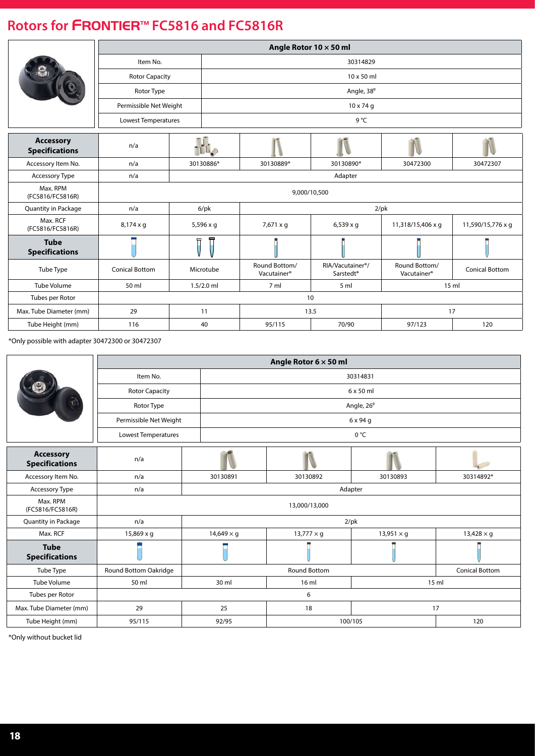|                                           | Angle Rotor $10 \times 50$ ml |    |                  |                                          |                                                        |                                          |                       |  |  |  |  |  |
|-------------------------------------------|-------------------------------|----|------------------|------------------------------------------|--------------------------------------------------------|------------------------------------------|-----------------------|--|--|--|--|--|
|                                           | Item No.                      |    |                  | 30314829                                 |                                                        |                                          |                       |  |  |  |  |  |
|                                           | <b>Rotor Capacity</b>         |    |                  | 10 x 50 ml                               |                                                        |                                          |                       |  |  |  |  |  |
|                                           | Rotor Type                    |    |                  |                                          | Angle, 38°                                             |                                          |                       |  |  |  |  |  |
|                                           | Permissible Net Weight        |    |                  |                                          | $10 \times 74$ q                                       |                                          |                       |  |  |  |  |  |
|                                           | Lowest Temperatures           |    |                  |                                          | 9°C                                                    |                                          |                       |  |  |  |  |  |
| <b>Accessory</b><br><b>Specifications</b> | n/a                           |    | <b>ILL</b> O     |                                          |                                                        |                                          |                       |  |  |  |  |  |
| Accessory Item No.                        | n/a                           |    | 30130886*        | 30130889*                                | 30130890*                                              | 30472300                                 | 30472307              |  |  |  |  |  |
| <b>Accessory Type</b>                     | n/a                           |    |                  |                                          | Adapter                                                |                                          |                       |  |  |  |  |  |
| Max. RPM<br>(FC5816/FC5816R)              |                               |    |                  |                                          | 9,000/10,500                                           |                                          |                       |  |  |  |  |  |
| <b>Quantity in Package</b>                | n/a                           |    | $6$ /p $k$       |                                          |                                                        | $2$ /pk                                  |                       |  |  |  |  |  |
| Max. RCF<br>(FC5816/FC5816R)              | $8,174 \times q$              |    | $5,596 \times q$ | 7,671 x q                                | $6,539 \times g$                                       | 11,318/15,406 x q                        | 11,590/15,776 x q     |  |  |  |  |  |
| <b>Tube</b><br><b>Specifications</b>      |                               |    |                  |                                          |                                                        |                                          |                       |  |  |  |  |  |
| Tube Type                                 | <b>Conical Bottom</b>         |    | Microtube        | Round Bottom/<br>Vacutainer <sup>®</sup> | RIA/Vacutainer <sup>®</sup> /<br>Sarstedt <sup>®</sup> | Round Bottom/<br>Vacutainer <sup>®</sup> | <b>Conical Bottom</b> |  |  |  |  |  |
| <b>Tube Volume</b>                        | 50 ml                         |    | $1.5/2.0$ ml     |                                          | 15 <sub>m</sub>                                        |                                          |                       |  |  |  |  |  |
| Tubes per Rotor                           |                               | 10 |                  |                                          |                                                        |                                          |                       |  |  |  |  |  |
| Max. Tube Diameter (mm)                   | 29                            |    | 11               |                                          | 13.5                                                   | 17                                       |                       |  |  |  |  |  |
| Tube Height (mm)                          | 116                           |    | 40               | 95/115                                   | 70/90                                                  | 97/123                                   | 120                   |  |  |  |  |  |

\*Only possible with adapter 30472300 or 30472307

|                                           | Angle Rotor 6 x 50 ml  |                         |                     |                   |                       |  |  |  |  |  |  |
|-------------------------------------------|------------------------|-------------------------|---------------------|-------------------|-----------------------|--|--|--|--|--|--|
|                                           | Item No.               |                         | 30314831            |                   |                       |  |  |  |  |  |  |
|                                           | <b>Rotor Capacity</b>  |                         | 6 x 50 ml           |                   |                       |  |  |  |  |  |  |
|                                           | Rotor Type             |                         |                     | Angle, 26°        |                       |  |  |  |  |  |  |
|                                           | Permissible Net Weight |                         |                     | 6 x 94 g          |                       |  |  |  |  |  |  |
|                                           | Lowest Temperatures    |                         | 0 °C                |                   |                       |  |  |  |  |  |  |
| <b>Accessory</b><br><b>Specifications</b> | n/a                    |                         |                     |                   |                       |  |  |  |  |  |  |
| Accessory Item No.                        | n/a                    | 30130891                | 30130892            | 30130893          | 30314892*             |  |  |  |  |  |  |
| Accessory Type                            | n/a                    | Adapter                 |                     |                   |                       |  |  |  |  |  |  |
| Max. RPM<br>(FC5816/FC5816R)              |                        |                         | 13,000/13,000       |                   |                       |  |  |  |  |  |  |
| Quantity in Package                       | n/a                    |                         | $2$ /pk             |                   |                       |  |  |  |  |  |  |
| Max. RCF                                  | 15,869 x g             | $14,649 \times q$       | $13,777 \times g$   | $13,951 \times g$ | $13,428 \times g$     |  |  |  |  |  |  |
| <b>Tube</b><br><b>Specifications</b>      |                        |                         |                     |                   |                       |  |  |  |  |  |  |
| Tube Type                                 | Round Bottom Oakridge  |                         | <b>Round Bottom</b> |                   | <b>Conical Bottom</b> |  |  |  |  |  |  |
| Tube Volume                               | 50 ml                  | 30 ml<br>16 ml<br>15 ml |                     |                   |                       |  |  |  |  |  |  |
| Tubes per Rotor                           |                        |                         | 6                   |                   |                       |  |  |  |  |  |  |
| Max. Tube Diameter (mm)                   | 29                     | 25                      | 18                  | 17                |                       |  |  |  |  |  |  |
| Tube Height (mm)                          | 95/115                 | 92/95                   | 100/105             |                   | 120                   |  |  |  |  |  |  |

\*Only without bucket lid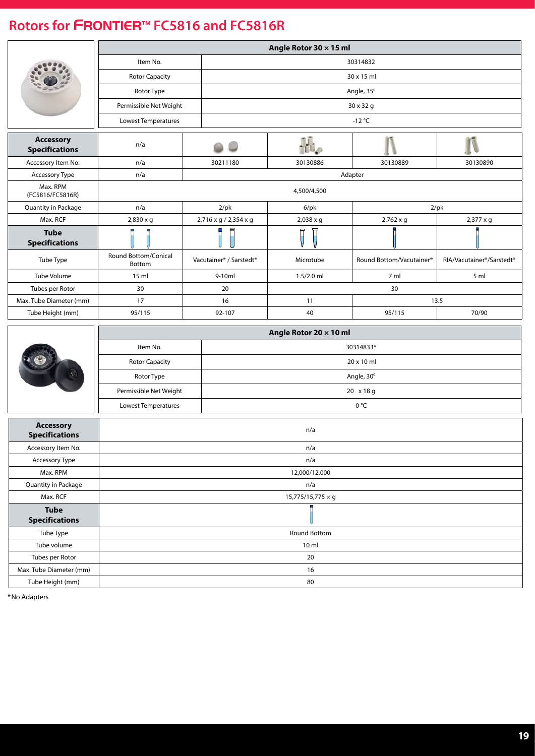|                                           |                                |                                                 | Angle Rotor 30 x 15 ml          |                          |                                                    |  |  |  |  |
|-------------------------------------------|--------------------------------|-------------------------------------------------|---------------------------------|--------------------------|----------------------------------------------------|--|--|--|--|
|                                           | Item No.                       |                                                 |                                 |                          |                                                    |  |  |  |  |
|                                           | <b>Rotor Capacity</b>          |                                                 | 30314832<br>30 x 15 ml          |                          |                                                    |  |  |  |  |
|                                           | Rotor Type                     |                                                 |                                 | Angle, 35°               |                                                    |  |  |  |  |
|                                           | Permissible Net Weight         |                                                 |                                 | 30 x 32 g                |                                                    |  |  |  |  |
|                                           | Lowest Temperatures            |                                                 |                                 | $-12 °C$                 |                                                    |  |  |  |  |
|                                           |                                |                                                 |                                 |                          |                                                    |  |  |  |  |
| <b>Accessory</b><br><b>Specifications</b> | n/a                            |                                                 | ł.                              |                          |                                                    |  |  |  |  |
| Accessory Item No.                        | n/a                            | 30211180                                        | 30130886                        | 30130889                 | 30130890                                           |  |  |  |  |
| Accessory Type                            | n/a                            |                                                 |                                 | Adapter                  |                                                    |  |  |  |  |
| Max. RPM<br>(FC5816/FC5816R)              |                                |                                                 | 4,500/4,500                     |                          |                                                    |  |  |  |  |
| Quantity in Package                       | n/a                            | $2$ /pk                                         | $6$ /pk                         |                          | $2$ /pk                                            |  |  |  |  |
| Max. RCF                                  | 2,830 x g                      | 2,716 x g / 2,354 x g                           | 2,038 x g                       | $2,762 \times q$         | 2,377 x g                                          |  |  |  |  |
| <b>Tube</b><br><b>Specifications</b>      |                                |                                                 | Ī                               |                          |                                                    |  |  |  |  |
| Tube Type                                 | Round Bottom/Conical<br>Bottom | Vacutainer <sup>®</sup> / Sarstedt <sup>®</sup> | Microtube                       | Round Bottom/Vacutainer® | RIA/Vacutainer <sup>®</sup> /Sarstedt <sup>®</sup> |  |  |  |  |
| <b>Tube Volume</b>                        | 15 ml                          | 9-10ml                                          | $1.5/2.0$ ml                    | 7 ml                     | 5 ml                                               |  |  |  |  |
| Tubes per Rotor                           | 30                             | 20                                              |                                 | 30                       |                                                    |  |  |  |  |
| Max. Tube Diameter (mm)                   | 17                             | 16                                              | 11                              |                          | 13.5                                               |  |  |  |  |
| Tube Height (mm)                          | 95/115                         | 92-107                                          | 40                              | 95/115                   | 70/90                                              |  |  |  |  |
|                                           |                                |                                                 | Angle Rotor 20 x 10 ml          |                          |                                                    |  |  |  |  |
|                                           | Item No.                       |                                                 | 30314833*                       |                          |                                                    |  |  |  |  |
|                                           | <b>Rotor Capacity</b>          |                                                 | 20 x 10 ml                      |                          |                                                    |  |  |  |  |
|                                           | Rotor Type                     |                                                 |                                 | Angle, 30°               |                                                    |  |  |  |  |
|                                           | Permissible Net Weight         |                                                 |                                 | 20 x 18 g                |                                                    |  |  |  |  |
|                                           | Lowest Temperatures            |                                                 |                                 | 0°C                      |                                                    |  |  |  |  |
| <b>Accessory</b>                          |                                |                                                 |                                 |                          |                                                    |  |  |  |  |
| <b>Specifications</b>                     |                                |                                                 | n/a                             |                          |                                                    |  |  |  |  |
| Accessory Item No.                        |                                |                                                 | n/a                             |                          |                                                    |  |  |  |  |
| Accessory Type                            |                                |                                                 | n/a                             |                          |                                                    |  |  |  |  |
| Max. RPM                                  |                                |                                                 | 12,000/12,000                   |                          |                                                    |  |  |  |  |
| Quantity in Package<br>Max. RCF           |                                |                                                 | n/a<br>$15,775/15,775 \times g$ |                          |                                                    |  |  |  |  |
| <b>Tube</b>                               |                                |                                                 |                                 |                          |                                                    |  |  |  |  |
| <b>Specifications</b>                     |                                |                                                 |                                 |                          |                                                    |  |  |  |  |
| Tube Type                                 |                                |                                                 | Round Bottom                    |                          |                                                    |  |  |  |  |
| Tube volume                               |                                |                                                 | 10 <sub>m</sub>                 |                          |                                                    |  |  |  |  |
| Tubes per Rotor                           |                                |                                                 | 20                              |                          |                                                    |  |  |  |  |
| Max. Tube Diameter (mm)                   |                                |                                                 | 16                              |                          |                                                    |  |  |  |  |
| Tube Height (mm)                          |                                |                                                 | 80                              |                          |                                                    |  |  |  |  |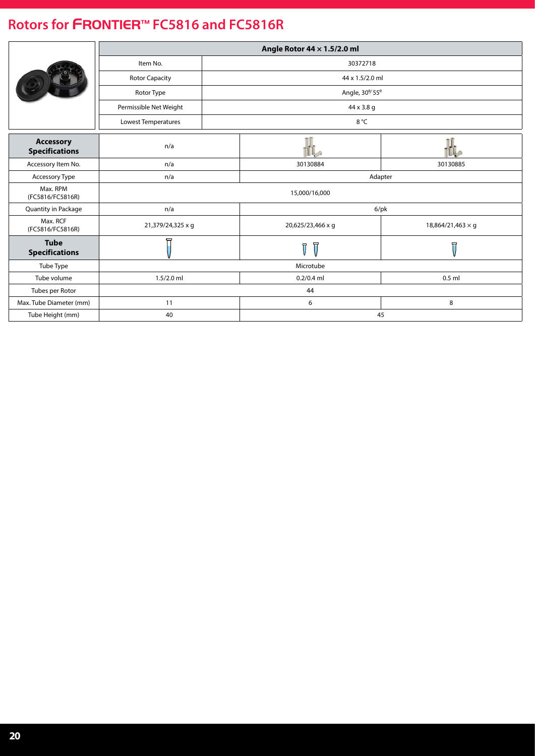|                                           |                        | Angle Rotor 44 x 1.5/2.0 ml  |                          |  |  |  |  |
|-------------------------------------------|------------------------|------------------------------|--------------------------|--|--|--|--|
|                                           | Item No.               | 30372718                     |                          |  |  |  |  |
|                                           | <b>Rotor Capacity</b>  | 44 x 1.5/2.0 ml              |                          |  |  |  |  |
|                                           | Rotor Type             | Angle, 30 <sup>%</sup> 55°   |                          |  |  |  |  |
|                                           | Permissible Net Weight | 44 x 3.8 g                   |                          |  |  |  |  |
|                                           | Lowest Temperatures    | 8 °C                         |                          |  |  |  |  |
| <b>Accessory</b><br><b>Specifications</b> | n/a                    |                              |                          |  |  |  |  |
| Accessory Item No.                        | n/a                    | 30130884                     | 30130885                 |  |  |  |  |
| Accessory Type                            | n/a                    |                              | Adapter                  |  |  |  |  |
| Max. RPM<br>(FC5816/FC5816R)              |                        | 15,000/16,000                |                          |  |  |  |  |
| Quantity in Package                       | n/a                    |                              | $6$ /pk                  |  |  |  |  |
| Max. RCF<br>(FC5816/FC5816R)              | 21,379/24,325 x g      | 20,625/23,466 x g            | 18,864/21,463 $\times$ q |  |  |  |  |
| <b>Tube</b><br><b>Specifications</b>      |                        | ਜ<br>$\overline{\mathbb{J}}$ | 묘                        |  |  |  |  |
| Tube Type                                 |                        | Microtube                    |                          |  |  |  |  |
| Tube volume                               | $1.5/2.0$ ml           | $0.2/0.4$ ml                 | $0.5$ ml                 |  |  |  |  |
| Tubes per Rotor                           |                        | 44                           |                          |  |  |  |  |
| Max. Tube Diameter (mm)                   | 11                     | 6                            | 8                        |  |  |  |  |
| Tube Height (mm)                          | 40                     |                              | 45                       |  |  |  |  |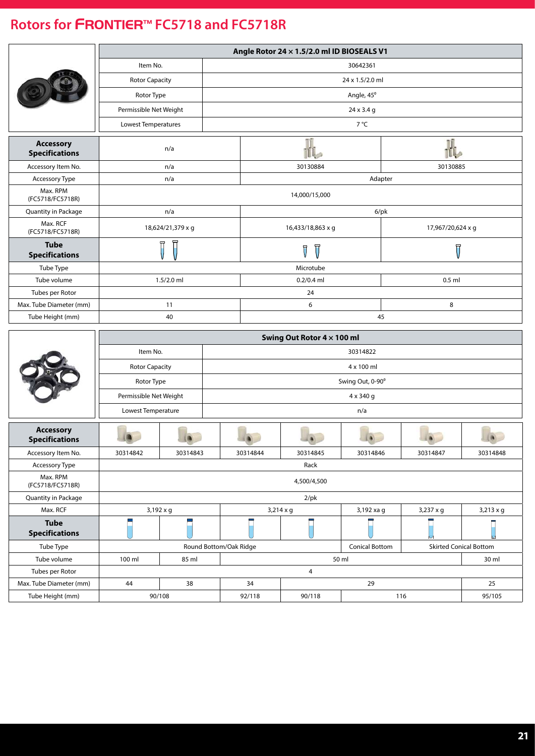<span id="page-20-0"></span>

|                                           |                        |                                                                       |                        |          | Angle Rotor 24 x 1.5/2.0 ml ID BIOSEALS V1 |                  |                         |                               |  |  |  |
|-------------------------------------------|------------------------|-----------------------------------------------------------------------|------------------------|----------|--------------------------------------------|------------------|-------------------------|-------------------------------|--|--|--|
|                                           | Item No.               |                                                                       |                        |          |                                            | 30642361         |                         |                               |  |  |  |
|                                           | <b>Rotor Capacity</b>  |                                                                       |                        |          |                                            | 24 x 1.5/2.0 ml  |                         |                               |  |  |  |
|                                           | Rotor Type             |                                                                       |                        |          |                                            |                  |                         |                               |  |  |  |
|                                           | Permissible Net Weight |                                                                       |                        |          |                                            | 24 x 3.4 g       |                         |                               |  |  |  |
|                                           | Lowest Temperatures    |                                                                       |                        |          |                                            | 7 °C             |                         |                               |  |  |  |
| <b>Accessory</b>                          |                        | n/a                                                                   |                        |          |                                            |                  | Πĩ                      |                               |  |  |  |
| <b>Specifications</b>                     |                        |                                                                       |                        |          |                                            |                  |                         |                               |  |  |  |
| Accessory Item No.                        |                        | n/a                                                                   |                        |          | 30130884                                   |                  | 30130885                |                               |  |  |  |
| Accessory Type<br>Max. RPM                |                        | n/a                                                                   |                        |          |                                            | Adapter          |                         |                               |  |  |  |
| (FC5718/FC5718R)                          |                        | 14,000/15,000                                                         |                        |          |                                            |                  |                         |                               |  |  |  |
| Quantity in Package                       |                        | n/a                                                                   |                        |          |                                            | $6$ /pk          |                         |                               |  |  |  |
| Max. RCF<br>(FC5718/FC5718R)              |                        | 18,624/21,379 x g                                                     |                        |          | 16,433/18,863 x q                          |                  | 17,967/20,624 x g       |                               |  |  |  |
| <b>Tube</b><br><b>Specifications</b>      |                        |                                                                       |                        |          | Ţ                                          |                  | $\overline{\mathsf{U}}$ |                               |  |  |  |
| Tube Type                                 |                        |                                                                       |                        |          |                                            |                  |                         |                               |  |  |  |
| Tube volume                               |                        | $1.5/2.0$ ml                                                          |                        |          | $0.2/0.4$ ml                               |                  | $0.5$ ml                |                               |  |  |  |
| Tubes per Rotor                           |                        |                                                                       |                        |          |                                            |                  |                         |                               |  |  |  |
| Max. Tube Diameter (mm)                   |                        | 11                                                                    | 8<br>6                 |          |                                            |                  |                         |                               |  |  |  |
| Tube Height (mm)                          |                        | 40                                                                    |                        |          |                                            | 45               |                         |                               |  |  |  |
|                                           |                        |                                                                       |                        |          | Swing Out Rotor 4 x 100 ml                 |                  |                         |                               |  |  |  |
|                                           | Item No.               |                                                                       |                        |          |                                            | 30314822         |                         |                               |  |  |  |
|                                           | <b>Rotor Capacity</b>  |                                                                       |                        |          |                                            | 4 x 100 ml       |                         |                               |  |  |  |
|                                           | Rotor Type             |                                                                       |                        |          |                                            | Swing Out, 0-90° |                         |                               |  |  |  |
|                                           | Permissible Net Weight |                                                                       |                        |          |                                            | 4 x 340 g        |                         |                               |  |  |  |
|                                           |                        |                                                                       |                        |          |                                            |                  |                         |                               |  |  |  |
|                                           | Lowest Temperature     |                                                                       |                        |          |                                            | n/a              |                         |                               |  |  |  |
| <b>Accessory</b><br><b>Specifications</b> |                        |                                                                       |                        |          |                                            |                  |                         |                               |  |  |  |
| Accessory Item No.                        | 30314842               | 30314843                                                              |                        | 30314844 | 30314845                                   | 30314846         | 30314847                | 30314848                      |  |  |  |
| Accessory Type                            |                        |                                                                       |                        |          | Rack                                       |                  |                         |                               |  |  |  |
| Max. RPM<br>(FC5718/FC5718R)              |                        |                                                                       |                        |          | 4,500/4,500                                |                  |                         |                               |  |  |  |
| Quantity in Package                       |                        |                                                                       |                        |          | $2$ /pk                                    |                  |                         |                               |  |  |  |
| Max. RCF                                  |                        | 3,192 x g<br>$3,214 \times g$<br>3,192 xa g<br>3,237 x g<br>3,213 x g |                        |          |                                            |                  |                         |                               |  |  |  |
| <b>Tube</b><br><b>Specifications</b>      |                        | F                                                                     |                        |          |                                            |                  |                         |                               |  |  |  |
| Tube Type                                 |                        |                                                                       | Round Bottom/Oak Ridge |          |                                            | Conical Bottom   |                         | <b>Skirted Conical Bottom</b> |  |  |  |
| Tube volume                               | 100 ml                 | 85 ml                                                                 |                        |          |                                            | 50 ml            |                         | 30 ml                         |  |  |  |
| Tubes per Rotor                           |                        |                                                                       |                        |          | 4                                          |                  |                         |                               |  |  |  |
| Max. Tube Diameter (mm)                   | 44                     | 38                                                                    |                        | 34       |                                            | 29               |                         | 25                            |  |  |  |
| Tube Height (mm)                          |                        | 90/108                                                                |                        | 92/118   | 90/118                                     |                  | 116                     | 95/105                        |  |  |  |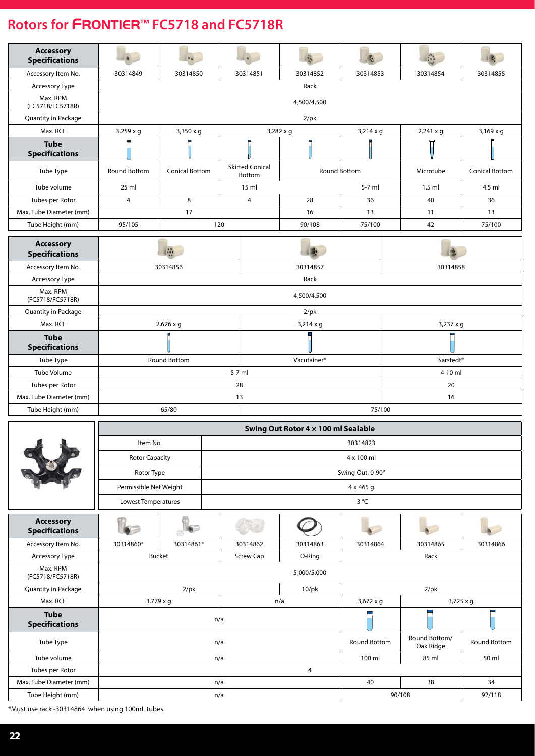| <b>Accessory</b><br><b>Specifications</b> |                     | $\bullet$             |                                  |                                     |                   |                       |                       |  |  |  |  |  |  |
|-------------------------------------------|---------------------|-----------------------|----------------------------------|-------------------------------------|-------------------|-----------------------|-----------------------|--|--|--|--|--|--|
| Accessory Item No.                        | 30314849            | 30314850              | 30314851                         | 30314852                            | 30314853          | 30314854              | 30314855              |  |  |  |  |  |  |
| Accessory Type                            |                     |                       |                                  | Rack                                |                   |                       |                       |  |  |  |  |  |  |
| Max. RPM<br>(FC5718/FC5718R)              |                     | 4,500/4,500           |                                  |                                     |                   |                       |                       |  |  |  |  |  |  |
| Quantity in Package                       |                     |                       |                                  | $2$ /pk                             |                   |                       |                       |  |  |  |  |  |  |
| Max. RCF                                  | $3,259 \times g$    | 3,350 x g             |                                  | $3,282 \times g$                    | $3,214 \times g$  | $2,241 \times g$      | $3,169 \times g$      |  |  |  |  |  |  |
| <b>Tube</b><br><b>Specifications</b>      |                     |                       |                                  |                                     |                   |                       |                       |  |  |  |  |  |  |
| Tube Type                                 | <b>Round Bottom</b> | <b>Conical Bottom</b> | <b>Skirted Conical</b><br>Bottom |                                     | Round Bottom      | Microtube             | <b>Conical Bottom</b> |  |  |  |  |  |  |
| Tube volume                               | 25 ml               |                       | 15 ml                            |                                     | 5-7 ml            | $1.5$ ml              | 4.5 ml                |  |  |  |  |  |  |
| Tubes per Rotor                           | $\overline{4}$      | 8                     | 4                                | 28                                  | 36                | 40                    | 36                    |  |  |  |  |  |  |
| Max. Tube Diameter (mm)                   |                     | 17                    |                                  | 16                                  | 13                | 11                    | 13                    |  |  |  |  |  |  |
| Tube Height (mm)                          | 95/105              |                       | 120                              | 90/108                              | 75/100            | 42                    | 75/100                |  |  |  |  |  |  |
| <b>Accessory</b><br><b>Specifications</b> |                     | $\mathbf{a}$          |                                  |                                     |                   |                       |                       |  |  |  |  |  |  |
| Accessory Item No.                        |                     | 30314856              |                                  | 30314857                            |                   | 30314858              |                       |  |  |  |  |  |  |
| Accessory Type                            |                     |                       |                                  | Rack                                |                   |                       |                       |  |  |  |  |  |  |
| Max. RPM<br>(FC5718/FC5718R)              |                     |                       |                                  | 4,500/4,500                         |                   |                       |                       |  |  |  |  |  |  |
| Quantity in Package                       |                     |                       |                                  | $2$ /pk                             |                   |                       |                       |  |  |  |  |  |  |
| Max. RCF                                  |                     | $2,626 \times g$      |                                  | $3,214 \times g$                    |                   | 3,237 x g             |                       |  |  |  |  |  |  |
| <b>Tube</b><br><b>Specifications</b>      |                     |                       |                                  |                                     |                   |                       |                       |  |  |  |  |  |  |
| Tube Type                                 |                     | <b>Round Bottom</b>   |                                  | Vacutainer <sup>®</sup>             |                   | Sarstedt <sup>®</sup> |                       |  |  |  |  |  |  |
| <b>Tube Volume</b>                        |                     |                       | $5-7$ ml                         |                                     |                   | 4-10 ml               |                       |  |  |  |  |  |  |
| Tubes per Rotor                           |                     |                       | 28                               | 20                                  |                   |                       |                       |  |  |  |  |  |  |
| Max. Tube Diameter (mm)                   |                     |                       | 13                               | 16                                  |                   |                       |                       |  |  |  |  |  |  |
| Tube Height (mm)                          |                     | 65/80                 |                                  |                                     | 75/100            |                       |                       |  |  |  |  |  |  |
|                                           |                     |                       |                                  | Swing Out Rotor 4 x 100 ml Sealable |                   |                       |                       |  |  |  |  |  |  |
|                                           | Item No.            |                       |                                  |                                     | 30314823          |                       |                       |  |  |  |  |  |  |
|                                           | Dotor Canacity      |                       |                                  |                                     | $4 \times 100$ ml |                       |                       |  |  |  |  |  |  |

|                                           |                        | Item No.<br>30314823                 |                  |             |                  |                            |              |  |  |  |
|-------------------------------------------|------------------------|--------------------------------------|------------------|-------------|------------------|----------------------------|--------------|--|--|--|
|                                           | <b>Rotor Capacity</b>  |                                      |                  |             | 4 x 100 ml       |                            |              |  |  |  |
|                                           | Rotor Type             |                                      | Swing Out, 0-90° |             |                  |                            |              |  |  |  |
|                                           | Permissible Net Weight |                                      |                  |             | $4 \times 465$ g |                            |              |  |  |  |
|                                           | Lowest Temperatures    |                                      |                  |             | -3 $^{\circ}$ C  |                            |              |  |  |  |
| <b>Accessory</b><br><b>Specifications</b> |                        |                                      |                  |             |                  |                            |              |  |  |  |
| Accessory Item No.                        | 30314860*              | 30314861*                            | 30314862         | 30314863    | 30314864         | 30314865                   | 30314866     |  |  |  |
| Accessory Type                            |                        | <b>Bucket</b><br>Screw Cap<br>O-Ring |                  |             |                  | Rack                       |              |  |  |  |
| Max. RPM<br>(FC5718/FC5718R)              |                        |                                      |                  | 5,000/5,000 |                  |                            |              |  |  |  |
| Quantity in Package                       |                        | $2$ /pk                              |                  | $10$ /pk    |                  | $2$ /pk                    |              |  |  |  |
| Max. RCF                                  |                        | $3,779 \times q$                     |                  | n/a         | $3,672 \times g$ |                            | 3,725 x g    |  |  |  |
| <b>Tube</b><br><b>Specifications</b>      |                        |                                      | n/a              |             |                  |                            |              |  |  |  |
| Tube Type                                 |                        | n/a                                  |                  |             |                  | Round Bottom/<br>Oak Ridge | Round Bottom |  |  |  |
| Tube volume                               |                        |                                      | n/a              |             | 100 ml           | 85 ml                      | 50 ml        |  |  |  |
| Tubes per Rotor                           |                        | 4                                    |                  |             |                  |                            |              |  |  |  |
| Max. Tube Diameter (mm)                   |                        |                                      | n/a              |             | 40               | 38                         | 34           |  |  |  |
| Tube Height (mm)                          |                        |                                      | n/a              |             |                  | 90/108                     | 92/118       |  |  |  |

\*Must use rack -30314864 when using 100mL tubes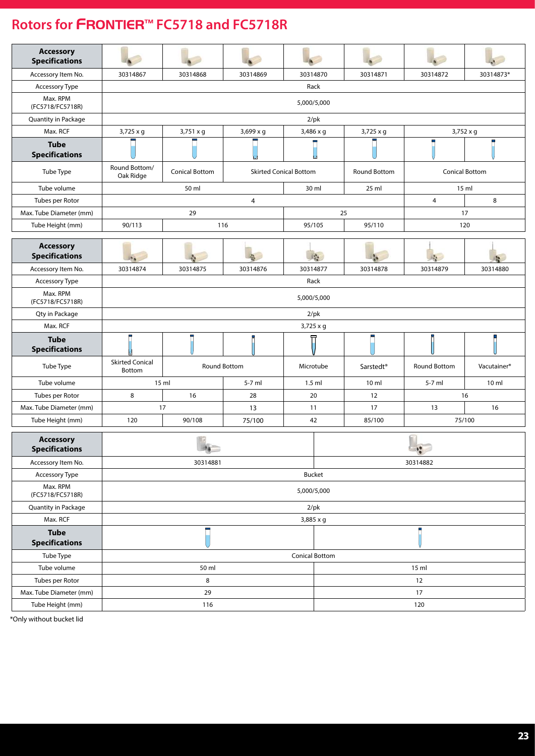| <b>Accessory</b><br><b>Specifications</b> |                                  |                       |                               |                  |  |                       |                       |                         |  |  |  |  |
|-------------------------------------------|----------------------------------|-----------------------|-------------------------------|------------------|--|-----------------------|-----------------------|-------------------------|--|--|--|--|
| Accessory Item No.                        | 30314867                         | 30314868              | 30314869                      | 30314870         |  | 30314871              | 30314872              | 30314873*               |  |  |  |  |
| Accessory Type                            |                                  |                       |                               | Rack             |  |                       |                       |                         |  |  |  |  |
| Max. RPM<br>(FC5718/FC5718R)              |                                  | 5,000/5,000           |                               |                  |  |                       |                       |                         |  |  |  |  |
| Quantity in Package                       |                                  |                       |                               | $2$ /pk          |  |                       |                       |                         |  |  |  |  |
| Max. RCF                                  | $3,725 \times g$                 | 3,751 x g             | 3,699 x g                     | $3,486 \times q$ |  | 3,725 x g             | $3,752 \times g$      |                         |  |  |  |  |
| <b>Tube</b><br><b>Specifications</b>      |                                  |                       |                               |                  |  |                       |                       |                         |  |  |  |  |
| Tube Type                                 | Round Bottom/<br>Oak Ridge       | <b>Conical Bottom</b> | <b>Skirted Conical Bottom</b> |                  |  | Round Bottom          | <b>Conical Bottom</b> |                         |  |  |  |  |
| Tube volume                               |                                  | 50 ml                 |                               | 30 ml            |  | 25 ml                 |                       | 15 ml                   |  |  |  |  |
| Tubes per Rotor                           |                                  |                       | 4                             |                  |  |                       | $\overline{4}$        | 8                       |  |  |  |  |
| Max. Tube Diameter (mm)                   |                                  | 29                    |                               |                  |  | 25                    |                       | 17                      |  |  |  |  |
| Tube Height (mm)                          | 90/113                           |                       | 116                           | 95/105           |  | 95/110                |                       | 120                     |  |  |  |  |
| <b>Accessory</b><br><b>Specifications</b> |                                  |                       |                               | 兵车               |  |                       |                       |                         |  |  |  |  |
| Accessory Item No.                        | 30314874                         | 30314875              | 30314876                      | 30314877         |  | 30314878              | 30314879              | 30314880                |  |  |  |  |
| Accessory Type                            |                                  |                       |                               | Rack             |  |                       |                       |                         |  |  |  |  |
| Max. RPM<br>(FC5718/FC5718R)              |                                  | 5,000/5,000           |                               |                  |  |                       |                       |                         |  |  |  |  |
| Qty in Package                            |                                  |                       |                               | $2$ /pk          |  |                       |                       |                         |  |  |  |  |
| Max. RCF                                  |                                  |                       |                               | 3,725 x g        |  |                       |                       |                         |  |  |  |  |
| <b>Tube</b><br><b>Specifications</b>      |                                  |                       |                               |                  |  |                       |                       | ш                       |  |  |  |  |
| Tube Type                                 | <b>Skirted Conical</b><br>Bottom |                       | Round Bottom                  | Microtube        |  | Sarstedt <sup>®</sup> | Round Bottom          | Vacutainer <sup>®</sup> |  |  |  |  |
| Tube volume                               |                                  | 15 ml                 | 5-7 ml                        | $1.5$ ml         |  | 10 <sub>m</sub>       | 5-7 ml                | 10 ml                   |  |  |  |  |
| Tubes per Rotor                           | 8                                | 16                    | 28                            | 20               |  | 12                    |                       | 16                      |  |  |  |  |
| Max. Tube Diameter (mm)                   |                                  | 17                    | 13                            | 11               |  | 17                    | 13                    | 16                      |  |  |  |  |
| Tube Height (mm)                          | 120                              | 90/108                | 75/100                        | 42               |  | 85/100                |                       | 75/100                  |  |  |  |  |
| <b>Accessory</b><br><b>Specifications</b> |                                  | $\lambda$             |                               |                  |  |                       | E<br>$\mathcal{C}$    |                         |  |  |  |  |
| Accessory Item No.                        |                                  | 30314881              |                               |                  |  |                       | 30314882              |                         |  |  |  |  |
| Accessory Type                            |                                  |                       |                               | Bucket           |  |                       |                       |                         |  |  |  |  |
| Max. RPM<br>(FC5718/FC5718R)              |                                  |                       |                               | 5,000/5,000      |  |                       |                       |                         |  |  |  |  |
| Quantity in Package                       |                                  |                       |                               | $2$ /pk          |  |                       |                       |                         |  |  |  |  |
| Max. RCF                                  |                                  |                       |                               | 3,885 x g        |  |                       |                       |                         |  |  |  |  |
| <b>Tube</b><br><b>Specifications</b>      |                                  |                       |                               |                  |  |                       |                       |                         |  |  |  |  |
|                                           | Conical Bottom                   |                       |                               |                  |  |                       |                       |                         |  |  |  |  |
| Tube Type                                 |                                  |                       |                               |                  |  |                       |                       |                         |  |  |  |  |
| Tube volume                               |                                  | 50 ml                 |                               |                  |  |                       | 15 ml                 |                         |  |  |  |  |
| Tubes per Rotor                           |                                  | 8                     |                               |                  |  |                       | 12                    |                         |  |  |  |  |
| Max. Tube Diameter (mm)                   |                                  | 29                    |                               |                  |  |                       | 17                    |                         |  |  |  |  |

\*Only without bucket lid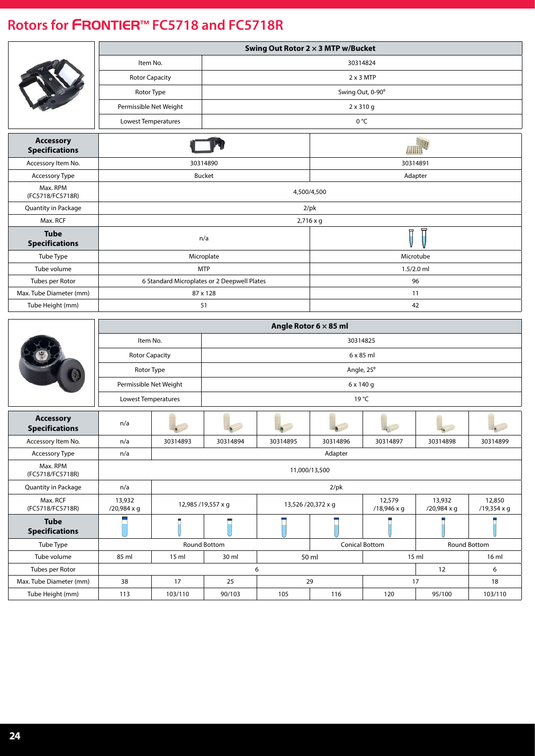|                                           |                        |                        |                                             | Swing Out Rotor 2 × 3 MTP w/Bucket |                       |                       |                       |                       |  |  |  |  |
|-------------------------------------------|------------------------|------------------------|---------------------------------------------|------------------------------------|-----------------------|-----------------------|-----------------------|-----------------------|--|--|--|--|
|                                           |                        | Item No.               |                                             |                                    | 30314824              |                       |                       |                       |  |  |  |  |
|                                           |                        | <b>Rotor Capacity</b>  |                                             |                                    | $2 \times 3$ MTP      |                       |                       |                       |  |  |  |  |
|                                           | Rotor Type             |                        |                                             |                                    |                       | Swing Out, 0-90°      |                       |                       |  |  |  |  |
|                                           |                        | Permissible Net Weight |                                             |                                    |                       | $2 \times 310$ g      |                       |                       |  |  |  |  |
|                                           | Lowest Temperatures    |                        |                                             |                                    |                       | 0 °C                  |                       |                       |  |  |  |  |
|                                           |                        |                        |                                             |                                    |                       |                       |                       |                       |  |  |  |  |
| <b>Accessory</b><br><b>Specifications</b> |                        |                        |                                             |                                    |                       | AHHH                  |                       |                       |  |  |  |  |
| Accessory Item No.                        |                        |                        | 30314890                                    |                                    |                       |                       | 30314891              |                       |  |  |  |  |
| Accessory Type                            |                        |                        | <b>Bucket</b>                               |                                    |                       |                       | Adapter               |                       |  |  |  |  |
| Max. RPM<br>(FC5718/FC5718R)              |                        | 4,500/4,500            |                                             |                                    |                       |                       |                       |                       |  |  |  |  |
| Quantity in Package                       |                        |                        |                                             |                                    | $2$ /pk               |                       |                       |                       |  |  |  |  |
| Max. RCF                                  |                        |                        |                                             |                                    | 2,716 x g             |                       |                       |                       |  |  |  |  |
| <b>Tube</b><br><b>Specifications</b>      |                        |                        | n/a                                         |                                    |                       |                       |                       |                       |  |  |  |  |
| Tube Type                                 |                        |                        | Microplate                                  |                                    |                       |                       | Microtube             |                       |  |  |  |  |
| Tube volume                               |                        |                        | <b>MTP</b>                                  |                                    |                       |                       | $1.5/2.0$ ml          |                       |  |  |  |  |
| Tubes per Rotor                           |                        |                        | 6 Standard Microplates or 2 Deepwell Plates |                                    | 96                    |                       |                       |                       |  |  |  |  |
| Max. Tube Diameter (mm)                   |                        |                        | 87 x 128                                    |                                    |                       |                       | 11                    |                       |  |  |  |  |
| Tube Height (mm)                          |                        |                        | 51                                          |                                    |                       |                       | 42                    |                       |  |  |  |  |
|                                           |                        |                        |                                             |                                    | Angle Rotor 6 x 85 ml |                       |                       |                       |  |  |  |  |
|                                           | Item No.               |                        |                                             |                                    |                       | 30314825              |                       |                       |  |  |  |  |
|                                           | <b>Rotor Capacity</b>  |                        |                                             |                                    |                       | 6 x 85 ml             |                       |                       |  |  |  |  |
|                                           | Rotor Type             |                        |                                             |                                    |                       | Angle, 25°            |                       |                       |  |  |  |  |
|                                           | Permissible Net Weight |                        |                                             |                                    |                       | 6 x 140 g             |                       |                       |  |  |  |  |
|                                           | Lowest Temperatures    |                        |                                             |                                    |                       | 19 °C                 |                       |                       |  |  |  |  |
|                                           |                        |                        |                                             |                                    |                       |                       |                       |                       |  |  |  |  |
| <b>Accessory</b><br><b>Specifications</b> | n/a                    |                        |                                             |                                    |                       |                       |                       |                       |  |  |  |  |
| Accessory Item No.                        | n/a                    | 30314893               | 30314894                                    | 30314895                           | 30314896              | 30314897              | 30314898              | 30314899              |  |  |  |  |
| Accessory Type                            | n/a                    |                        |                                             |                                    | Adapter               |                       |                       |                       |  |  |  |  |
| Max. RPM<br>(FC5718/FC5718R)              |                        |                        |                                             |                                    | 11,000/13,500         |                       |                       |                       |  |  |  |  |
| Quantity in Package                       | n/a                    |                        |                                             |                                    | $2$ /pk               |                       |                       |                       |  |  |  |  |
| Max. RCF<br>(FC5718/FC5718R)              | 13,932<br>/20,984 x g  |                        | 12,985 /19,557 x g                          |                                    | 13,526 /20,372 x g    | 12,579<br>/18,946 x g | 13,932<br>/20,984 x g | 12,850<br>/19,354 x g |  |  |  |  |
| <b>Tube</b><br><b>Specifications</b>      |                        |                        |                                             |                                    |                       |                       |                       |                       |  |  |  |  |
| Tube Type                                 |                        |                        | Round Bottom                                |                                    |                       | <b>Conical Bottom</b> |                       | Round Bottom          |  |  |  |  |
| Tube volume                               | 85 ml                  | 15 ml                  | 30 ml                                       |                                    | 50 ml                 |                       | 15 ml                 | 16 ml                 |  |  |  |  |
| Tubes per Rotor                           |                        | 6<br>6<br>12           |                                             |                                    |                       |                       |                       |                       |  |  |  |  |
| Max. Tube Diameter (mm)                   | 38                     | 17                     | 25                                          |                                    | 29<br>17<br>18        |                       |                       |                       |  |  |  |  |
| Tube Height (mm)                          | 113                    | 103/110                | 90/103                                      | 105                                | 116                   | 120                   | 95/100                | 103/110               |  |  |  |  |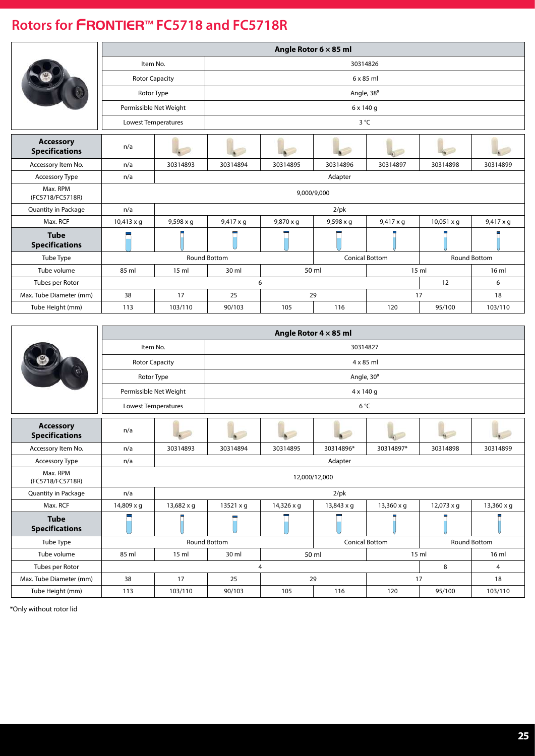|                                           |                       |                                                                         |                  |           | Angle Rotor $6 \times 85$ ml |                       |                   |                     |  |  |  |
|-------------------------------------------|-----------------------|-------------------------------------------------------------------------|------------------|-----------|------------------------------|-----------------------|-------------------|---------------------|--|--|--|
|                                           | Item No.              |                                                                         | 30314826         |           |                              |                       |                   |                     |  |  |  |
|                                           | <b>Rotor Capacity</b> |                                                                         |                  |           |                              | $6 \times 85$ ml      |                   |                     |  |  |  |
|                                           | Rotor Type            |                                                                         |                  |           |                              | Angle, 38°            |                   |                     |  |  |  |
|                                           |                       | Permissible Net Weight                                                  |                  |           | 6 x 140 g                    |                       |                   |                     |  |  |  |
|                                           | Lowest Temperatures   |                                                                         |                  |           | 3 °C                         |                       |                   |                     |  |  |  |
| <b>Accessory</b><br><b>Specifications</b> | n/a                   |                                                                         |                  |           |                              |                       |                   |                     |  |  |  |
| Accessory Item No.                        | n/a                   | 30314893                                                                | 30314894         | 30314895  | 30314896                     | 30314897              | 30314898          | 30314899            |  |  |  |
| <b>Accessory Type</b>                     | n/a                   |                                                                         |                  |           | Adapter                      |                       |                   |                     |  |  |  |
| Max. RPM<br>(FC5718/FC5718R)              |                       |                                                                         |                  |           | 9,000/9,000                  |                       |                   |                     |  |  |  |
| Quantity in Package                       | n/a                   |                                                                         |                  |           | $2$ /pk                      |                       |                   |                     |  |  |  |
| Max. RCF                                  | $10,413 \times q$     | $9,598 \times q$                                                        | $9,417 \times q$ | 9,870 x g | $9,598 \times q$             | $9,417 \times q$      | $10,051 \times q$ | $9,417 \times q$    |  |  |  |
| <b>Tube</b><br><b>Specifications</b>      |                       |                                                                         |                  |           |                              |                       |                   |                     |  |  |  |
| Tube Type                                 |                       |                                                                         | Round Bottom     |           |                              | <b>Conical Bottom</b> |                   | <b>Round Bottom</b> |  |  |  |
| Tube volume                               | 85 ml                 | 50 ml<br>15 <sub>m</sub><br>30 ml<br>15 <sub>m</sub><br>16 <sub>m</sub> |                  |           |                              |                       |                   |                     |  |  |  |
| Tubes per Rotor                           |                       |                                                                         | 12<br>6<br>6     |           |                              |                       |                   |                     |  |  |  |
| Max. Tube Diameter (mm)                   | 38                    | 17                                                                      | 25               |           | 29                           |                       | 17                | 18                  |  |  |  |
| Tube Height (mm)                          | 113                   | 103/110                                                                 | 90/103           | 105       | 116                          | 120                   | 95/100            | 103/110             |  |  |  |

|                                           |                       |                                       |                     |            | Angle Rotor $4 \times 85$ ml |                       |                   |                     |  |  |
|-------------------------------------------|-----------------------|---------------------------------------|---------------------|------------|------------------------------|-----------------------|-------------------|---------------------|--|--|
|                                           | Item No.              |                                       | 30314827            |            |                              |                       |                   |                     |  |  |
|                                           | <b>Rotor Capacity</b> |                                       |                     |            | $4 \times 85$ ml             |                       |                   |                     |  |  |
|                                           | Rotor Type            |                                       |                     |            | Angle, 30°                   |                       |                   |                     |  |  |
|                                           |                       | Permissible Net Weight                |                     |            | 4 x 140 g                    |                       |                   |                     |  |  |
|                                           | Lowest Temperatures   |                                       |                     |            | $6^{\circ}$ C                |                       |                   |                     |  |  |
| <b>Accessory</b><br><b>Specifications</b> | n/a                   |                                       |                     |            |                              |                       |                   |                     |  |  |
| Accessory Item No.                        | n/a                   | 30314893                              | 30314894            | 30314895   | 30314896*                    | 30314897*             | 30314898          | 30314899            |  |  |
| <b>Accessory Type</b>                     | n/a                   |                                       |                     |            | Adapter                      |                       |                   |                     |  |  |
| Max. RPM<br>(FC5718/FC5718R)              |                       |                                       |                     |            | 12,000/12,000                |                       |                   |                     |  |  |
| Quantity in Package                       | n/a                   |                                       |                     |            | $2$ /pk                      |                       |                   |                     |  |  |
| Max. RCF                                  | 14,809 x g            | 13,682 x g                            | $13521 \times q$    | 14,326 x q | $13,843 \times q$            | $13,360 \times q$     | $12,073 \times q$ | $13,360 \times q$   |  |  |
| <b>Tube</b><br><b>Specifications</b>      |                       |                                       |                     |            |                              |                       |                   |                     |  |  |
| Tube Type                                 |                       |                                       | <b>Round Bottom</b> |            |                              | <b>Conical Bottom</b> |                   | <b>Round Bottom</b> |  |  |
| Tube volume                               | 85 ml                 | 15 <sub>ml</sub>                      | 30 ml               |            | 50 ml                        |                       | 15 <sub>m</sub>   | 16 <sub>m</sub>     |  |  |
| Tubes per Rotor                           |                       | 8<br>$\overline{4}$<br>$\overline{4}$ |                     |            |                              |                       |                   |                     |  |  |
| Max. Tube Diameter (mm)                   | 38                    | 17                                    | 25                  |            | 29                           |                       | 17                | 18                  |  |  |
| Tube Height (mm)                          | 113                   | 103/110                               | 90/103              | 105        | 116                          | 120                   | 95/100            | 103/110             |  |  |

\*Only without rotor lid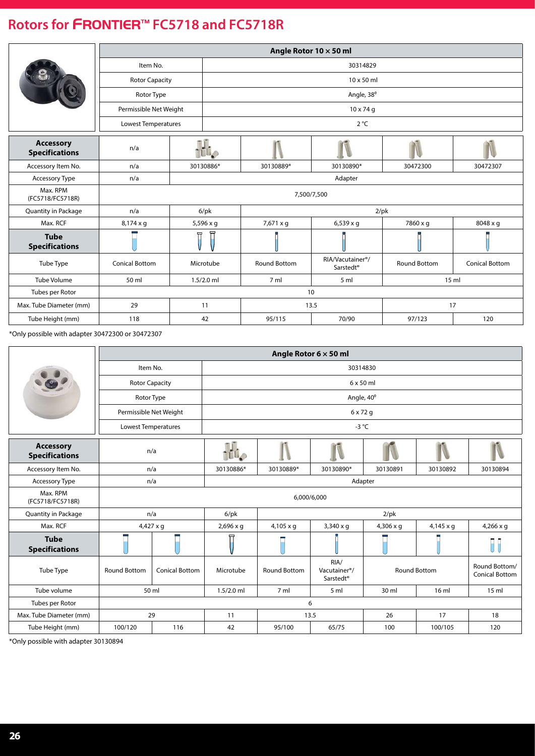|                                           |                        |                  |              |                     | Angle Rotor 10 x 50 ml                                 |                     |                       |  |  |  |  |
|-------------------------------------------|------------------------|------------------|--------------|---------------------|--------------------------------------------------------|---------------------|-----------------------|--|--|--|--|
|                                           | Item No.               |                  |              |                     | 30314829                                               |                     |                       |  |  |  |  |
|                                           | <b>Rotor Capacity</b>  |                  |              |                     | 10 x 50 ml                                             |                     |                       |  |  |  |  |
|                                           | Rotor Type             |                  | Angle, 38°   |                     |                                                        |                     |                       |  |  |  |  |
|                                           | Permissible Net Weight |                  |              |                     | $10 \times 74$ g                                       |                     |                       |  |  |  |  |
|                                           | Lowest Temperatures    |                  | $2^{\circ}C$ |                     |                                                        |                     |                       |  |  |  |  |
| <b>Accessory</b><br><b>Specifications</b> | n/a                    |                  | ti.          |                     |                                                        |                     |                       |  |  |  |  |
| Accessory Item No.                        | n/a                    | 30130886*        |              | 30130889*           | 30130890*                                              | 30472300            | 30472307              |  |  |  |  |
| Accessory Type                            | n/a                    |                  |              |                     | Adapter                                                |                     |                       |  |  |  |  |
| Max. RPM<br>(FC5718/FC5718R)              |                        |                  |              |                     | 7,500/7,500                                            |                     |                       |  |  |  |  |
| Quantity in Package                       | n/a                    | $6$ /pk          | $2$ /pk      |                     |                                                        |                     |                       |  |  |  |  |
| Max. RCF                                  | $8,174 \times q$       | $5,596 \times q$ |              | 7,671 x q           | $6,539 \times q$                                       | 7860 x q            | 8048 x q              |  |  |  |  |
| <b>Tube</b><br><b>Specifications</b>      |                        | ÷                |              |                     |                                                        |                     |                       |  |  |  |  |
| Tube Type                                 | <b>Conical Bottom</b>  | Microtube        |              | <b>Round Bottom</b> | RIA/Vacutainer <sup>®</sup> /<br>Sarstedt <sup>®</sup> | <b>Round Bottom</b> | <b>Conical Bottom</b> |  |  |  |  |
| <b>Tube Volume</b>                        | 50 ml                  | $1.5/2.0$ ml     |              | 7 ml                | 5 ml                                                   |                     | 15 ml                 |  |  |  |  |
| Tubes per Rotor                           |                        |                  |              |                     | 10                                                     |                     |                       |  |  |  |  |
| Max. Tube Diameter (mm)                   | 29                     | 11               |              |                     | 13.5                                                   | 17                  |                       |  |  |  |  |
| Tube Height (mm)                          | 118                    | 42               |              | 95/115              | 70/90                                                  | 97/123              | 120                   |  |  |  |  |

\*Only possible with adapter 30472300 or 30472307

|                                           |                            |                       |                  |                     | Angle Rotor $6 \times 50$ ml                               |                  |                     |                                        |  |  |
|-------------------------------------------|----------------------------|-----------------------|------------------|---------------------|------------------------------------------------------------|------------------|---------------------|----------------------------------------|--|--|
|                                           | Item No.                   |                       |                  | 30314830            |                                                            |                  |                     |                                        |  |  |
|                                           | <b>Rotor Capacity</b>      |                       |                  |                     | $6 \times 50$ ml                                           |                  |                     |                                        |  |  |
|                                           | Rotor Type                 |                       |                  |                     | Angle, 40°                                                 |                  |                     |                                        |  |  |
|                                           | Permissible Net Weight     |                       |                  |                     | 6 x 72 g                                                   |                  |                     |                                        |  |  |
|                                           | <b>Lowest Temperatures</b> |                       |                  |                     | $-3$ °C                                                    |                  |                     |                                        |  |  |
| <b>Accessory</b><br><b>Specifications</b> | n/a                        |                       | TILO             |                     |                                                            |                  |                     |                                        |  |  |
| Accessory Item No.                        | n/a                        |                       | 30130886*        | 30130889*           | 30130890*                                                  | 30130891         | 30130892            | 30130894                               |  |  |
| Accessory Type                            |                            | n/a                   |                  |                     |                                                            | Adapter          |                     |                                        |  |  |
| Max. RPM<br>(FC5718/FC5718R)              |                            |                       |                  |                     | 6,000/6,000                                                |                  |                     |                                        |  |  |
| Quantity in Package                       |                            | n/a                   | $6$ /pk          |                     |                                                            | $2$ /pk          |                     |                                        |  |  |
| Max. RCF                                  |                            | $4,427 \times q$      | $2,696 \times q$ | $4,105 \times q$    | 3,340 x g                                                  | $4,306 \times q$ | $4,145 \times q$    | $4,266 \times q$                       |  |  |
| <b>Tube</b><br><b>Specifications</b>      |                            |                       | π                |                     |                                                            |                  |                     | T                                      |  |  |
| Tube Type                                 | <b>Round Bottom</b>        | <b>Conical Bottom</b> | Microtube        | <b>Round Bottom</b> | RIA/<br>Vacutainer <sup>®</sup> /<br>Sarstedt <sup>®</sup> |                  | <b>Round Bottom</b> | Round Bottom/<br><b>Conical Bottom</b> |  |  |
| Tube volume                               |                            | 50 ml                 | $1.5/2.0$ ml     | 7 <sub>m</sub>      | 5 <sub>m</sub>                                             | 30 ml            | 16 <sub>m</sub>     | 15 <sub>m</sub>                        |  |  |
| Tubes per Rotor                           |                            | 6                     |                  |                     |                                                            |                  |                     |                                        |  |  |
| Max. Tube Diameter (mm)                   |                            | 29                    | 11               |                     | 13.5                                                       | 26               | 17                  | 18                                     |  |  |
| Tube Height (mm)                          | 100/120                    | 116                   | 42               | 95/100              | 65/75                                                      | 100              | 100/105             | 120                                    |  |  |

\*Only possible with adapter 30130894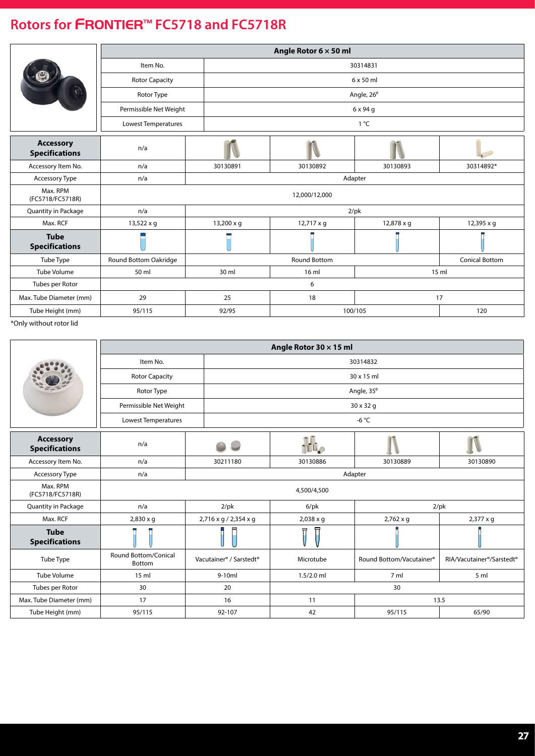|                                           |                        |                         | Angle Rotor $6 \times 50$ ml |                  |                       |  |  |  |  |
|-------------------------------------------|------------------------|-------------------------|------------------------------|------------------|-----------------------|--|--|--|--|
|                                           | Item No.               |                         | 30314831                     |                  |                       |  |  |  |  |
|                                           | <b>Rotor Capacity</b>  |                         |                              | $6 \times 50$ ml |                       |  |  |  |  |
|                                           | Rotor Type             |                         |                              | Angle, 26°       |                       |  |  |  |  |
|                                           | Permissible Net Weight |                         |                              | 6 x 94 g         |                       |  |  |  |  |
|                                           | Lowest Temperatures    |                         | 1 °C                         |                  |                       |  |  |  |  |
| <b>Accessory</b><br><b>Specifications</b> | n/a                    |                         |                              |                  |                       |  |  |  |  |
| Accessory Item No.                        | n/a                    | 30130891                | 30130892                     | 30130893         | 30314892*             |  |  |  |  |
| <b>Accessory Type</b>                     | n/a                    | Adapter                 |                              |                  |                       |  |  |  |  |
| Max. RPM<br>(FC5718/FC5718R)              |                        |                         | 12,000/12,000                |                  |                       |  |  |  |  |
| Quantity in Package                       | n/a                    |                         |                              | $2$ /pk          |                       |  |  |  |  |
| Max. RCF                                  | 13,522 x g             | $13,200 \times g$       | $12,717 \times g$            | 12,878 x g       | 12,395 x g            |  |  |  |  |
| <b>Tube</b><br><b>Specifications</b>      |                        |                         |                              |                  |                       |  |  |  |  |
| Tube Type                                 | Round Bottom Oakridge  |                         | Round Bottom                 |                  | <b>Conical Bottom</b> |  |  |  |  |
| <b>Tube Volume</b>                        | 50 ml                  | 30 ml<br>15 ml<br>16 ml |                              |                  |                       |  |  |  |  |
| Tubes per Rotor                           |                        | 6                       |                              |                  |                       |  |  |  |  |
| Max. Tube Diameter (mm)                   | 29                     | 25                      | 18                           |                  | 17                    |  |  |  |  |
| Tube Height (mm)                          | 95/115                 | 92/95                   | 100/105                      |                  | 120                   |  |  |  |  |

\*Only without rotor lid

|                                           | Angle Rotor 30 x 15 ml         |                                                 |                  |                          |                           |  |  |
|-------------------------------------------|--------------------------------|-------------------------------------------------|------------------|--------------------------|---------------------------|--|--|
|                                           | Item No.                       |                                                 | 30314832         |                          |                           |  |  |
|                                           | <b>Rotor Capacity</b>          |                                                 |                  | 30 x 15 ml               |                           |  |  |
|                                           | Rotor Type                     |                                                 |                  | Angle, 35°               |                           |  |  |
|                                           | Permissible Net Weight         |                                                 |                  | 30 x 32 g                |                           |  |  |
|                                           | Lowest Temperatures            |                                                 |                  | -6 $^{\circ}$ C          |                           |  |  |
| <b>Accessory</b><br><b>Specifications</b> | n/a                            |                                                 | $\mathbf{U}$     |                          |                           |  |  |
| Accessory Item No.                        | n/a                            | 30211180                                        | 30130886         | 30130889                 | 30130890                  |  |  |
| <b>Accessory Type</b>                     | n/a                            |                                                 |                  | Adapter                  |                           |  |  |
| Max. RPM<br>(FC5718/FC5718R)              |                                |                                                 | 4,500/4,500      |                          |                           |  |  |
| Quantity in Package                       | n/a                            | $2$ /pk                                         | $6$ /p $k$       |                          | $2$ /pk                   |  |  |
| Max. RCF                                  | $2,830 \times g$               | 2,716 x g / 2,354 x g                           | $2,038 \times q$ | 2,762 x g                | $2,377 \times g$          |  |  |
| <b>Tube</b><br><b>Specifications</b>      |                                |                                                 | 曱                |                          |                           |  |  |
| Tube Type                                 | Round Bottom/Conical<br>Bottom | Vacutainer <sup>®</sup> / Sarstedt <sup>®</sup> | Microtube        | Round Bottom/Vacutainer® | RIA/Vacutainer®/Sarstedt® |  |  |
| <b>Tube Volume</b>                        | 15 <sub>m</sub>                | $9-10ml$                                        | $1.5/2.0$ ml     | 7 ml                     | 5 ml                      |  |  |
| Tubes per Rotor                           | 30                             | 20                                              |                  | 30                       |                           |  |  |
| Max. Tube Diameter (mm)                   | 17                             | 16                                              | 11               | 13.5                     |                           |  |  |
| Tube Height (mm)                          | 95/115                         | 92-107                                          | 42               | 95/115                   | 65/90                     |  |  |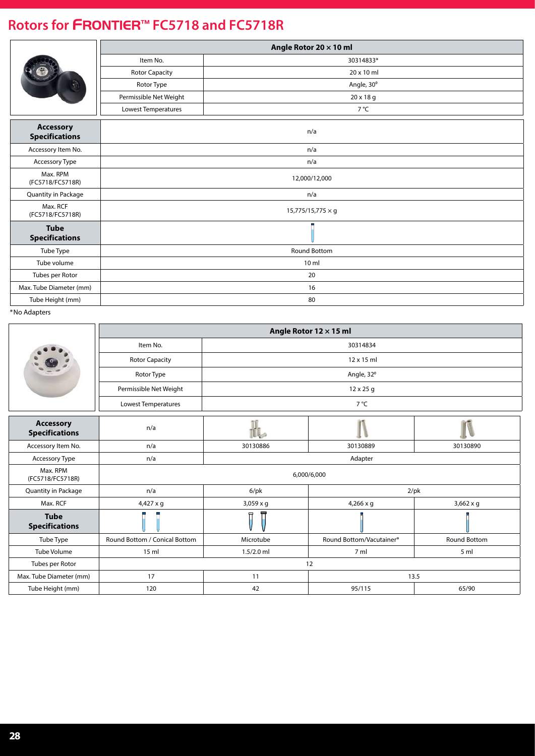|                                           |                          | Angle Rotor 20 $\times$ 10 ml |  |  |
|-------------------------------------------|--------------------------|-------------------------------|--|--|
|                                           | Item No.                 | 30314833*                     |  |  |
|                                           | <b>Rotor Capacity</b>    | 20 x 10 ml                    |  |  |
|                                           | Rotor Type               | Angle, 30°                    |  |  |
|                                           | Permissible Net Weight   | 20 x 18 g                     |  |  |
|                                           | Lowest Temperatures      | 7 °C                          |  |  |
| <b>Accessory</b><br><b>Specifications</b> |                          | n/a                           |  |  |
| Accessory Item No.                        | n/a                      |                               |  |  |
| Accessory Type                            | n/a                      |                               |  |  |
| Max. RPM<br>(FC5718/FC5718R)              | 12,000/12,000            |                               |  |  |
| Quantity in Package                       |                          | n/a                           |  |  |
| Max. RCF<br>(FC5718/FC5718R)              | $15,775/15,775 \times g$ |                               |  |  |
| <b>Tube</b><br><b>Specifications</b>      |                          |                               |  |  |
| Tube Type                                 | Round Bottom             |                               |  |  |
| Tube volume                               | 10 ml                    |                               |  |  |
| Tubes per Rotor                           | 20                       |                               |  |  |
| Max. Tube Diameter (mm)                   |                          | 16                            |  |  |
| Tube Height (mm)                          |                          | 80                            |  |  |

|                                           |                               | Angle Rotor 12 × 15 ml |                          |                  |  |  |
|-------------------------------------------|-------------------------------|------------------------|--------------------------|------------------|--|--|
|                                           | Item No.                      |                        | 30314834                 |                  |  |  |
|                                           | <b>Rotor Capacity</b>         | 12 x 15 ml             |                          |                  |  |  |
|                                           | Rotor Type                    |                        | Angle, 32°               |                  |  |  |
|                                           | Permissible Net Weight        |                        | 12 x 25 g                |                  |  |  |
|                                           | Lowest Temperatures           | 7°C                    |                          |                  |  |  |
| <b>Accessory</b><br><b>Specifications</b> | n/a                           |                        |                          |                  |  |  |
| Accessory Item No.                        | n/a                           | 30130886               | 30130889                 | 30130890         |  |  |
| <b>Accessory Type</b>                     | n/a                           |                        | Adapter                  |                  |  |  |
| Max. RPM<br>(FC5718/FC5718R)              |                               |                        | 6,000/6,000              |                  |  |  |
| Quantity in Package                       | n/a                           | $6$ /p $k$             | $2$ /pk                  |                  |  |  |
| Max. RCF                                  | $4,427 \times q$              | $3,059 \times q$       | $4,266 \times q$         | $3,662 \times q$ |  |  |
| <b>Tube</b><br><b>Specifications</b>      |                               | 曱                      |                          |                  |  |  |
| Tube Type                                 | Round Bottom / Conical Bottom | Microtube              | Round Bottom/Vacutainer® | Round Bottom     |  |  |
| Tube Volume                               | 15 ml                         | $1.5/2.0$ ml           | 7 <sub>m</sub>           | 5 ml             |  |  |
| Tubes per Rotor                           | 12                            |                        |                          |                  |  |  |
| Max. Tube Diameter (mm)                   | 17                            | 11                     | 13.5                     |                  |  |  |
| Tube Height (mm)                          | 120                           | 42                     | 95/115                   | 65/90            |  |  |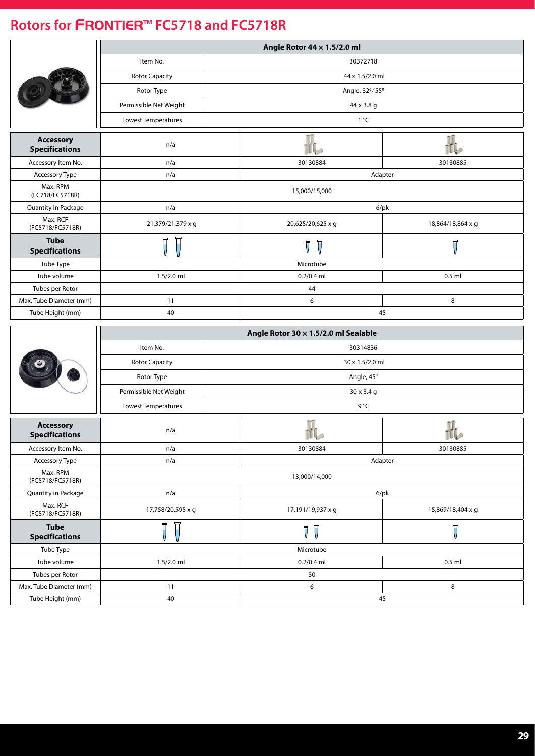|                                           | Angle Rotor 44 x 1.5/2.0 ml |  |                                                    |                         |  |
|-------------------------------------------|-----------------------------|--|----------------------------------------------------|-------------------------|--|
|                                           | Item No.                    |  | 30372718                                           |                         |  |
|                                           | <b>Rotor Capacity</b>       |  | 44 x 1.5/2.0 ml                                    |                         |  |
|                                           | Rotor Type                  |  | Angle, 32°/55°                                     |                         |  |
|                                           | Permissible Net Weight      |  | 44 x 3.8 g                                         |                         |  |
|                                           | Lowest Temperatures         |  | 1 °C                                               |                         |  |
|                                           |                             |  |                                                    |                         |  |
| <b>Accessory</b><br><b>Specifications</b> | n/a                         |  |                                                    | Πî                      |  |
| Accessory Item No.                        | n/a                         |  | 30130884                                           | 30130885                |  |
| Accessory Type                            | n/a                         |  | Adapter                                            |                         |  |
| Max. RPM<br>(FC718/FC5718R)               |                             |  | 15,000/15,000                                      |                         |  |
| Quantity in Package                       | n/a                         |  | $6$ /pk                                            |                         |  |
| Max. RCF<br>(FC5718/FC5718R)              | 21,379/21,379 x g           |  | 20,625/20,625 x g                                  | 18,864/18,864 x g       |  |
| <b>Tube</b><br><b>Specifications</b>      |                             |  |                                                    | π                       |  |
| Tube Type                                 |                             |  | Microtube                                          |                         |  |
| Tube volume                               | $1.5/2.0$ ml                |  | $0.2/0.4$ ml<br>$0.5$ ml                           |                         |  |
| Tubes per Rotor                           |                             |  | 44                                                 |                         |  |
| Max. Tube Diameter (mm)                   | 11                          |  | 6                                                  | 8                       |  |
| Tube Height (mm)                          | 40                          |  | 45                                                 |                         |  |
|                                           |                             |  |                                                    |                         |  |
|                                           |                             |  |                                                    |                         |  |
|                                           |                             |  | Angle Rotor 30 x 1.5/2.0 ml Sealable               |                         |  |
|                                           | Item No.                    |  | 30314836                                           |                         |  |
|                                           | <b>Rotor Capacity</b>       |  | 30 x 1.5/2.0 ml                                    |                         |  |
|                                           | Rotor Type                  |  | Angle, 45°                                         |                         |  |
|                                           | Permissible Net Weight      |  | 30 x 3.4 g                                         |                         |  |
|                                           | Lowest Temperatures         |  | 9 °C                                               |                         |  |
| <b>Accessory</b><br><b>Specifications</b> | n/a                         |  |                                                    |                         |  |
| Accessory Item No.                        | n/a                         |  | 30130884                                           | 30130885                |  |
| Accessory Type                            | n/a                         |  | Adapter                                            |                         |  |
| Max. RPM<br>(FC5718/FC5718R)              |                             |  | 13,000/14,000                                      |                         |  |
| Quantity in Package                       | n/a                         |  | $6$ /pk                                            |                         |  |
| Max. RCF<br>(FC5718/FC5718R)              | 17,758/20,595 x g           |  | 17,191/19,937 x g                                  | 15,869/18,404 x g       |  |
| <b>Tube</b>                               | Π                           |  | $\overline{\mathbb{U}}$<br>$\overline{\mathsf{U}}$ | $\overline{\mathsf{U}}$ |  |
| <b>Specifications</b><br>Tube Type        |                             |  | Microtube                                          |                         |  |
| Tube volume                               | 1.5/2.0 ml                  |  | $0.2/0.4$ ml                                       | $0.5$ ml                |  |
| Tubes per Rotor                           |                             |  | 30                                                 |                         |  |
| Max. Tube Diameter (mm)                   | 11                          |  | 6                                                  | 8                       |  |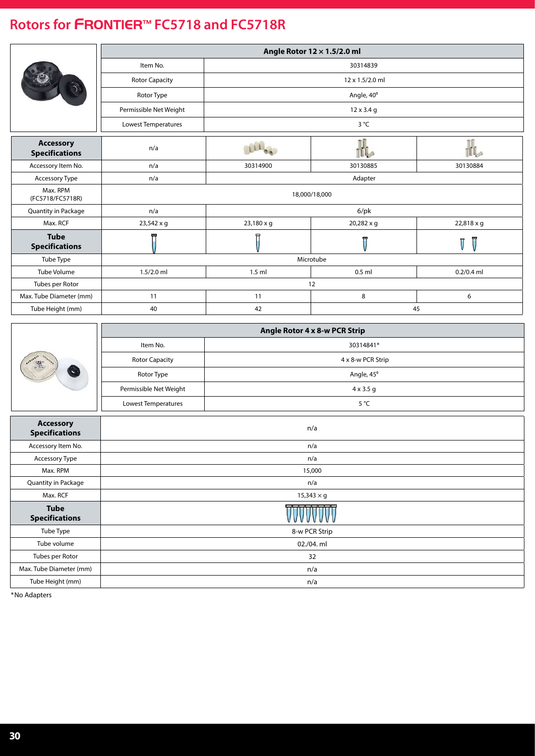|                                           | Angle Rotor 12 × 1.5/2.0 ml |                 |                   |              |  |  |
|-------------------------------------------|-----------------------------|-----------------|-------------------|--------------|--|--|
|                                           | Item No.                    | 30314839        |                   |              |  |  |
|                                           | <b>Rotor Capacity</b>       | 12 x 1.5/2.0 ml |                   |              |  |  |
|                                           | Rotor Type                  | Angle, 40°      |                   |              |  |  |
|                                           | Permissible Net Weight      |                 | $12 \times 3.4$ g |              |  |  |
|                                           | Lowest Temperatures         |                 | $3^{\circ}C$      |              |  |  |
| <b>Accessory</b><br><b>Specifications</b> | n/a                         |                 | illo              | il.          |  |  |
| Accessory Item No.                        | n/a                         | 30314900        | 30130885          | 30130884     |  |  |
| Accessory Type                            | n/a                         |                 | Adapter           |              |  |  |
| Max. RPM<br>(FC5718/FC5718R)              |                             | 18,000/18,000   |                   |              |  |  |
| <b>Quantity in Package</b>                | n/a                         |                 | $6$ /pk           |              |  |  |
| Max. RCF                                  | 23,542 x g                  | 23,180 x g      | 20,282 x g        | 22,818 x g   |  |  |
| <b>Tube</b><br><b>Specifications</b>      |                             | 뮤               | 冒                 | π            |  |  |
| Tube Type                                 |                             |                 | Microtube         |              |  |  |
| Tube Volume                               | $1.5/2.0$ ml                | $1.5$ ml        | $0.5$ ml          | $0.2/0.4$ ml |  |  |
| Tubes per Rotor                           |                             |                 | 12                |              |  |  |
| Max. Tube Diameter (mm)                   | 11                          | 11              | 8                 | 6            |  |  |
| Tube Height (mm)                          | 40                          | 42              |                   | 45           |  |  |

|         |                        | Angle Rotor 4 x 8-w PCR Strip |
|---------|------------------------|-------------------------------|
|         | Item No.               | 30314841*                     |
| $-25.7$ | <b>Rotor Capacity</b>  | 4 x 8-w PCR Strip             |
|         | Rotor Type             | Angle, 45°                    |
|         | Permissible Net Weight | $4 \times 3.5$ q              |
|         | Lowest Temperatures    | $5^{\circ}$ C                 |

| <b>Accessory</b><br><b>Specifications</b> | n/a               |
|-------------------------------------------|-------------------|
| Accessory Item No.                        | n/a               |
| Accessory Type                            | n/a               |
| Max. RPM                                  | 15,000            |
| Quantity in Package                       | n/a               |
| Max. RCF                                  | $15,343 \times g$ |
| <b>Tube</b><br><b>Specifications</b>      | <del>.</del>      |
| Tube Type                                 | 8-w PCR Strip     |
| Tube volume                               | 02./04. ml        |
| Tubes per Rotor                           | 32                |
| Max. Tube Diameter (mm)                   | n/a               |
| Tube Height (mm)                          | n/a               |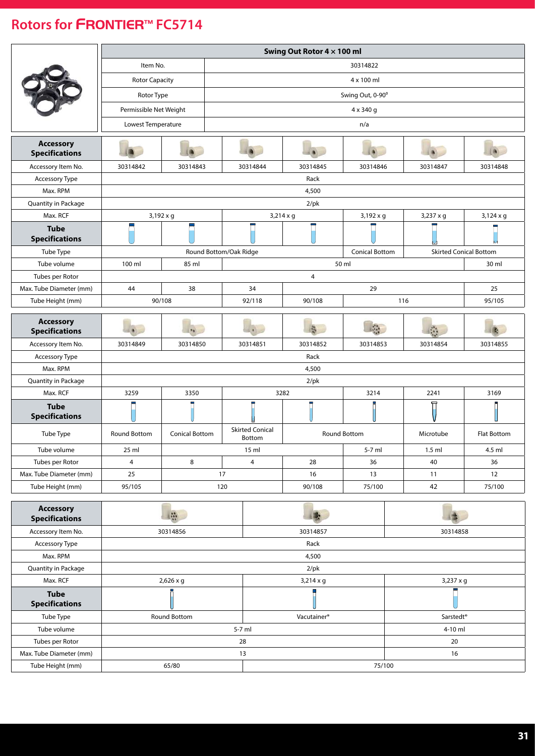<span id="page-30-0"></span>

|                                           |                        | Swing Out Rotor 4 x 100 ml                      |                                         |                  |                     |                               |                    |  |
|-------------------------------------------|------------------------|-------------------------------------------------|-----------------------------------------|------------------|---------------------|-------------------------------|--------------------|--|
|                                           | Item No.               |                                                 |                                         | 30314822         |                     |                               |                    |  |
|                                           | <b>Rotor Capacity</b>  |                                                 | 4 x 100 ml                              |                  |                     |                               |                    |  |
|                                           | Rotor Type             |                                                 | Swing Out, 0-90°                        |                  |                     |                               |                    |  |
|                                           | Permissible Net Weight |                                                 |                                         |                  | 4 x 340 g           |                               |                    |  |
|                                           | Lowest Temperature     |                                                 |                                         |                  | n/a                 |                               |                    |  |
|                                           |                        |                                                 |                                         |                  |                     |                               |                    |  |
| <b>Accessory</b><br><b>Specifications</b> |                        |                                                 |                                         |                  |                     |                               |                    |  |
| Accessory Item No.                        | 30314842               | 30314843                                        | 30314844                                | 30314845         | 30314846            | 30314847                      | 30314848           |  |
| Accessory Type                            |                        |                                                 |                                         | Rack             |                     |                               |                    |  |
| Max. RPM                                  |                        |                                                 |                                         | 4,500            |                     |                               |                    |  |
| Quantity in Package                       |                        |                                                 |                                         | $2$ /pk          |                     |                               |                    |  |
| Max. RCF                                  |                        | $3,192 \times g$                                |                                         | $3,214 \times g$ | $3,192 \times g$    | $3,237 \times g$              | $3,124 \times g$   |  |
| <b>Tube</b><br><b>Specifications</b>      |                        |                                                 |                                         |                  |                     |                               |                    |  |
| Tube Type                                 |                        | Round Bottom/Oak Ridge<br><b>Conical Bottom</b> |                                         |                  |                     | <b>Skirted Conical Bottom</b> |                    |  |
| Tube volume                               | 100 ml                 | 85 ml                                           |                                         |                  | 50 ml               |                               | 30 ml              |  |
| Tubes per Rotor                           |                        |                                                 |                                         | $\overline{4}$   |                     |                               |                    |  |
| Max. Tube Diameter (mm)                   | 44                     | 38                                              | 34                                      |                  | 29                  |                               | 25                 |  |
| Tube Height (mm)                          |                        | 90/108                                          | 92/118                                  | 90/108           |                     | 116<br>95/105                 |                    |  |
|                                           |                        |                                                 |                                         |                  |                     |                               |                    |  |
| <b>Accessory</b><br><b>Specifications</b> |                        |                                                 |                                         |                  |                     |                               |                    |  |
| Accessory Item No.                        | 30314849               | 30314850                                        | 30314851                                | 30314852         | 30314853            | 30314854                      | 30314855           |  |
| Accessory Type                            |                        |                                                 |                                         | Rack             |                     |                               |                    |  |
| Max. RPM                                  |                        |                                                 |                                         | 4,500            |                     |                               |                    |  |
| Quantity in Package                       |                        |                                                 |                                         | $2$ /pk          |                     |                               |                    |  |
| Max. RCF                                  | 3259                   | 3350                                            |                                         | 3282             | 3214                | 2241                          | 3169               |  |
| <b>Tube</b><br><b>Specifications</b>      |                        |                                                 |                                         |                  |                     |                               |                    |  |
| Tube Type                                 | <b>Round Bottom</b>    | <b>Conical Bottom</b>                           | <b>Skirted Conical</b><br><b>Bottom</b> |                  | <b>Round Bottom</b> | Microtube                     | <b>Flat Bottom</b> |  |
| Tube volume                               | 25 ml                  |                                                 | 15 ml                                   |                  | 5-7 ml              | $1.5$ ml                      | 4.5 ml             |  |
| Tubes per Rotor                           | 4                      | 8                                               | 4                                       | 28               | 36                  | 40                            | 36                 |  |
| Max. Tube Diameter (mm)                   | 25                     |                                                 | 17                                      | 16               | 13                  | 11                            | 12                 |  |
| Tube Height (mm)                          | 95/105                 |                                                 | 120                                     | 90/108           | 75/100              | 42                            | 75/100             |  |
|                                           |                        |                                                 |                                         |                  |                     |                               |                    |  |

| <b>Accessory</b><br><b>Specifications</b> | $\frac{1}{2}$    |                         |                       |  |  |
|-------------------------------------------|------------------|-------------------------|-----------------------|--|--|
| Accessory Item No.                        | 30314856         | 30314857                | 30314858              |  |  |
| Accessory Type                            |                  | Rack                    |                       |  |  |
| Max. RPM                                  |                  | 4,500                   |                       |  |  |
| Quantity in Package                       |                  | $2$ /pk                 |                       |  |  |
| Max. RCF                                  | $2,626 \times g$ | $3,214 \times g$        | $3,237 \times g$      |  |  |
| <b>Tube</b><br><b>Specifications</b>      |                  |                         |                       |  |  |
| Tube Type                                 | Round Bottom     | Vacutainer <sup>®</sup> | Sarstedt <sup>®</sup> |  |  |
| Tube volume                               | $5-7$ ml         | $4-10$ ml               |                       |  |  |
| Tubes per Rotor                           | 28               | 20                      |                       |  |  |
| Max. Tube Diameter (mm)                   | 13               | 16                      |                       |  |  |
| Tube Height (mm)                          | 65/80            | 75/100                  |                       |  |  |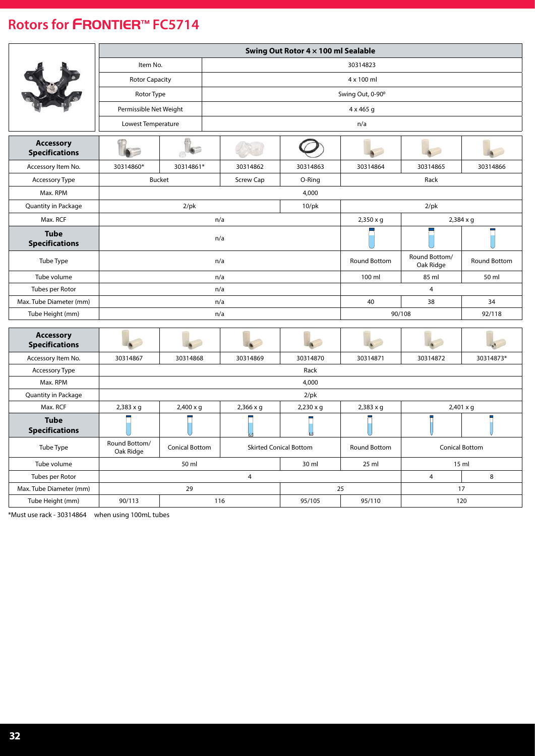|                                           |                            | Swing Out Rotor 4 x 100 ml Sealable |                  |                               |                  |                            |                       |  |
|-------------------------------------------|----------------------------|-------------------------------------|------------------|-------------------------------|------------------|----------------------------|-----------------------|--|
|                                           | Item No.                   |                                     |                  |                               | 30314823         |                            |                       |  |
|                                           | <b>Rotor Capacity</b>      |                                     |                  |                               | 4 x 100 ml       |                            |                       |  |
|                                           | Rotor Type                 |                                     |                  |                               | Swing Out, 0-90° |                            |                       |  |
|                                           |                            | Permissible Net Weight              |                  |                               | 4 x 465 g        |                            |                       |  |
|                                           | Lowest Temperature         |                                     |                  |                               | n/a              |                            |                       |  |
|                                           |                            |                                     |                  |                               |                  |                            |                       |  |
| <b>Accessory</b><br><b>Specifications</b> |                            |                                     |                  |                               |                  |                            |                       |  |
| Accessory Item No.                        | 30314860*                  | 30314861*                           | 30314862         | 30314863                      | 30314864         | 30314865                   | 30314866              |  |
| <b>Accessory Type</b>                     |                            | <b>Bucket</b>                       | Screw Cap        | O-Ring                        |                  | Rack                       |                       |  |
| Max. RPM                                  |                            |                                     |                  | 4,000                         |                  |                            |                       |  |
| Quantity in Package                       |                            | $2$ /pk                             |                  | $10$ /p $k$                   |                  | $2$ /pk                    |                       |  |
| Max. RCF                                  |                            |                                     | n/a              |                               | 2,350 x g        |                            | 2,384 x g             |  |
| <b>Tube</b><br><b>Specifications</b>      |                            |                                     | n/a              |                               |                  |                            |                       |  |
| Tube Type                                 |                            | n/a                                 |                  |                               | Round Bottom     | Round Bottom/<br>Oak Ridge | Round Bottom          |  |
| Tube volume                               |                            |                                     | n/a              |                               | 100 ml           | 85 ml                      | 50 ml                 |  |
| Tubes per Rotor                           |                            |                                     | n/a              |                               |                  | $\overline{4}$             |                       |  |
| Max. Tube Diameter (mm)                   |                            |                                     | n/a              |                               | 40               | 38                         | 34                    |  |
| Tube Height (mm)                          |                            |                                     | n/a              |                               |                  | 90/108                     | 92/118                |  |
| <b>Accessory</b><br><b>Specifications</b> |                            |                                     |                  |                               |                  |                            |                       |  |
| Accessory Item No.                        | 30314867                   | 30314868                            | 30314869         | 30314870                      | 30314871         | 30314872                   | 30314873*             |  |
| Accessory Type                            |                            |                                     |                  | Rack                          |                  |                            |                       |  |
| Max. RPM                                  |                            |                                     |                  | 4,000                         |                  |                            |                       |  |
| Quantity in Package                       |                            |                                     |                  | $2$ /pk                       |                  |                            |                       |  |
| Max. RCF                                  | $2,383 \times g$           | $2,400 \times g$                    | $2,366 \times g$ | $2,230 \times g$              | $2,383 \times g$ |                            | $2,401 \times g$      |  |
| <b>Tube</b><br><b>Specifications</b>      |                            |                                     |                  |                               |                  |                            |                       |  |
| Tube Type                                 | Round Bottom/<br>Oak Ridge | <b>Conical Bottom</b>               |                  | <b>Skirted Conical Bottom</b> | Round Bottom     |                            | <b>Conical Bottom</b> |  |
| Tube volume                               |                            | 50 ml                               |                  | 30 ml                         | $25$ ml          |                            | 15 <sub>m</sub>       |  |
| Tubes per Rotor                           |                            |                                     | $\overline{4}$   |                               |                  | $\overline{4}$             | 8                     |  |
| Max. Tube Diameter (mm)                   |                            | 29                                  |                  |                               | 25               |                            | 17                    |  |
| Tube Height (mm)                          | 90/113                     |                                     | 116              | 95/105                        | 95/110           |                            | 120                   |  |

\*Must use rack - 30314864 when using 100mL tubes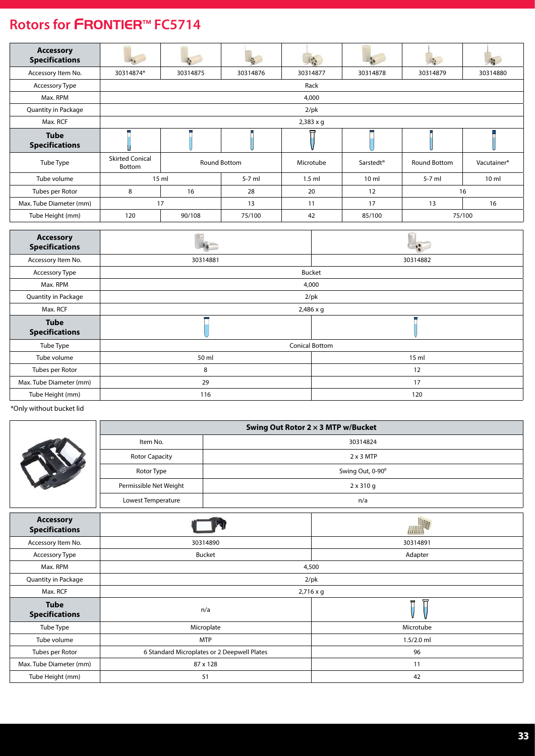| <b>Accessory</b><br><b>Specifications</b> |                                  |                  | 高            | $\mathbb{R}^n$ |                       | $\mathbf{L}$ | 晓                       |
|-------------------------------------------|----------------------------------|------------------|--------------|----------------|-----------------------|--------------|-------------------------|
| Accessory Item No.                        | 30314874*                        | 30314875         | 30314876     | 30314877       | 30314878              | 30314879     | 30314880                |
| <b>Accessory Type</b>                     |                                  |                  |              | Rack           |                       |              |                         |
| Max. RPM                                  |                                  |                  |              | 4,000          |                       |              |                         |
| <b>Quantity in Package</b>                |                                  |                  |              | $2$ /pk        |                       |              |                         |
| Max. RCF                                  |                                  | $2,383 \times q$ |              |                |                       |              |                         |
| <b>Tube</b><br><b>Specifications</b>      |                                  |                  |              | ᇢ              |                       |              |                         |
| Tube Type                                 | <b>Skirted Conical</b><br>Bottom |                  | Round Bottom | Microtube      | Sarstedt <sup>®</sup> | Round Bottom | Vacutainer <sup>®</sup> |
| Tube volume                               |                                  | 15 <sub>m</sub>  | $5-7$ ml     | $1.5$ ml       | $10 \mathrm{m}$       | $5-7$ ml     | $10 \mathrm{m}$         |
| Tubes per Rotor                           | 8                                | 16               | 28           | 20             | 12                    |              | 16                      |
| Max. Tube Diameter (mm)                   |                                  | 17<br>13         |              | 11             | 17                    | 13           | 16                      |
| Tube Height (mm)                          | 120                              | 90/108           | 75/100       | 42             | 85/100                |              | 75/100                  |

| <b>Accessory</b><br><b>Specifications</b> |                  |                       |  |  |  |
|-------------------------------------------|------------------|-----------------------|--|--|--|
| Accessory Item No.                        | 30314881         | 30314882              |  |  |  |
| Accessory Type                            |                  | Bucket                |  |  |  |
| Max. RPM                                  |                  | 4,000                 |  |  |  |
| Quantity in Package                       |                  | $2$ /pk               |  |  |  |
| Max. RCF                                  | $2,486 \times g$ |                       |  |  |  |
| <b>Tube</b><br><b>Specifications</b>      |                  |                       |  |  |  |
| Tube Type                                 |                  | <b>Conical Bottom</b> |  |  |  |
| Tube volume                               | 50 ml            | $15$ ml               |  |  |  |
| Tubes per Rotor                           | 8                | 12                    |  |  |  |
| Max. Tube Diameter (mm)                   | 29               | 17                    |  |  |  |
| Tube Height (mm)                          | 116              | 120                   |  |  |  |

\*Only without bucket lid

|  | Swing Out Rotor 2 x 3 MTP w/Bucket |                  |  |  |  |
|--|------------------------------------|------------------|--|--|--|
|  | Item No.                           | 30314824         |  |  |  |
|  | <b>Rotor Capacity</b>              | $2 \times 3$ MTP |  |  |  |
|  | Rotor Type                         | Swing Out, 0-90° |  |  |  |
|  | Permissible Net Weight             | $2 \times 310$ g |  |  |  |
|  | Lowest Temperature                 | n/a              |  |  |  |
|  |                                    | ALC: YES         |  |  |  |

| <b>Accessory</b><br><b>Specifications</b> |                                             | AHUN             |  |  |  |
|-------------------------------------------|---------------------------------------------|------------------|--|--|--|
| Accessory Item No.                        | 30314890                                    | 30314891         |  |  |  |
| Accessory Type                            | Bucket                                      | Adapter          |  |  |  |
| Max. RPM                                  |                                             | 4,500            |  |  |  |
| Quantity in Package                       |                                             | $2$ /pk          |  |  |  |
| Max. RCF                                  |                                             | $2,716 \times g$ |  |  |  |
| <b>Tube</b><br><b>Specifications</b>      | n/a                                         | ਜ਼<br>导          |  |  |  |
| Tube Type                                 | Microplate                                  | Microtube        |  |  |  |
| Tube volume                               | <b>MTP</b>                                  | $1.5/2.0$ ml     |  |  |  |
| Tubes per Rotor                           | 6 Standard Microplates or 2 Deepwell Plates | 96               |  |  |  |
| Max. Tube Diameter (mm)                   | 87 x 128                                    | 11               |  |  |  |
| Tube Height (mm)                          | 51                                          | 42               |  |  |  |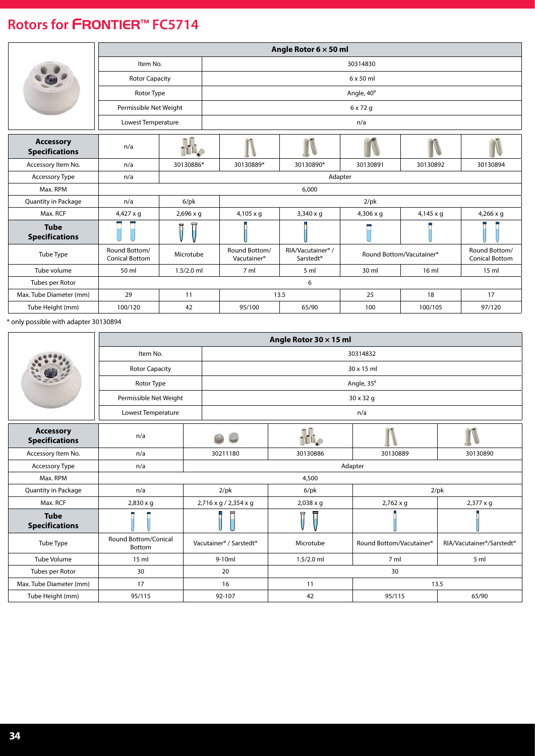|                                           | Angle Rotor $6 \times 50$ ml           |                  |                                          |                                                        |                  |                          |                                        |  |
|-------------------------------------------|----------------------------------------|------------------|------------------------------------------|--------------------------------------------------------|------------------|--------------------------|----------------------------------------|--|
|                                           |                                        | Item No.         |                                          | 30314830                                               |                  |                          |                                        |  |
|                                           | <b>Rotor Capacity</b>                  |                  |                                          |                                                        | $6 \times 50$ ml |                          |                                        |  |
|                                           | Rotor Type                             |                  |                                          |                                                        | Angle, 40°       |                          |                                        |  |
|                                           | Permissible Net Weight                 |                  |                                          |                                                        | $6 \times 72$ g  |                          |                                        |  |
|                                           | Lowest Temperature                     |                  |                                          |                                                        | n/a              |                          |                                        |  |
| <b>Accessory</b><br><b>Specifications</b> | n/a                                    | <b>TUP</b>       |                                          |                                                        |                  |                          |                                        |  |
| Accessory Item No.                        | n/a                                    | 30130886*        | 30130889*                                | 30130890*                                              | 30130891         | 30130892                 | 30130894                               |  |
| Accessory Type                            | n/a                                    |                  | Adapter                                  |                                                        |                  |                          |                                        |  |
| Max. RPM                                  |                                        |                  |                                          | 6,000                                                  |                  |                          |                                        |  |
| <b>Quantity in Package</b>                | n/a                                    | $6$ /p $k$       |                                          |                                                        | $2$ /pk          |                          |                                        |  |
| Max. RCF                                  | $4,427 \times g$                       | $2,696 \times q$ | $4,105 \times q$                         | $3,340 \times q$                                       | $4,306 \times q$ | $4,145 \times g$         | $4,266 \times g$                       |  |
| <b>Tube</b><br><b>Specifications</b>      |                                        | Π                |                                          |                                                        |                  |                          |                                        |  |
| Tube Type                                 | Round Bottom/<br><b>Conical Bottom</b> | Microtube        | Round Bottom/<br>Vacutainer <sup>®</sup> | RIA/Vacutainer <sup>®</sup> /<br>Sarstedt <sup>®</sup> |                  | Round Bottom/Vacutainer® | Round Bottom/<br><b>Conical Bottom</b> |  |
| Tube volume                               | 50 ml                                  | $1.5/2.0$ ml     | 7 ml                                     | 5 <sub>m</sub>                                         | 30 ml            | 16 ml                    | 15 <sub>m</sub>                        |  |
| Tubes per Rotor                           |                                        |                  |                                          | 6                                                      |                  |                          |                                        |  |
| Max. Tube Diameter (mm)                   | 29                                     | 11               |                                          | 13.5                                                   | 25               | 18                       | 17                                     |  |
| Tube Height (mm)                          | 100/120                                | 42               | 95/100                                   | 65/90                                                  | 100              | 100/105                  | 97/120                                 |  |

\* only possible with adapter 30130894

|                                           | Angle Rotor 30 x 15 ml                |                                                 |                  |                          |                           |  |
|-------------------------------------------|---------------------------------------|-------------------------------------------------|------------------|--------------------------|---------------------------|--|
|                                           | Item No.                              |                                                 | 30314832         |                          |                           |  |
|                                           | <b>Rotor Capacity</b>                 |                                                 |                  | 30 x 15 ml               |                           |  |
|                                           | Rotor Type                            |                                                 |                  | Angle, 35°               |                           |  |
|                                           | Permissible Net Weight                |                                                 |                  | 30 x 32 g                |                           |  |
|                                           | Lowest Temperature                    |                                                 |                  | n/a                      |                           |  |
| <b>Accessory</b><br><b>Specifications</b> | n/a                                   |                                                 | TU <sub>0</sub>  |                          |                           |  |
| Accessory Item No.                        | n/a                                   | 30211180                                        | 30130886         | 30130889                 | 30130890                  |  |
| Accessory Type                            | n/a                                   |                                                 | Adapter          |                          |                           |  |
| Max. RPM                                  |                                       |                                                 | 4,500            |                          |                           |  |
| Quantity in Package                       | n/a                                   | $2$ /pk                                         | $6$ /p $k$       |                          | $2$ /pk                   |  |
| Max. RCF                                  | $2,830 \times q$                      | 2,716 x g / 2,354 x g                           | $2,038 \times q$ | $2,762 \times q$         | $2,377 \times q$          |  |
| <b>Tube</b><br><b>Specifications</b>      |                                       |                                                 |                  |                          |                           |  |
| Tube Type                                 | <b>Round Bottom/Conical</b><br>Bottom | Vacutainer <sup>®</sup> / Sarstedt <sup>®</sup> | Microtube        | Round Bottom/Vacutainer® | RIA/Vacutainer®/Sarstedt® |  |
| <b>Tube Volume</b>                        | 15 <sub>m</sub>                       | $9-10ml$                                        | $1.5/2.0$ ml     | 7 <sub>m</sub>           | 5 <sub>m</sub>            |  |
| Tubes per Rotor                           | 30                                    | 20                                              |                  | 30                       |                           |  |
| Max. Tube Diameter (mm)                   | 17                                    | 16                                              | 11               | 13.5                     |                           |  |
| Tube Height (mm)                          | 95/115                                | 92-107                                          | 42               | 95/115                   | 65/90                     |  |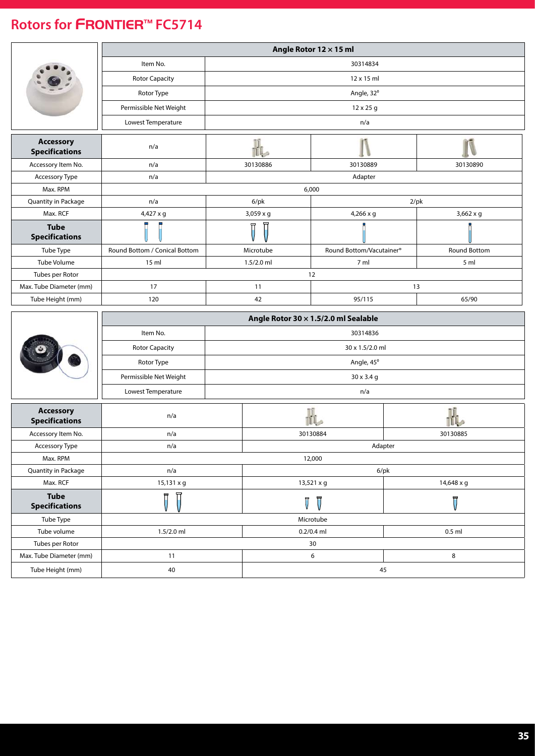|                                           | Angle Rotor 12 × 15 ml        |                         |                                                  |                         |  |  |
|-------------------------------------------|-------------------------------|-------------------------|--------------------------------------------------|-------------------------|--|--|
|                                           | Item No.                      |                         | 30314834                                         |                         |  |  |
|                                           | <b>Rotor Capacity</b>         |                         | 12 x 15 ml                                       |                         |  |  |
|                                           | Rotor Type                    | Angle, 32°              |                                                  |                         |  |  |
|                                           | Permissible Net Weight        | $12 \times 25$ g        |                                                  |                         |  |  |
|                                           | Lowest Temperature            |                         | n/a                                              |                         |  |  |
|                                           |                               |                         |                                                  |                         |  |  |
| <b>Accessory</b><br><b>Specifications</b> | n/a                           |                         |                                                  |                         |  |  |
| Accessory Item No.                        | n/a                           | 30130886                | 30130889                                         | 30130890                |  |  |
| Accessory Type                            | n/a                           |                         | Adapter                                          |                         |  |  |
| Max. RPM                                  |                               |                         | 6,000                                            |                         |  |  |
| Quantity in Package                       | n/a                           | $6$ /pk                 |                                                  | $2$ /pk                 |  |  |
| Max. RCF                                  | 4,427 x g                     | 3,059 x g               | $4,266 \times g$                                 | $3,662 \times g$        |  |  |
| <b>Tube</b><br><b>Specifications</b>      |                               |                         |                                                  |                         |  |  |
| Tube Type                                 | Round Bottom / Conical Bottom | Microtube               | Round Bottom/Vacutainer®                         | <b>Round Bottom</b>     |  |  |
| Tube Volume                               | 15 <sub>m</sub>               | $1.5/2.0$ ml            | 7 ml                                             | 5 ml                    |  |  |
| Tubes per Rotor                           |                               |                         | 12                                               |                         |  |  |
| Max. Tube Diameter (mm)                   | 17                            | 11                      |                                                  | 13                      |  |  |
| Tube Height (mm)                          | 120                           | 42                      | 95/115                                           | 65/90                   |  |  |
|                                           |                               |                         |                                                  |                         |  |  |
|                                           |                               |                         |                                                  |                         |  |  |
|                                           | Item No.                      |                         | Angle Rotor 30 x 1.5/2.0 ml Sealable<br>30314836 |                         |  |  |
|                                           | <b>Rotor Capacity</b>         |                         | 30 x 1.5/2.0 ml                                  |                         |  |  |
|                                           | Rotor Type                    |                         | Angle, 45°                                       |                         |  |  |
|                                           | Permissible Net Weight        |                         | $30 \times 3.4$ g                                |                         |  |  |
|                                           |                               |                         |                                                  |                         |  |  |
|                                           | Lowest Temperature            |                         | n/a                                              |                         |  |  |
| <b>Accessory</b><br><b>Specifications</b> | n/a                           |                         |                                                  |                         |  |  |
| Accessory Item No.                        | n/a                           |                         | 30130884                                         | 30130885                |  |  |
| Accessory Type                            | n/a                           |                         | Adapter                                          |                         |  |  |
| Max. RPM                                  |                               |                         | 12,000                                           |                         |  |  |
| Quantity in Package                       | n/a                           |                         | $6$ /pk                                          |                         |  |  |
| Max. RCF                                  | 15,131 x g                    |                         | 13,521 x g                                       | 14,648 x g              |  |  |
| <b>Tube</b><br><b>Specifications</b>      | Π                             | $\overline{\mathbb{V}}$ | $\bar{U}$                                        | $\overline{\mathsf{V}}$ |  |  |
| Tube Type                                 |                               |                         | Microtube                                        |                         |  |  |
| Tube volume                               | 1.5/2.0 ml                    |                         | $0.2/0.4$ ml                                     | $0.5$ ml                |  |  |
| Tubes per Rotor                           |                               |                         | 30                                               |                         |  |  |
| Max. Tube Diameter (mm)                   | 11                            |                         | 6                                                | 8                       |  |  |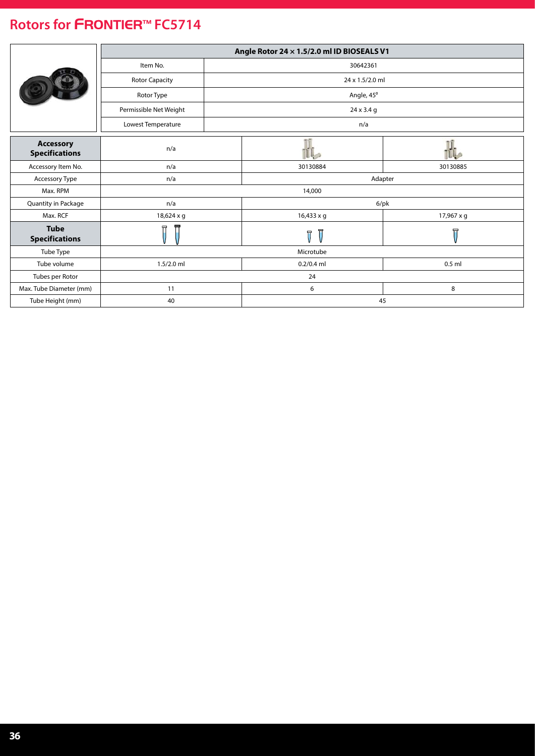|                                           |                        |  | Angle Rotor 24 x 1.5/2.0 ml ID BIOSEALS V1 |                         |  |
|-------------------------------------------|------------------------|--|--------------------------------------------|-------------------------|--|
|                                           | Item No.               |  | 30642361                                   |                         |  |
|                                           | <b>Rotor Capacity</b>  |  | 24 x 1.5/2.0 ml                            |                         |  |
|                                           | Rotor Type             |  | Angle, 45°                                 |                         |  |
|                                           | Permissible Net Weight |  | 24 x 3.4 g                                 |                         |  |
|                                           | Lowest Temperature     |  | n/a                                        |                         |  |
| <b>Accessory</b><br><b>Specifications</b> | n/a                    |  |                                            |                         |  |
| Accessory Item No.                        | n/a                    |  | 30130884                                   | 30130885                |  |
| Accessory Type                            | n/a                    |  | Adapter                                    |                         |  |
| Max. RPM                                  |                        |  | 14,000                                     |                         |  |
| Quantity in Package                       | n/a                    |  | 6/pk                                       |                         |  |
| Max. RCF                                  | 18,624 x g             |  | 16,433 x g                                 | 17,967 x g              |  |
| <b>Tube</b><br><b>Specifications</b>      | 豆                      |  | Ī<br>π                                     | $\overline{\mathsf{U}}$ |  |
| Tube Type                                 |                        |  | Microtube                                  |                         |  |
| Tube volume                               | $1.5/2.0$ ml           |  | $0.2/0.4$ ml<br>$0.5$ ml                   |                         |  |
| Tubes per Rotor                           |                        |  | 24                                         |                         |  |
| Max. Tube Diameter (mm)                   | 11                     |  | 6                                          | 8                       |  |
| Tube Height (mm)                          | 40                     |  | 45                                         |                         |  |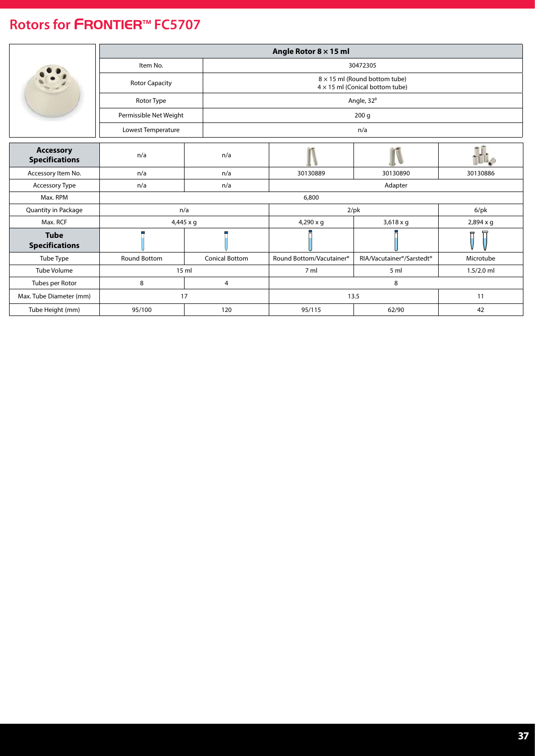<span id="page-36-0"></span>

|                                           | Angle Rotor $8 \times 15$ ml |                       |                                                                                |                                                    |                  |  |  |
|-------------------------------------------|------------------------------|-----------------------|--------------------------------------------------------------------------------|----------------------------------------------------|------------------|--|--|
|                                           | Item No.                     |                       | 30472305                                                                       |                                                    |                  |  |  |
|                                           | <b>Rotor Capacity</b>        |                       | $8 \times 15$ ml (Round bottom tube)<br>$4 \times 15$ ml (Conical bottom tube) |                                                    |                  |  |  |
|                                           | Rotor Type                   |                       |                                                                                | Angle, 32°                                         |                  |  |  |
|                                           | Permissible Net Weight       |                       |                                                                                | 200 <sub>g</sub>                                   |                  |  |  |
|                                           | Lowest Temperature           |                       |                                                                                | n/a                                                |                  |  |  |
|                                           |                              |                       |                                                                                |                                                    |                  |  |  |
| <b>Accessory</b><br><b>Specifications</b> | n/a                          | n/a                   |                                                                                |                                                    |                  |  |  |
| Accessory Item No.                        | n/a                          | n/a                   | 30130889                                                                       | 30130890                                           | 30130886         |  |  |
| Accessory Type                            | n/a                          | n/a                   | Adapter                                                                        |                                                    |                  |  |  |
| Max. RPM                                  |                              |                       | 6,800                                                                          |                                                    |                  |  |  |
| Quantity in Package                       |                              | n/a                   | $2$ /pk                                                                        | $6$ /p $k$                                         |                  |  |  |
| Max. RCF                                  |                              | $4,445 \times q$      | $4,290 \times q$                                                               | $3,618 \times q$                                   | $2,894 \times q$ |  |  |
| <b>Tube</b><br><b>Specifications</b>      |                              |                       |                                                                                |                                                    | 뉴                |  |  |
| Tube Type                                 | <b>Round Bottom</b>          | <b>Conical Bottom</b> | Round Bottom/Vacutainer®                                                       | RIA/Vacutainer <sup>®</sup> /Sarstedt <sup>®</sup> | Microtube        |  |  |
| <b>Tube Volume</b>                        |                              | 15 ml                 | 7 ml                                                                           | 5 <sub>m</sub>                                     | $1.5/2.0$ ml     |  |  |
| Tubes per Rotor                           | 8                            | 4                     |                                                                                | 8                                                  |                  |  |  |
| Max. Tube Diameter (mm)                   |                              | 17                    |                                                                                | 13.5                                               |                  |  |  |
| Tube Height (mm)                          | 95/100                       | 120                   | 95/115                                                                         | 62/90                                              | 42               |  |  |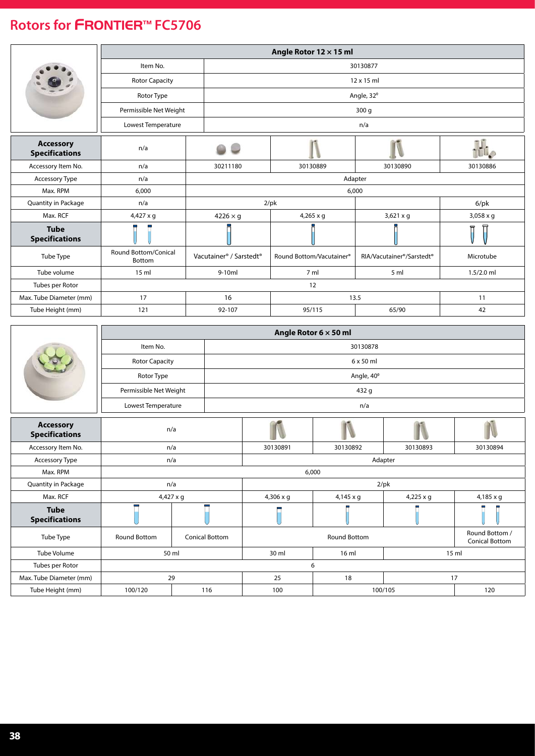<span id="page-37-0"></span>

|                                           | Angle Rotor 12 x 15 ml         |                                                 |                          |                                                    |              |  |
|-------------------------------------------|--------------------------------|-------------------------------------------------|--------------------------|----------------------------------------------------|--------------|--|
|                                           | Item No.                       |                                                 | 30130877                 |                                                    |              |  |
|                                           | <b>Rotor Capacity</b>          |                                                 |                          | 12 x 15 ml                                         |              |  |
|                                           | Rotor Type                     |                                                 |                          | Angle, 32°                                         |              |  |
|                                           | Permissible Net Weight         |                                                 |                          | 300q                                               |              |  |
|                                           | Lowest Temperature             |                                                 |                          | n/a                                                |              |  |
| <b>Accessory</b><br><b>Specifications</b> | n/a                            |                                                 |                          |                                                    |              |  |
| Accessory Item No.                        | n/a                            | 30211180                                        | 30130889                 | 30130890                                           | 30130886     |  |
| <b>Accessory Type</b>                     | n/a                            |                                                 | Adapter                  |                                                    |              |  |
| Max. RPM                                  | 6,000                          |                                                 |                          | 6,000                                              |              |  |
| Quantity in Package                       | n/a                            |                                                 | $2$ /pk                  | $6$ /pk                                            |              |  |
| Max. RCF                                  | 4,427 x g                      | $4226 \times g$                                 | $4,265 \times g$         | $3,621 \times g$                                   | 3,058 x g    |  |
| <b>Tube</b><br><b>Specifications</b>      |                                |                                                 |                          |                                                    | 뮤            |  |
| Tube Type                                 | Round Bottom/Conical<br>Bottom | Vacutainer <sup>®</sup> / Sarstedt <sup>®</sup> | Round Bottom/Vacutainer® | RIA/Vacutainer <sup>®</sup> /Sarstedt <sup>®</sup> | Microtube    |  |
| Tube volume                               | 15 <sub>m</sub>                | $9-10ml$                                        | 7 <sub>m</sub>           | 5 <sub>m</sub>                                     | $1.5/2.0$ ml |  |
| Tubes per Rotor                           |                                |                                                 | 12                       |                                                    |              |  |
| Max. Tube Diameter (mm)                   | 17                             | 16                                              |                          | 13.5                                               | 11           |  |
| Tube Height (mm)                          | 121                            | 92-107                                          | 95/115                   | 65/90                                              | 42           |  |

|                                           |                        |                       | Angle Rotor $6 \times 50$ ml |                     |                  |                                         |  |
|-------------------------------------------|------------------------|-----------------------|------------------------------|---------------------|------------------|-----------------------------------------|--|
|                                           | Item No.               |                       | 30130878                     |                     |                  |                                         |  |
|                                           | <b>Rotor Capacity</b>  |                       |                              | $6 \times 50$ ml    |                  |                                         |  |
|                                           | Rotor Type             |                       |                              | Angle, 40°          |                  |                                         |  |
|                                           | Permissible Net Weight |                       |                              | 432 g               |                  |                                         |  |
|                                           | Lowest Temperature     |                       |                              | n/a                 |                  |                                         |  |
| <b>Accessory</b><br><b>Specifications</b> | n/a                    |                       |                              |                     |                  |                                         |  |
| Accessory Item No.                        |                        | n/a                   | 30130891                     | 30130892            | 30130893         | 30130894                                |  |
| Accessory Type                            |                        | n/a                   | Adapter                      |                     |                  |                                         |  |
| Max. RPM                                  |                        |                       | 6,000                        |                     |                  |                                         |  |
| Quantity in Package                       |                        | n/a                   | $2$ /pk                      |                     |                  |                                         |  |
| Max. RCF                                  |                        | $4,427 \times g$      | $4,306 \times q$             | $4,145 \times q$    | $4,225 \times g$ | $4,185 \times q$                        |  |
| <b>Tube</b><br><b>Specifications</b>      |                        |                       |                              |                     |                  |                                         |  |
| Tube Type                                 | Round Bottom           | <b>Conical Bottom</b> |                              | <b>Round Bottom</b> |                  | Round Bottom /<br><b>Conical Bottom</b> |  |
| Tube Volume                               |                        | 50 ml                 | 30 ml                        | 16 ml               |                  | 15 ml                                   |  |
| Tubes per Rotor                           |                        |                       |                              | 6                   |                  |                                         |  |
| Max. Tube Diameter (mm)                   |                        | 29                    | 25                           | 18                  |                  | 17                                      |  |
| Tube Height (mm)                          | 100/120                | 116                   | 100                          |                     | 100/105          | 120                                     |  |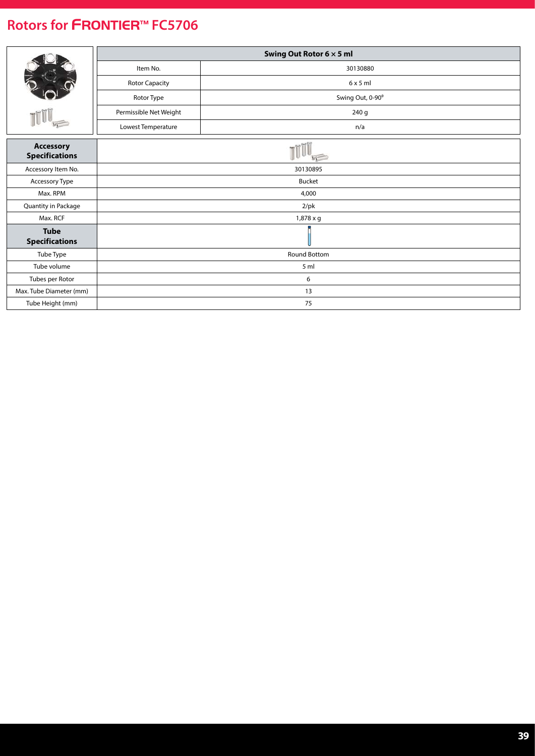|                                           | Swing Out Rotor 6 x 5 ml |                  |  |  |  |
|-------------------------------------------|--------------------------|------------------|--|--|--|
|                                           | Item No.                 | 30130880         |  |  |  |
|                                           | Rotor Capacity           | $6 \times 5$ ml  |  |  |  |
|                                           | Rotor Type               | Swing Out, 0-90° |  |  |  |
|                                           | Permissible Net Weight   | 240 g            |  |  |  |
|                                           | Lowest Temperature       | n/a              |  |  |  |
| <b>Accessory</b><br><b>Specifications</b> |                          |                  |  |  |  |
| Accessory Item No.                        | 30130895                 |                  |  |  |  |
| Accessory Type                            |                          | <b>Bucket</b>    |  |  |  |
| Max. RPM                                  |                          | 4,000            |  |  |  |
| Quantity in Package                       |                          | $2$ /pk          |  |  |  |
| Max. RCF                                  |                          | 1,878 x g        |  |  |  |
| <b>Tube</b><br><b>Specifications</b>      |                          |                  |  |  |  |
| Tube Type                                 |                          | Round Bottom     |  |  |  |
| Tube volume                               |                          | 5 <sub>m</sub>   |  |  |  |
| Tubes per Rotor                           |                          | 6                |  |  |  |
| Max. Tube Diameter (mm)                   |                          | 13               |  |  |  |
| Tube Height (mm)                          |                          | 75               |  |  |  |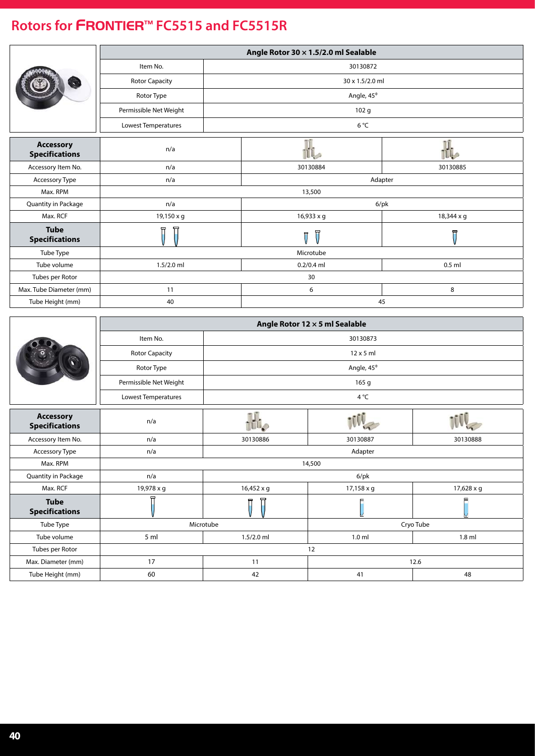### <span id="page-39-0"></span>**Rotors for** FRONTIER™ **FC5515 and FC5515R**

|                                           |                        |            | Angle Rotor 30 $\times$ 1.5/2.0 ml Sealable |                         |  |
|-------------------------------------------|------------------------|------------|---------------------------------------------|-------------------------|--|
|                                           | Item No.               |            | 30130872                                    |                         |  |
|                                           | <b>Rotor Capacity</b>  |            | 30 x 1.5/2.0 ml                             |                         |  |
|                                           | Rotor Type             |            | Angle, 45°                                  |                         |  |
|                                           | Permissible Net Weight |            | 102 <sub>g</sub>                            |                         |  |
|                                           | Lowest Temperatures    |            | $6^{\circ}$ C                               |                         |  |
|                                           |                        |            |                                             |                         |  |
| <b>Accessory</b><br><b>Specifications</b> | n/a                    |            | IL.                                         | H                       |  |
| Accessory Item No.                        | n/a                    |            | 30130884                                    | 30130885                |  |
| Accessory Type                            | n/a                    |            | Adapter                                     |                         |  |
| Max. RPM                                  |                        |            | 13,500                                      |                         |  |
| Quantity in Package                       | n/a                    |            | $6$ /pk                                     |                         |  |
| Max. RCF                                  | 19,150 x g             |            | 16,933 x g                                  | 18,344 x g              |  |
| <b>Tube</b><br><b>Specifications</b>      | Π<br>Π                 |            | Π<br>$\overline{U}$                         | $\overline{\mathbb{U}}$ |  |
| Tube Type                                 |                        |            | Microtube                                   |                         |  |
| Tube volume                               | $1.5/2.0$ ml           |            | $0.2/0.4$ ml                                | $0.5$ ml                |  |
| Tubes per Rotor                           |                        |            | 30                                          |                         |  |
| Max. Tube Diameter (mm)                   | 11                     |            | 6                                           | 8                       |  |
| Tube Height (mm)                          | 40                     |            | 45                                          |                         |  |
|                                           |                        |            |                                             |                         |  |
|                                           |                        |            |                                             |                         |  |
|                                           |                        |            | Angle Rotor 12 x 5 ml Sealable              |                         |  |
|                                           | Item No.               |            | 30130873                                    |                         |  |
|                                           | <b>Rotor Capacity</b>  |            | $12 \times 5$ ml                            |                         |  |
|                                           | Rotor Type             |            | Angle, 45°                                  |                         |  |
|                                           | Permissible Net Weight |            | 165 g                                       |                         |  |
|                                           | Lowest Temperatures    |            | 4°C                                         |                         |  |
|                                           |                        |            |                                             |                         |  |
| <b>Accessory</b><br><b>Specifications</b> | n/a                    |            |                                             |                         |  |
| Accessory Item No.                        | n/a                    | 30130886   | 30130887                                    | 30130888                |  |
| Accessory Type                            | n/a                    |            | Adapter                                     |                         |  |
| Max. RPM                                  |                        |            | 14,500                                      |                         |  |
| Quantity in Package                       | n/a                    |            | $6$ /pk                                     |                         |  |
| Max. RCF                                  | 19,978 x g             | 16,452 x g | 17,158 x g                                  | 17,628 x g              |  |
| <b>Tube</b><br><b>Specifications</b>      |                        |            | M                                           |                         |  |
| Tube Type                                 |                        | Microtube  |                                             | Cryo Tube               |  |
| Tube volume                               | 5 ml                   | 1.5/2.0 ml | $1.0$ ml                                    | $1.8$ ml                |  |
| Tubes per Rotor                           |                        |            | 12                                          |                         |  |
| Max. Diameter (mm)                        | 17                     | 11         |                                             | 12.6                    |  |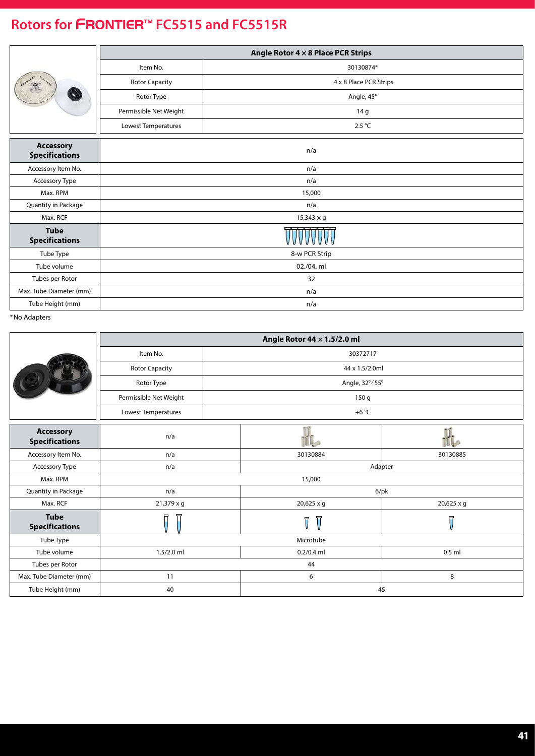### **Rotors for** FRONTIER™ **FC5515 and FC5515R**

|                                           | Angle Rotor $4 \times 8$ Place PCR Strips |                        |  |  |  |
|-------------------------------------------|-------------------------------------------|------------------------|--|--|--|
|                                           | Item No.                                  | 30130874*              |  |  |  |
|                                           | <b>Rotor Capacity</b>                     | 4 x 8 Place PCR Strips |  |  |  |
|                                           | Rotor Type                                | Angle, 45°             |  |  |  |
|                                           | Permissible Net Weight                    | 14 g                   |  |  |  |
|                                           | Lowest Temperatures                       | 2.5 °C                 |  |  |  |
| <b>Accessory</b><br><b>Specifications</b> | n/a                                       |                        |  |  |  |
| Accessory Item No.                        |                                           | n/a                    |  |  |  |
| Accessory Type                            |                                           | n/a                    |  |  |  |
| Max. RPM                                  |                                           | 15,000                 |  |  |  |
| Quantity in Package                       |                                           | n/a                    |  |  |  |
| Max. RCF                                  |                                           | $15,343 \times g$      |  |  |  |
| <b>Tube</b><br><b>Specifications</b>      |                                           |                        |  |  |  |
| Tube Type                                 |                                           | 8-w PCR Strip          |  |  |  |
| Tube volume                               |                                           | 02./04. ml             |  |  |  |
| Tubes per Rotor                           |                                           | 32                     |  |  |  |
| Max. Tube Diameter (mm)                   |                                           | n/a                    |  |  |  |
| Tube Height (mm)                          |                                           | n/a                    |  |  |  |

|                                           | Angle Rotor 44 $\times$ 1.5/2.0 ml |  |                                                    |                         |  |
|-------------------------------------------|------------------------------------|--|----------------------------------------------------|-------------------------|--|
|                                           | Item No.                           |  | 30372717                                           |                         |  |
|                                           | <b>Rotor Capacity</b>              |  | 44 x 1.5/2.0ml                                     |                         |  |
|                                           | Rotor Type                         |  | Angle, 32°/55°                                     |                         |  |
|                                           | Permissible Net Weight             |  | 150 g                                              |                         |  |
|                                           | Lowest Temperatures                |  | +6 $^{\circ}$ C                                    |                         |  |
| <b>Accessory</b><br><b>Specifications</b> | n/a                                |  |                                                    |                         |  |
| Accessory Item No.                        | n/a                                |  | 30130884                                           | 30130885                |  |
| Accessory Type                            | n/a                                |  | Adapter                                            |                         |  |
| Max. RPM                                  | 15,000                             |  |                                                    |                         |  |
| Quantity in Package                       | n/a                                |  | $6$ /pk                                            |                         |  |
| Max. RCF                                  | 21,379 x g                         |  | 20,625 x g                                         | 20,625 x g              |  |
| <b>Tube</b><br><b>Specifications</b>      | ਜ਼                                 |  | $\overline{\mathbb{U}}$<br>$\overline{\mathbb{L}}$ | $\overline{\mathsf{H}}$ |  |
| Tube Type                                 | Microtube                          |  |                                                    |                         |  |
| Tube volume                               | $1.5/2.0$ ml                       |  | $0.2/0.4$ ml                                       | $0.5$ ml                |  |
| Tubes per Rotor                           | 44                                 |  |                                                    |                         |  |
| Max. Tube Diameter (mm)                   | 11                                 |  | 6                                                  | 8                       |  |
| Tube Height (mm)                          | 40                                 |  | 45                                                 |                         |  |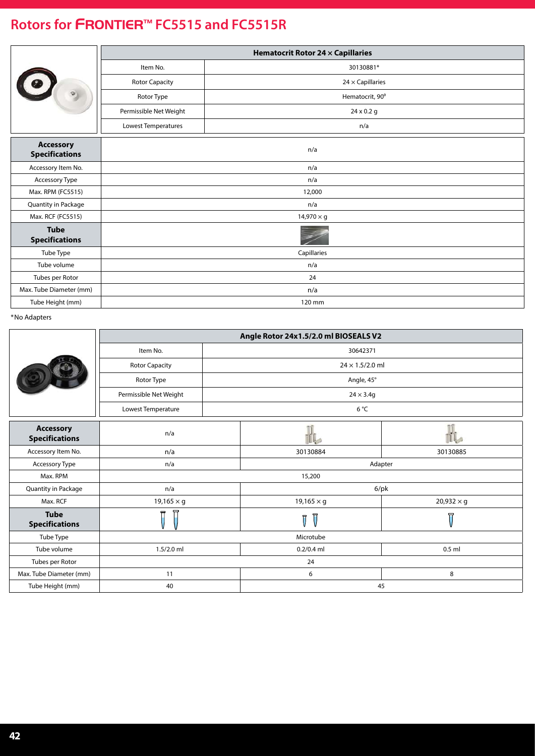### **Rotors for** FRONTIER™ **FC5515 and FC5515R**

|                                           |                                                  | <b>Hematocrit Rotor 24 x Capillaries</b> |  |  |
|-------------------------------------------|--------------------------------------------------|------------------------------------------|--|--|
| 10<br>$\Theta$                            | Item No.<br>30130881*                            |                                          |  |  |
|                                           | <b>Rotor Capacity</b><br>$24 \times$ Capillaries |                                          |  |  |
|                                           | Rotor Type                                       | Hematocrit, 90°                          |  |  |
|                                           | Permissible Net Weight                           | 24 x 0.2 g                               |  |  |
|                                           | Lowest Temperatures                              | n/a                                      |  |  |
| <b>Accessory</b><br><b>Specifications</b> |                                                  | n/a                                      |  |  |
| Accessory Item No.                        | n/a                                              |                                          |  |  |
| Accessory Type                            | n/a                                              |                                          |  |  |
| Max. RPM (FC5515)                         | 12,000                                           |                                          |  |  |
| Quantity in Package                       | n/a                                              |                                          |  |  |
| Max. RCF (FC5515)                         | $14,970 \times g$                                |                                          |  |  |
| <b>Tube</b><br><b>Specifications</b>      |                                                  |                                          |  |  |
| Tube Type                                 | Capillaries                                      |                                          |  |  |
| Tube volume                               | n/a                                              |                                          |  |  |
| Tubes per Rotor                           | 24                                               |                                          |  |  |
| Max. Tube Diameter (mm)                   | n/a                                              |                                          |  |  |
| Tube Height (mm)                          | 120 mm                                           |                                          |  |  |

|                                           | Angle Rotor 24x1.5/2.0 ml BIOSEALS V2 |                              |                        |  |  |
|-------------------------------------------|---------------------------------------|------------------------------|------------------------|--|--|
|                                           | Item No.                              | 30642371                     |                        |  |  |
|                                           | <b>Rotor Capacity</b>                 |                              | $24 \times 1.5/2.0$ ml |  |  |
|                                           | Rotor Type                            | Angle, 45°                   |                        |  |  |
|                                           | Permissible Net Weight                | $24 \times 3.4q$             |                        |  |  |
|                                           | Lowest Temperature                    | 6 °C                         |                        |  |  |
| <b>Accessory</b><br><b>Specifications</b> | n/a                                   | IL                           |                        |  |  |
| Accessory Item No.                        | n/a                                   | 30130884                     | 30130885               |  |  |
| Accessory Type                            | n/a                                   |                              | Adapter                |  |  |
| Max. RPM                                  | 15,200                                |                              |                        |  |  |
| Quantity in Package                       | n/a                                   |                              | $6$ /pk                |  |  |
| Max. RCF                                  | $19,165 \times g$                     | $19,165 \times g$            | $20,932 \times g$      |  |  |
| <b>Tube</b><br><b>Specifications</b>      | $\overline{\mathbb{I}}$               | 冒<br>$\overline{\mathsf{T}}$ | 曱                      |  |  |
| Tube Type                                 | Microtube                             |                              |                        |  |  |
| Tube volume                               | $1.5/2.0$ ml                          | $0.2/0.4$ ml                 | $0.5$ ml               |  |  |
| Tubes per Rotor                           | 24                                    |                              |                        |  |  |
| Max. Tube Diameter (mm)                   | 11                                    | 6                            | 8                      |  |  |
| Tube Height (mm)                          | 40                                    |                              | 45                     |  |  |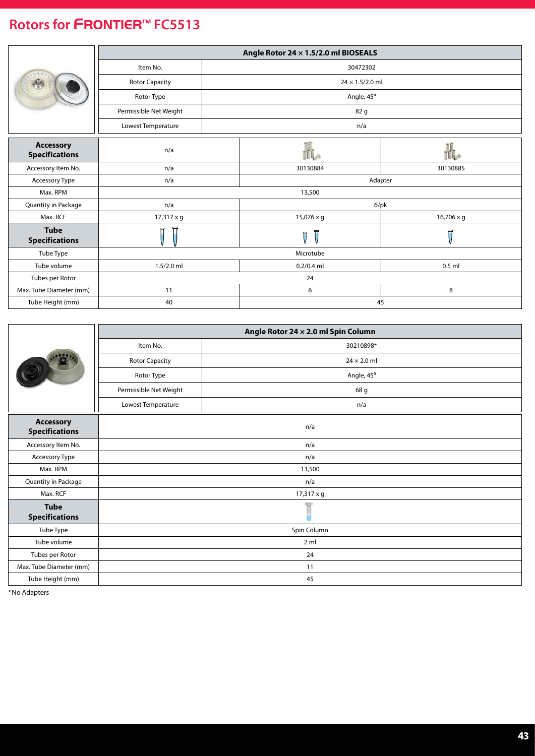<span id="page-42-0"></span>

|                                           | Angle Rotor 24 x 1.5/2.0 ml BIOSEALS |     |                        |                  |  |
|-------------------------------------------|--------------------------------------|-----|------------------------|------------------|--|
|                                           | Item No.                             |     | 30472302               |                  |  |
|                                           | <b>Rotor Capacity</b>                |     | $24 \times 1.5/2.0$ ml |                  |  |
|                                           | Rotor Type                           |     | Angle, 45°             |                  |  |
|                                           | Permissible Net Weight               |     | 82 g                   |                  |  |
|                                           | Lowest Temperature                   | n/a |                        |                  |  |
| <b>Accessory</b><br><b>Specifications</b> | n/a                                  |     |                        |                  |  |
| Accessory Item No.                        | n/a                                  |     | 30130884               | 30130885         |  |
| Accessory Type                            | n/a                                  |     | Adapter                |                  |  |
| Max. RPM                                  | 13,500                               |     |                        |                  |  |
| Quantity in Package                       | n/a                                  |     | $6$ /pk                |                  |  |
| Max. RCF                                  | 17,317 x g                           |     | 15,076 x g             | 16,706 x g       |  |
| <b>Tube</b><br><b>Specifications</b>      | 氘                                    |     | 冒<br>ĪĪ                | $\overline{\Pi}$ |  |
| Tube Type                                 | Microtube                            |     |                        |                  |  |
| Tube volume                               | $1.5/2.0$ ml                         |     | $0.2/0.4$ ml           | $0.5$ ml         |  |
| Tubes per Rotor                           | 24                                   |     |                        |                  |  |
| Max. Tube Diameter (mm)                   | 11                                   |     | 6                      | 8                |  |
| Tube Height (mm)                          | 40                                   |     | 45                     |                  |  |

|                                           | Angle Rotor 24 x 2.0 ml Spin Column |                    |  |  |  |
|-------------------------------------------|-------------------------------------|--------------------|--|--|--|
|                                           | Item No.<br>30210898*               |                    |  |  |  |
|                                           | <b>Rotor Capacity</b>               | $24 \times 2.0$ ml |  |  |  |
|                                           | Rotor Type                          | Angle, 45°         |  |  |  |
|                                           | Permissible Net Weight              | 68 g               |  |  |  |
|                                           | Lowest Temperature                  | n/a                |  |  |  |
| <b>Accessory</b><br><b>Specifications</b> |                                     | n/a                |  |  |  |
| Accessory Item No.                        | n/a                                 |                    |  |  |  |
| Accessory Type                            | n/a                                 |                    |  |  |  |
| Max. RPM                                  | 13,500                              |                    |  |  |  |
| Quantity in Package                       | n/a                                 |                    |  |  |  |
| Max. RCF                                  | 17,317 x g                          |                    |  |  |  |
| <b>Tube</b><br><b>Specifications</b>      |                                     |                    |  |  |  |
| Tube Type                                 | Spin Column                         |                    |  |  |  |
| Tube volume                               | 2 <sub>m</sub>                      |                    |  |  |  |
| Tubes per Rotor                           | 24                                  |                    |  |  |  |
| Max. Tube Diameter (mm)                   | 11                                  |                    |  |  |  |
| Tube Height (mm)                          | 45                                  |                    |  |  |  |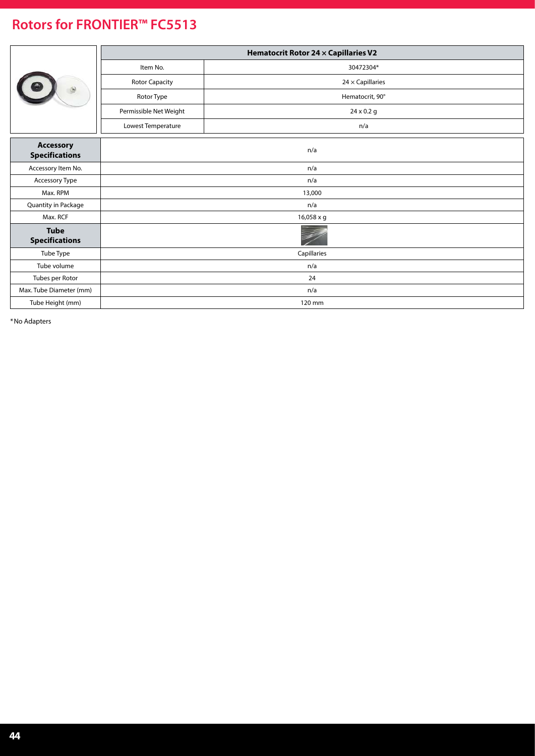|                                           | Hematocrit Rotor 24 x Capillaries V2 |                         |  |  |
|-------------------------------------------|--------------------------------------|-------------------------|--|--|
|                                           | Item No.<br>30472304*                |                         |  |  |
|                                           | <b>Rotor Capacity</b>                | $24 \times$ Capillaries |  |  |
|                                           | Rotor Type                           | Hematocrit, 90°         |  |  |
|                                           | Permissible Net Weight               | $24 \times 0.2$ g       |  |  |
|                                           | Lowest Temperature                   | n/a                     |  |  |
| <b>Accessory</b><br><b>Specifications</b> | n/a                                  |                         |  |  |
| Accessory Item No.                        | n/a                                  |                         |  |  |
| Accessory Type                            | n/a                                  |                         |  |  |
| Max. RPM                                  | 13,000                               |                         |  |  |
| Quantity in Package                       | n/a                                  |                         |  |  |
| Max. RCF                                  | 16,058 x g                           |                         |  |  |
| <b>Tube</b><br><b>Specifications</b>      |                                      |                         |  |  |
| Tube Type                                 | Capillaries                          |                         |  |  |
| Tube volume                               | n/a                                  |                         |  |  |
| Tubes per Rotor                           | 24                                   |                         |  |  |
| Max. Tube Diameter (mm)                   | n/a                                  |                         |  |  |
| Tube Height (mm)                          | 120 mm                               |                         |  |  |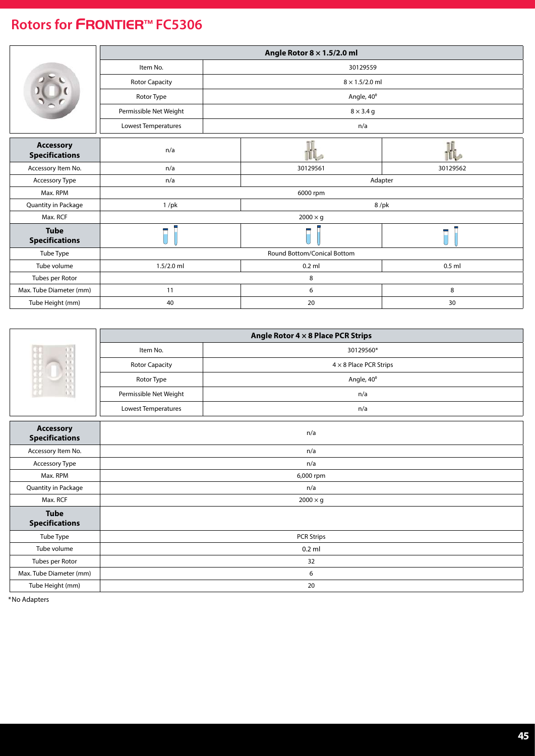<span id="page-44-0"></span>

|                                           | Angle Rotor $8 \times 1.5/2.0$ ml |     |                       |          |  |  |
|-------------------------------------------|-----------------------------------|-----|-----------------------|----------|--|--|
|                                           | Item No.                          |     | 30129559              |          |  |  |
|                                           | Rotor Capacity                    |     | $8 \times 1.5/2.0$ ml |          |  |  |
|                                           | Rotor Type                        |     | Angle, 40°            |          |  |  |
|                                           | Permissible Net Weight            |     | $8 \times 3.4$ g      |          |  |  |
|                                           | Lowest Temperatures               | n/a |                       |          |  |  |
| <b>Accessory</b><br><b>Specifications</b> | n/a                               |     |                       |          |  |  |
| Accessory Item No.                        | n/a                               |     | 30129561              | 30129562 |  |  |
| Accessory Type                            | n/a                               |     | Adapter               |          |  |  |
| Max. RPM                                  | 6000 rpm                          |     |                       |          |  |  |
| Quantity in Package                       | $1$ /pk                           |     | $8$ /pk               |          |  |  |
| Max. RCF                                  | $2000 \times g$                   |     |                       |          |  |  |
| <b>Tube</b><br><b>Specifications</b>      |                                   |     | Π                     | Π        |  |  |
| Tube Type                                 | Round Bottom/Conical Bottom       |     |                       |          |  |  |
| Tube volume                               | $1.5/2.0$ ml                      |     | $0.2$ ml              | $0.5$ ml |  |  |
| Tubes per Rotor                           | 8                                 |     |                       |          |  |  |
| Max. Tube Diameter (mm)                   | 11                                |     | 6                     | 8        |  |  |
| Tube Height (mm)                          | 40                                |     | 20                    | 30       |  |  |

|                                           | Angle Rotor $4 \times 8$ Place PCR Strips |                               |  |  |  |
|-------------------------------------------|-------------------------------------------|-------------------------------|--|--|--|
|                                           | Item No.<br>30129560*                     |                               |  |  |  |
|                                           | Rotor Capacity                            | $4 \times 8$ Place PCR Strips |  |  |  |
|                                           | Angle, 40°<br>Rotor Type                  |                               |  |  |  |
|                                           | Permissible Net Weight                    | n/a                           |  |  |  |
|                                           | Lowest Temperatures                       | n/a                           |  |  |  |
| <b>Accessory</b><br><b>Specifications</b> |                                           | n/a                           |  |  |  |
| Accessory Item No.                        | n/a                                       |                               |  |  |  |
| Accessory Type                            | n/a                                       |                               |  |  |  |
| Max. RPM                                  | 6,000 rpm                                 |                               |  |  |  |
| Quantity in Package                       | n/a                                       |                               |  |  |  |
| Max. RCF                                  | $2000 \times g$                           |                               |  |  |  |
| <b>Tube</b><br><b>Specifications</b>      |                                           |                               |  |  |  |
| Tube Type                                 | <b>PCR Strips</b>                         |                               |  |  |  |
| Tube volume                               | $0.2$ ml                                  |                               |  |  |  |
| Tubes per Rotor                           | 32                                        |                               |  |  |  |
| Max. Tube Diameter (mm)                   | 6                                         |                               |  |  |  |
| Tube Height (mm)                          | 20                                        |                               |  |  |  |